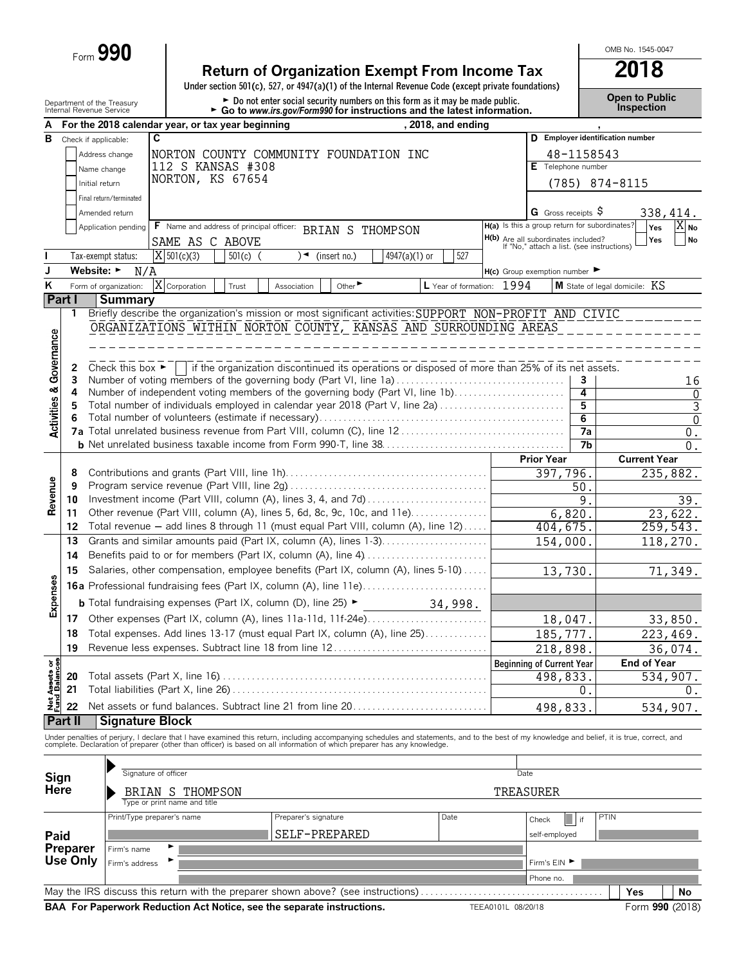Form **990**

## **Return of Organization Exempt From Income Tax 2018**

**Under section 501(c), 527, or 4947(a)(1) of the Internal Revenue Code (except private foundations)**

Department of the Treasury **and Exercic Connect of the Treasury Connect Connect Connect Connect Connect Connect Connect Connect Connect Connect Connect Connect Connect Connect Connect Connect Connection <b>Connection**<br>Inter

OMB No. 1545-0047

|                         |                      |                                       | For the 2018 calendar year, or tax year beginning |                                                                                                                                                                                                                                   |               | , 2018, and ending        |                                                                                          |                              |                |                                  |                     |                   |
|-------------------------|----------------------|---------------------------------------|---------------------------------------------------|-----------------------------------------------------------------------------------------------------------------------------------------------------------------------------------------------------------------------------------|---------------|---------------------------|------------------------------------------------------------------------------------------|------------------------------|----------------|----------------------------------|---------------------|-------------------|
| в                       | Check if applicable: |                                       | C                                                 |                                                                                                                                                                                                                                   |               |                           |                                                                                          |                              |                | D Employer identification number |                     |                   |
|                         |                      | Address change                        |                                                   | NORTON COUNTY COMMUNITY FOUNDATION INC                                                                                                                                                                                            |               |                           |                                                                                          | 48-1158543                   |                |                                  |                     |                   |
|                         |                      | Name change                           | 112 S KANSAS #308                                 |                                                                                                                                                                                                                                   |               |                           |                                                                                          | E Telephone number           |                |                                  |                     |                   |
|                         |                      | Initial return                        | NORTON, KS 67654                                  |                                                                                                                                                                                                                                   |               |                           |                                                                                          |                              |                | $(785)$ $874 - 8115$             |                     |                   |
|                         |                      | Final return/terminated               |                                                   |                                                                                                                                                                                                                                   |               |                           |                                                                                          |                              |                |                                  |                     |                   |
|                         |                      |                                       |                                                   |                                                                                                                                                                                                                                   |               |                           |                                                                                          |                              |                |                                  |                     |                   |
|                         |                      | Amended return                        |                                                   |                                                                                                                                                                                                                                   |               |                           | H(a) Is this a group return for subordinates?                                            | G Gross receipts $\varsigma$ |                |                                  | 338, 414.           |                   |
|                         |                      | Application pending                   |                                                   | F Name and address of principal officer: BRIAN S THOMPSON                                                                                                                                                                         |               |                           |                                                                                          |                              |                |                                  | Yes                 | $X_{\mathsf{No}}$ |
|                         |                      |                                       | SAME AS C ABOVE                                   |                                                                                                                                                                                                                                   |               |                           | <b>H(b)</b> Are all subordinates included?<br>If "No," attach a list. (see instructions) |                              |                |                                  | Yes                 | No                |
| L                       |                      | Tax-exempt status:                    | $\overline{X}$ 501(c)(3)                          | $501(c)$ (<br>$)$ (insert no.)                                                                                                                                                                                                    | 4947(a)(1) or | 527                       |                                                                                          |                              |                |                                  |                     |                   |
| J                       |                      | Website: $\blacktriangleright$<br>N/A |                                                   |                                                                                                                                                                                                                                   |               |                           | $H(c)$ Group exemption number $\blacktriangleright$                                      |                              |                |                                  |                     |                   |
| ĸ                       |                      | Form of organization:                 | X Corporation<br>Trust                            | Other<br>Association                                                                                                                                                                                                              |               | L Year of formation: 1994 |                                                                                          |                              |                | M State of legal domicile: KS    |                     |                   |
| Part I                  |                      | <b>Summary</b>                        |                                                   |                                                                                                                                                                                                                                   |               |                           |                                                                                          |                              |                |                                  |                     |                   |
|                         | 1                    |                                       |                                                   | Briefly describe the organization's mission or most significant activities: SUPPORT NON-PROFIT AND CIVIC                                                                                                                          |               |                           |                                                                                          |                              |                |                                  |                     |                   |
|                         |                      |                                       |                                                   | ORGANIZATIONS WITHIN NORTON COUNTY, KANSAS AND SURROUNDING AREAS                                                                                                                                                                  |               |                           |                                                                                          |                              |                |                                  |                     |                   |
|                         |                      |                                       |                                                   |                                                                                                                                                                                                                                   |               |                           |                                                                                          |                              |                |                                  |                     |                   |
| Governance              |                      |                                       |                                                   |                                                                                                                                                                                                                                   |               |                           |                                                                                          |                              |                |                                  |                     |                   |
|                         | 2                    | Check this box $\blacktriangleright$  |                                                   | if the organization discontinued its operations or disposed of more than 25% of its net assets.                                                                                                                                   |               |                           |                                                                                          |                              |                |                                  |                     |                   |
|                         | 3                    |                                       |                                                   | Number of voting members of the governing body (Part VI, line 1a)                                                                                                                                                                 |               |                           |                                                                                          |                              | 3              |                                  |                     | 16                |
|                         | 4                    |                                       |                                                   | Number of independent voting members of the governing body (Part VI, line 1b)                                                                                                                                                     |               |                           |                                                                                          |                              | 4              |                                  |                     | $\mathbf 0$       |
|                         | 5                    |                                       |                                                   | Total number of individuals employed in calendar year 2018 (Part V, line 2a)                                                                                                                                                      |               |                           |                                                                                          |                              | 5              |                                  |                     | $\overline{3}$    |
| <b>Activities &amp;</b> |                      |                                       |                                                   |                                                                                                                                                                                                                                   |               |                           |                                                                                          |                              | 6              |                                  |                     | $\overline{0}$    |
|                         |                      |                                       |                                                   |                                                                                                                                                                                                                                   |               |                           |                                                                                          |                              | 7a             |                                  |                     | $0$ .             |
|                         |                      |                                       |                                                   |                                                                                                                                                                                                                                   |               |                           |                                                                                          |                              | 7 <sub>b</sub> |                                  |                     | 0.                |
|                         |                      |                                       |                                                   |                                                                                                                                                                                                                                   |               |                           |                                                                                          | <b>Prior Year</b>            |                |                                  | <b>Current Year</b> |                   |
|                         | 8                    |                                       |                                                   |                                                                                                                                                                                                                                   |               |                           |                                                                                          | 397,796.                     |                |                                  | 235,882.            |                   |
|                         | 9                    |                                       |                                                   |                                                                                                                                                                                                                                   |               |                           |                                                                                          |                              | 50.            |                                  |                     |                   |
| Revenue                 | 10                   |                                       |                                                   | Investment income (Part VIII, column (A), lines 3, 4, and 7d)                                                                                                                                                                     |               |                           |                                                                                          |                              | 9.             |                                  |                     | $\overline{39}$ . |
|                         | 11                   |                                       |                                                   | Other revenue (Part VIII, column (A), lines 5, 6d, 8c, 9c, 10c, and 11e)                                                                                                                                                          |               |                           |                                                                                          | 6,820.                       |                |                                  |                     | 23,622.           |
|                         | 12                   |                                       |                                                   | Total revenue - add lines 8 through 11 (must equal Part VIII, column (A), line 12)                                                                                                                                                |               |                           |                                                                                          | 404,675.                     |                |                                  | 259,543.            |                   |
|                         | 13                   |                                       |                                                   | Grants and similar amounts paid (Part IX, column (A), lines 1-3)                                                                                                                                                                  |               |                           |                                                                                          | 154,000                      |                |                                  | 118,270.            |                   |
|                         | 14                   |                                       |                                                   | Benefits paid to or for members (Part IX, column (A), line 4)                                                                                                                                                                     |               |                           |                                                                                          |                              |                |                                  |                     |                   |
|                         | 15                   |                                       |                                                   | Salaries, other compensation, employee benefits (Part IX, column (A), lines 5-10)                                                                                                                                                 |               |                           |                                                                                          | 13,730.                      |                |                                  |                     | 71,349.           |
|                         |                      |                                       |                                                   |                                                                                                                                                                                                                                   |               |                           |                                                                                          |                              |                |                                  |                     |                   |
| Expenses                |                      |                                       |                                                   |                                                                                                                                                                                                                                   |               |                           |                                                                                          |                              |                |                                  |                     |                   |
|                         |                      |                                       |                                                   | <b>b</b> Total fundraising expenses (Part IX, column (D), line 25) $\blacktriangleright$                                                                                                                                          |               | 34,998.                   |                                                                                          |                              |                |                                  |                     |                   |
|                         | 17                   |                                       |                                                   |                                                                                                                                                                                                                                   |               |                           |                                                                                          | 18,047.                      |                |                                  |                     | 33,850.           |
|                         | 18                   |                                       |                                                   | Total expenses. Add lines 13-17 (must equal Part IX, column (A), line 25)                                                                                                                                                         |               |                           |                                                                                          | 185,777.                     |                |                                  | 223,469.            |                   |
|                         | 19                   |                                       |                                                   | Revenue less expenses. Subtract line 18 from line 12                                                                                                                                                                              |               |                           |                                                                                          | 218,898.                     |                |                                  |                     | 36,074.           |
| ಕ 8                     |                      |                                       |                                                   |                                                                                                                                                                                                                                   |               |                           | Beginning of Current Year                                                                |                              |                |                                  | End of Year         |                   |
|                         | 20                   |                                       |                                                   |                                                                                                                                                                                                                                   |               |                           |                                                                                          | 498,833.                     |                |                                  | 534,907.            |                   |
| Assets<br>1 Balanc      | 21                   |                                       | Total liabilities (Part X, line 26).              |                                                                                                                                                                                                                                   |               |                           |                                                                                          |                              | 0              |                                  |                     | 0.                |
| $\frac{1}{2}$           | 22                   |                                       |                                                   | Net assets or fund balances. Subtract line 21 from line 20                                                                                                                                                                        |               |                           |                                                                                          |                              |                |                                  |                     |                   |
|                         |                      |                                       |                                                   |                                                                                                                                                                                                                                   |               |                           |                                                                                          | 498,833                      |                |                                  | 534,907.            |                   |
|                         | Part II              | <b>Signature Block</b>                |                                                   |                                                                                                                                                                                                                                   |               |                           |                                                                                          |                              |                |                                  |                     |                   |
|                         |                      |                                       |                                                   | Under penalties of perjury, I declare that I have examined this return, including accompanying schedules and statements, and to the best of my knowledge and belief, it is true, correct, and<br>complete. Declaration of prepare |               |                           |                                                                                          |                              |                |                                  |                     |                   |
|                         |                      |                                       |                                                   |                                                                                                                                                                                                                                   |               |                           |                                                                                          |                              |                |                                  |                     |                   |
|                         |                      |                                       | Signature of officer                              |                                                                                                                                                                                                                                   |               |                           | Date                                                                                     |                              |                |                                  |                     |                   |
| Sign                    |                      |                                       |                                                   |                                                                                                                                                                                                                                   |               |                           |                                                                                          |                              |                |                                  |                     |                   |
| Here                    |                      |                                       | BRIAN S THOMPSON                                  |                                                                                                                                                                                                                                   |               |                           | TREASURER                                                                                |                              |                |                                  |                     |                   |
|                         |                      |                                       | Type or print name and title                      |                                                                                                                                                                                                                                   |               |                           |                                                                                          |                              |                |                                  |                     |                   |
|                         |                      |                                       | Print/Type preparer's name                        | Preparer's signature                                                                                                                                                                                                              |               | Date                      |                                                                                          | Check                        | if             | PTIN                             |                     |                   |
| Paid                    |                      |                                       |                                                   | SELF-PREPARED                                                                                                                                                                                                                     |               |                           |                                                                                          | self-employed                |                |                                  |                     |                   |
|                         | <b>Preparer</b>      | Firm's name                           |                                                   |                                                                                                                                                                                                                                   |               |                           |                                                                                          |                              |                |                                  |                     |                   |
|                         | Use Only             | Firm's address                        |                                                   |                                                                                                                                                                                                                                   |               |                           |                                                                                          | Firm's EIN                   |                |                                  |                     |                   |
|                         |                      |                                       |                                                   |                                                                                                                                                                                                                                   |               |                           |                                                                                          | Phone no.                    |                |                                  |                     |                   |
|                         |                      |                                       |                                                   | May the IRS discuss this return with the preparer shown above? (see instructions)                                                                                                                                                 |               |                           |                                                                                          |                              |                | Yes                              |                     | <b>No</b>         |
|                         |                      |                                       |                                                   | BAA For Paperwork Reduction Act Notice, see the separate instructions.                                                                                                                                                            |               |                           |                                                                                          |                              |                |                                  | Form 990 (2018)     |                   |
|                         |                      |                                       |                                                   |                                                                                                                                                                                                                                   |               |                           | TEEA0101L 08/20/18                                                                       |                              |                |                                  |                     |                   |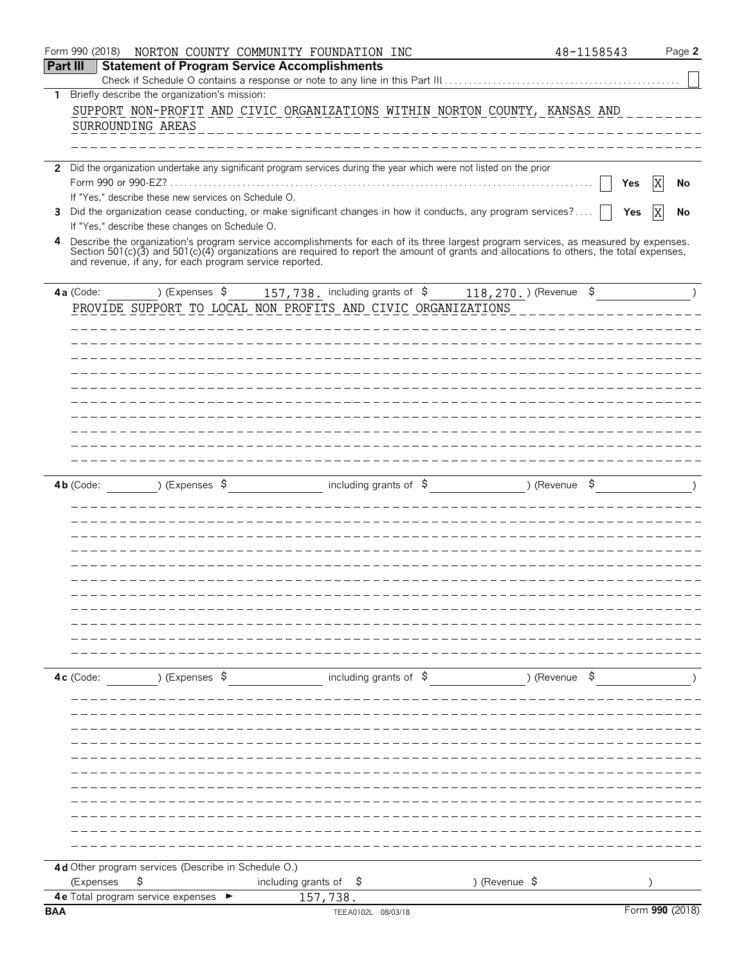|            |                                                                                                                                                                                                                                                                                                                                                                                                                                                                                                                                                                                                                                                                                                                                                                                                                                                                                                                                                                                                                                                                                                                                                                                                                                                                                                                                                                                          |                                   |                                | 48-1158543              | Page 2          |
|------------|------------------------------------------------------------------------------------------------------------------------------------------------------------------------------------------------------------------------------------------------------------------------------------------------------------------------------------------------------------------------------------------------------------------------------------------------------------------------------------------------------------------------------------------------------------------------------------------------------------------------------------------------------------------------------------------------------------------------------------------------------------------------------------------------------------------------------------------------------------------------------------------------------------------------------------------------------------------------------------------------------------------------------------------------------------------------------------------------------------------------------------------------------------------------------------------------------------------------------------------------------------------------------------------------------------------------------------------------------------------------------------------|-----------------------------------|--------------------------------|-------------------------|-----------------|
|            |                                                                                                                                                                                                                                                                                                                                                                                                                                                                                                                                                                                                                                                                                                                                                                                                                                                                                                                                                                                                                                                                                                                                                                                                                                                                                                                                                                                          |                                   |                                |                         |                 |
| 1.         |                                                                                                                                                                                                                                                                                                                                                                                                                                                                                                                                                                                                                                                                                                                                                                                                                                                                                                                                                                                                                                                                                                                                                                                                                                                                                                                                                                                          |                                   |                                |                         |                 |
|            | Form 990 (2018)<br>NORTON COUNTY COMMUNITY FOUNDATION INC<br><b>Part III</b><br><b>Statement of Program Service Accomplishments</b><br>Briefly describe the organization's mission:<br>SUPPORT NON-PROFIT AND CIVIC ORGANIZATIONS WITHIN NORTON COUNTY, KANSAS AND<br>SURROUNDING AREAS<br>2 Did the organization undertake any significant program services during the year which were not listed on the prior<br>If "Yes," describe these new services on Schedule O.<br>Did the organization cease conducting, or make significant changes in how it conducts, any program services?<br>If "Yes," describe these changes on Schedule O.<br>Describe the organization's program service accomplishments for each of its three largest program services, as measured by expenses.<br>Section 501(c)(3) and 501(c)(4) organizations are required to report the amount of grants and allocations to others, the total expenses,<br>and revenue, if any, for each program service reported.<br>) (Expenses \$<br>157, 738. including grants of \$<br>$4a$ (Code:<br>PROVIDE SUPPORT TO LOCAL NON PROFITS AND CIVIC ORGANIZATIONS<br>including grants of $\ddot{S}$<br>) (Expenses \$<br>$4b$ (Code:<br>including grants of $\beta$<br>4c (Code:<br>) (Expenses \$<br>4d Other program services (Describe in Schedule O.)<br>\$<br>including grants of<br>) (Revenue \$<br>(Expenses<br>- Ş |                                   |                                |                         |                 |
|            |                                                                                                                                                                                                                                                                                                                                                                                                                                                                                                                                                                                                                                                                                                                                                                                                                                                                                                                                                                                                                                                                                                                                                                                                                                                                                                                                                                                          |                                   |                                |                         | Yes<br>ΙX<br>No |
| 3.         |                                                                                                                                                                                                                                                                                                                                                                                                                                                                                                                                                                                                                                                                                                                                                                                                                                                                                                                                                                                                                                                                                                                                                                                                                                                                                                                                                                                          |                                   |                                |                         | Yes<br>No<br>IX |
| 4          |                                                                                                                                                                                                                                                                                                                                                                                                                                                                                                                                                                                                                                                                                                                                                                                                                                                                                                                                                                                                                                                                                                                                                                                                                                                                                                                                                                                          |                                   |                                |                         |                 |
|            |                                                                                                                                                                                                                                                                                                                                                                                                                                                                                                                                                                                                                                                                                                                                                                                                                                                                                                                                                                                                                                                                                                                                                                                                                                                                                                                                                                                          |                                   |                                | $118, 270.$ (Revenue \$ |                 |
|            |                                                                                                                                                                                                                                                                                                                                                                                                                                                                                                                                                                                                                                                                                                                                                                                                                                                                                                                                                                                                                                                                                                                                                                                                                                                                                                                                                                                          |                                   |                                |                         |                 |
|            |                                                                                                                                                                                                                                                                                                                                                                                                                                                                                                                                                                                                                                                                                                                                                                                                                                                                                                                                                                                                                                                                                                                                                                                                                                                                                                                                                                                          |                                   |                                |                         |                 |
|            |                                                                                                                                                                                                                                                                                                                                                                                                                                                                                                                                                                                                                                                                                                                                                                                                                                                                                                                                                                                                                                                                                                                                                                                                                                                                                                                                                                                          |                                   |                                |                         |                 |
|            |                                                                                                                                                                                                                                                                                                                                                                                                                                                                                                                                                                                                                                                                                                                                                                                                                                                                                                                                                                                                                                                                                                                                                                                                                                                                                                                                                                                          |                                   |                                |                         |                 |
|            |                                                                                                                                                                                                                                                                                                                                                                                                                                                                                                                                                                                                                                                                                                                                                                                                                                                                                                                                                                                                                                                                                                                                                                                                                                                                                                                                                                                          |                                   |                                | ) (Revenue) \$          |                 |
|            |                                                                                                                                                                                                                                                                                                                                                                                                                                                                                                                                                                                                                                                                                                                                                                                                                                                                                                                                                                                                                                                                                                                                                                                                                                                                                                                                                                                          |                                   |                                |                         |                 |
|            |                                                                                                                                                                                                                                                                                                                                                                                                                                                                                                                                                                                                                                                                                                                                                                                                                                                                                                                                                                                                                                                                                                                                                                                                                                                                                                                                                                                          |                                   |                                |                         |                 |
|            |                                                                                                                                                                                                                                                                                                                                                                                                                                                                                                                                                                                                                                                                                                                                                                                                                                                                                                                                                                                                                                                                                                                                                                                                                                                                                                                                                                                          |                                   |                                |                         |                 |
|            |                                                                                                                                                                                                                                                                                                                                                                                                                                                                                                                                                                                                                                                                                                                                                                                                                                                                                                                                                                                                                                                                                                                                                                                                                                                                                                                                                                                          |                                   |                                |                         |                 |
|            |                                                                                                                                                                                                                                                                                                                                                                                                                                                                                                                                                                                                                                                                                                                                                                                                                                                                                                                                                                                                                                                                                                                                                                                                                                                                                                                                                                                          |                                   |                                | ) (Revenue \$           |                 |
|            |                                                                                                                                                                                                                                                                                                                                                                                                                                                                                                                                                                                                                                                                                                                                                                                                                                                                                                                                                                                                                                                                                                                                                                                                                                                                                                                                                                                          |                                   |                                |                         |                 |
|            |                                                                                                                                                                                                                                                                                                                                                                                                                                                                                                                                                                                                                                                                                                                                                                                                                                                                                                                                                                                                                                                                                                                                                                                                                                                                                                                                                                                          |                                   |                                |                         |                 |
|            |                                                                                                                                                                                                                                                                                                                                                                                                                                                                                                                                                                                                                                                                                                                                                                                                                                                                                                                                                                                                                                                                                                                                                                                                                                                                                                                                                                                          |                                   |                                |                         |                 |
|            |                                                                                                                                                                                                                                                                                                                                                                                                                                                                                                                                                                                                                                                                                                                                                                                                                                                                                                                                                                                                                                                                                                                                                                                                                                                                                                                                                                                          |                                   |                                |                         |                 |
|            |                                                                                                                                                                                                                                                                                                                                                                                                                                                                                                                                                                                                                                                                                                                                                                                                                                                                                                                                                                                                                                                                                                                                                                                                                                                                                                                                                                                          |                                   |                                |                         |                 |
| <b>BAA</b> |                                                                                                                                                                                                                                                                                                                                                                                                                                                                                                                                                                                                                                                                                                                                                                                                                                                                                                                                                                                                                                                                                                                                                                                                                                                                                                                                                                                          | 4e Total program service expenses | 157,738.<br>TEEA0102L 08/03/18 |                         | Form 990 (2018) |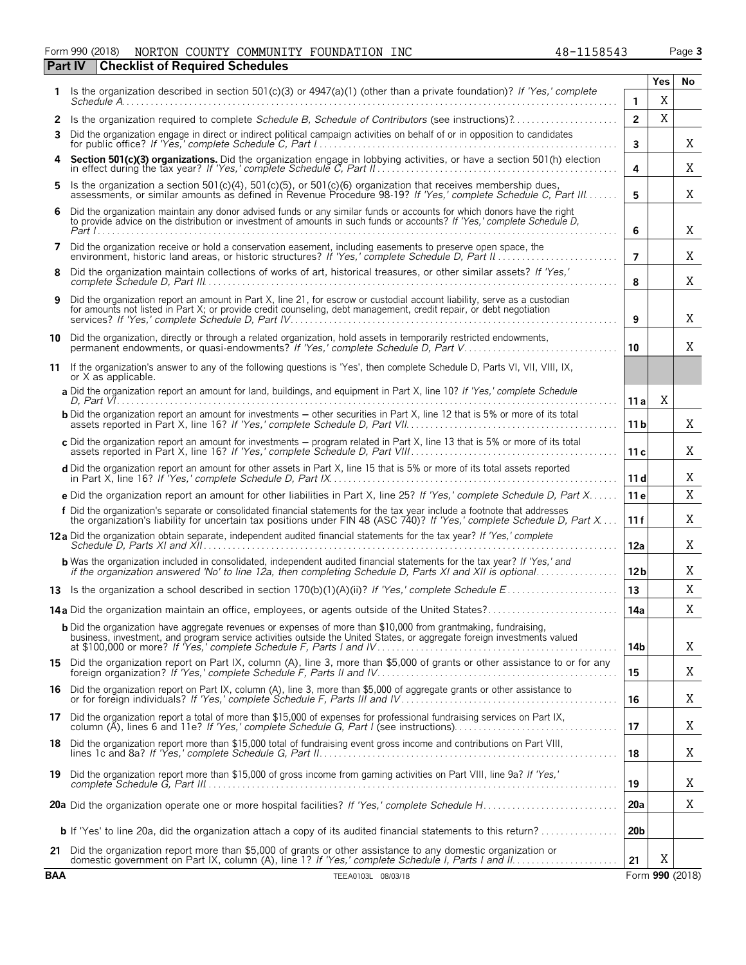Form 990 (2018) Page **3** NORTON COUNTY COMMUNITY FOUNDATION INC 48-1158543

|     | <b>Checklist of Required Schedules</b><br><b>Part IV</b>                                                                                                                                                                                            |                         |            |             |
|-----|-----------------------------------------------------------------------------------------------------------------------------------------------------------------------------------------------------------------------------------------------------|-------------------------|------------|-------------|
|     |                                                                                                                                                                                                                                                     |                         | <b>Yes</b> | No          |
|     | Is the organization described in section 501(c)(3) or 4947(a)(1) (other than a private foundation)? If 'Yes,' complete                                                                                                                              | 1                       | X          |             |
|     |                                                                                                                                                                                                                                                     | $\overline{\mathbf{c}}$ | X          |             |
| 3   | Did the organization engage in direct or indirect political campaign activities on behalf of or in opposition to candidates                                                                                                                         | 3                       |            | Χ           |
| 4   | Section 501(c)(3) organizations. Did the organization engage in lobbying activities, or have a section 501(h) election<br>in effect during the tax year? If 'Yes,' complete Schedule C, Part II                                                     | 4                       |            | Χ           |
| 5   | Is the organization a section 501(c)(4), 501(c)(5), or 501(c)(6) organization that receives membership dues,<br>assessments, or similar amounts as defined in Revenue Procedure 98-19? If 'Yes,' complete Schedule C, Part III.                     | 5                       |            | Χ           |
|     | Did the organization maintain any donor advised funds or any similar funds or accounts for which donors have the right<br>to provide advice on the distribution or investment of amounts in such funds or accounts? If 'Yes,' complete Schedule D,  | 6                       |            | X           |
| 7   | Did the organization receive or hold a conservation easement, including easements to preserve open space, the                                                                                                                                       | $\overline{7}$          |            | Χ           |
| 8   | Did the organization maintain collections of works of art, historical treasures, or other similar assets? If 'Yes,'                                                                                                                                 | 8                       |            | X           |
| 9   | Did the organization report an amount in Part X, line 21, for escrow or custodial account liability, serve as a custodian<br>for amounts not listed in Part X; or provide credit counseling, debt management, credit repair, or debt negotiation    | 9                       |            | X           |
| 10  | Did the organization, directly or through a related organization, hold assets in temporarily restricted endowments,<br>permanent endowments, or quasi-endowments? If 'Yes,' complete Schedule D, Part V                                             | 10                      |            | Χ           |
|     | 11 If the organization's answer to any of the following questions is 'Yes', then complete Schedule D, Parts VI, VII, VIII, IX,<br>or X as applicable.                                                                                               |                         |            |             |
|     | a Did the organization report an amount for land, buildings, and equipment in Part X, line 10? If 'Yes,' complete Schedule                                                                                                                          | 11a                     | X          |             |
|     | <b>b</b> Did the organization report an amount for investments - other securities in Part X, line 12 that is 5% or more of its total                                                                                                                | 11 <sub>b</sub>         |            | X           |
|     | c Did the organization report an amount for investments - program related in Part X, line 13 that is 5% or more of its total                                                                                                                        | 11c                     |            | Χ           |
|     | d Did the organization report an amount for other assets in Part X, line 15 that is 5% or more of its total assets reported                                                                                                                         | 11 <sub>d</sub>         |            | Χ           |
|     | e Did the organization report an amount for other liabilities in Part X, line 25? If 'Yes,' complete Schedule D, Part X                                                                                                                             | 11 e                    |            | X           |
|     | f Did the organization's separate or consolidated financial statements for the tax year include a footnote that addresses<br>the organization's liability for uncertain tax positions under FIN 48 (ASC 740)? If 'Yes,' complete Schedule D, Part X | 11f                     |            | X           |
|     | 12a Did the organization obtain separate, independent audited financial statements for the tax year? If 'Yes,' complete                                                                                                                             | 12a                     |            | X           |
|     | <b>b</b> Was the organization included in consolidated, independent audited financial statements for the tax year? If 'Yes,' and<br>if the organization answered 'No' to line 12a, then completing Schedule D, Parts XI and XII is optional         | 12 <sub>b</sub>         |            | X           |
|     |                                                                                                                                                                                                                                                     | 13                      |            | X           |
|     | <b>14a</b> Did the organization maintain an office, employees, or agents outside of the United States?                                                                                                                                              | 14a                     |            | $\mathbf X$ |
|     | <b>b</b> Did the organization have aggregate revenues or expenses of more than \$10,000 from grantmaking, fundraising,<br>business, investment, and program service activities outside the United States, or aggregate foreign investments valued   | 14b                     |            | Χ           |
| 15. | Did the organization report on Part IX, column (A), line 3, more than \$5,000 of grants or other assistance to or for any                                                                                                                           | 15                      |            | Χ           |
|     | 16 Did the organization report on Part IX, column (A), line 3, more than \$5,000 of aggregate grants or other assistance to<br>or for foreign individuals? If 'Yes,' complete Schedule F, Parts III and IV                                          | 16                      |            | X           |
| 17. | Did the organization report a total of more than \$15,000 of expenses for professional fundraising services on Part IX, column (A), lines 6 and 11e? If 'Yes,' complete Schedule G, Part I (see instructions)                                       | 17                      |            | Χ           |
| 18. | Did the organization report more than \$15,000 total of fundraising event gross income and contributions on Part VIII,                                                                                                                              | 18                      |            | X           |
| 19  | Did the organization report more than \$15,000 of gross income from gaming activities on Part VIII, line 9a? If 'Yes,'                                                                                                                              | 19                      |            | Χ           |

**20a** Did the organization operate one or more hospital facilities? *If 'Yes,' complete Schedule H*. . . . . . . . . . . . . . . . . . . . . . . . . . . . **20a b** If 'Yes' to line 20a, did the organization attach a copy of its audited financial statements to this return? . . . . . . . . . . . . . . . . **20b 21** Did the organization report more than \$5,000 of grants or other assistance to any domestic organization or X X

domestic government on Part IX, column (A), line 1? *If 'Yes,' complete Schedule I, Parts I and II*. . . . . . . . . . . . . . . . . . . . . . **21**

**BAAA TEEA0103L 08/03/18** Form **990** (2018)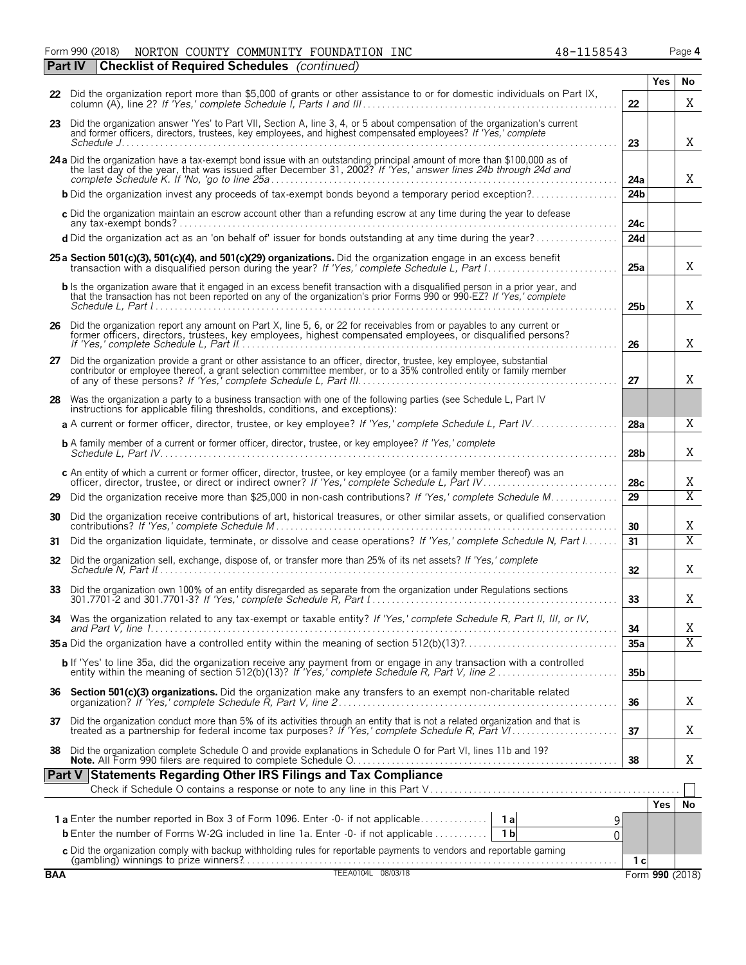Form 990 (2018) NORTON COUNTY COMMUNITY FOUNDATION INC 48-1158543 Page **4** NORTON COUNTY COMMUNITY FOUNDATION INC 48-1158543

**Part IV Checklist of Required Schedules** *(continued)*

|            |                                                                                                                                                                                                                                                       |                 | Yes             | No |
|------------|-------------------------------------------------------------------------------------------------------------------------------------------------------------------------------------------------------------------------------------------------------|-----------------|-----------------|----|
|            | 22 Did the organization report more than \$5,000 of grants or other assistance to or for domestic individuals on Part IX,                                                                                                                             | 22              |                 | Χ  |
|            | 23 Did the organization answer 'Yes' to Part VII, Section A, line 3, 4, or 5 about compensation of the organization's current<br>and former officers, directors, trustees, key employees, and highest compensated employees? If 'Yes,' complete       | 23              |                 | X  |
|            | 24 a Did the organization have a tax-exempt bond issue with an outstanding principal amount of more than \$100,000 as of the last day of the year, that was issued after December 31, 2002? If 'Yes,' answer lines 24b through                        | 24a             |                 | X  |
|            | <b>b</b> Did the organization invest any proceeds of tax-exempt bonds beyond a temporary period exception?                                                                                                                                            | 24 <sub>b</sub> |                 |    |
|            | c Did the organization maintain an escrow account other than a refunding escrow at any time during the year to defease                                                                                                                                | 24c             |                 |    |
|            | d Did the organization act as an 'on behalf of' issuer for bonds outstanding at any time during the year?                                                                                                                                             | 24d             |                 |    |
|            | 25 a Section 501(c)(3), 501(c)(4), and 501(c)(29) organizations. Did the organization engage in an excess benefit                                                                                                                                     | 25a             |                 | X  |
|            | b Is the organization aware that it engaged in an excess benefit transaction with a disqualified person in a prior year, and<br>that the transaction has not been reported on any of the organization's prior Forms 990 or 990-EZ? If 'Yes,' complete | 25 <sub>b</sub> |                 | X  |
|            | 26 Did the organization report any amount on Part X, line 5, 6, or 22 for receivables from or payables to any current or former officers, directors, trustees, key employees, highest compensated employees, or disqualified p                        | 26              |                 | X  |
|            | 27 Did the organization provide a grant or other assistance to an officer, director, trustee, key employee, substantial<br>contributor or employee thereof, a grant selection committee member, or to a 35% controlled entity or family member        | 27              |                 | Χ  |
|            | 28 Was the organization a party to a business transaction with one of the following parties (see Schedule L, Part IV<br>instructions for applicable filing thresholds, conditions, and exceptions):                                                   |                 |                 |    |
|            | a A current or former officer, director, trustee, or key employee? If 'Yes,' complete Schedule L, Part IV                                                                                                                                             | 28a             |                 | Χ  |
|            | <b>b</b> A family member of a current or former officer, director, trustee, or key employee? If 'Yes,' complete                                                                                                                                       | 28 <sub>b</sub> |                 | Χ  |
|            | c An entity of which a current or former officer, director, trustee, or key employee (or a family member thereof) was an<br>officer, director, trustee, or direct or indirect owner? If 'Yes,' complete Schedule L, Part IV.                          | 28 <sub>c</sub> |                 | Χ  |
|            | 29 Did the organization receive more than \$25,000 in non-cash contributions? If 'Yes,' complete Schedule M                                                                                                                                           | 29              |                 | X  |
| 30         | Did the organization receive contributions of art, historical treasures, or other similar assets, or qualified conservation                                                                                                                           | 30              |                 | Χ  |
| 31         | Did the organization liquidate, terminate, or dissolve and cease operations? If 'Yes,' complete Schedule N, Part I                                                                                                                                    | 31              |                 | X  |
|            | 32 Did the organization sell, exchange, dispose of, or transfer more than 25% of its net assets? If 'Yes,' complete                                                                                                                                   | 32              |                 | Χ  |
|            | 33 Did the organization own 100% of an entity disregarded as separate from the organization under Regulations sections                                                                                                                                | 33              |                 | Χ  |
|            | 34 Was the organization related to any tax-exempt or taxable entity? If 'Yes,' complete Schedule R, Part II, III, or IV,                                                                                                                              | 34              |                 | Χ  |
|            |                                                                                                                                                                                                                                                       | 35a             |                 | Χ  |
|            | <b>b</b> If 'Yes' to line 35a, did the organization receive any payment from or engage in any transaction with a controlled                                                                                                                           | 35 <sub>b</sub> |                 |    |
| 36         | Section 501(c)(3) organizations. Did the organization make any transfers to an exempt non-charitable related                                                                                                                                          | 36              |                 | Χ  |
| 37         | Did the organization conduct more than 5% of its activities through an entity that is not a related organization and that is                                                                                                                          | 37              |                 | Χ  |
| 38         | Did the organization complete Schedule O and provide explanations in Schedule O for Part VI, lines 11b and 19?                                                                                                                                        | 38              |                 | Χ  |
|            | Part V Statements Regarding Other IRS Filings and Tax Compliance                                                                                                                                                                                      |                 |                 |    |
|            |                                                                                                                                                                                                                                                       |                 | <b>Yes</b>      | No |
|            | <b>1a</b> Enter the number reported in Box 3 of Form 1096. Enter -0- if not applicable<br>1 a<br>9                                                                                                                                                    |                 |                 |    |
|            | <b>b</b> Enter the number of Forms W-2G included in line 1a. Enter -0- if not applicable<br>1 <sub>b</sub><br>$\overline{0}$                                                                                                                          |                 |                 |    |
|            | c Did the organization comply with backup withholding rules for reportable payments to vendors and reportable gaming                                                                                                                                  |                 |                 |    |
|            |                                                                                                                                                                                                                                                       | 1 с             |                 |    |
| <b>BAA</b> | TEEA0104L 08/03/18                                                                                                                                                                                                                                    |                 | Form 990 (2018) |    |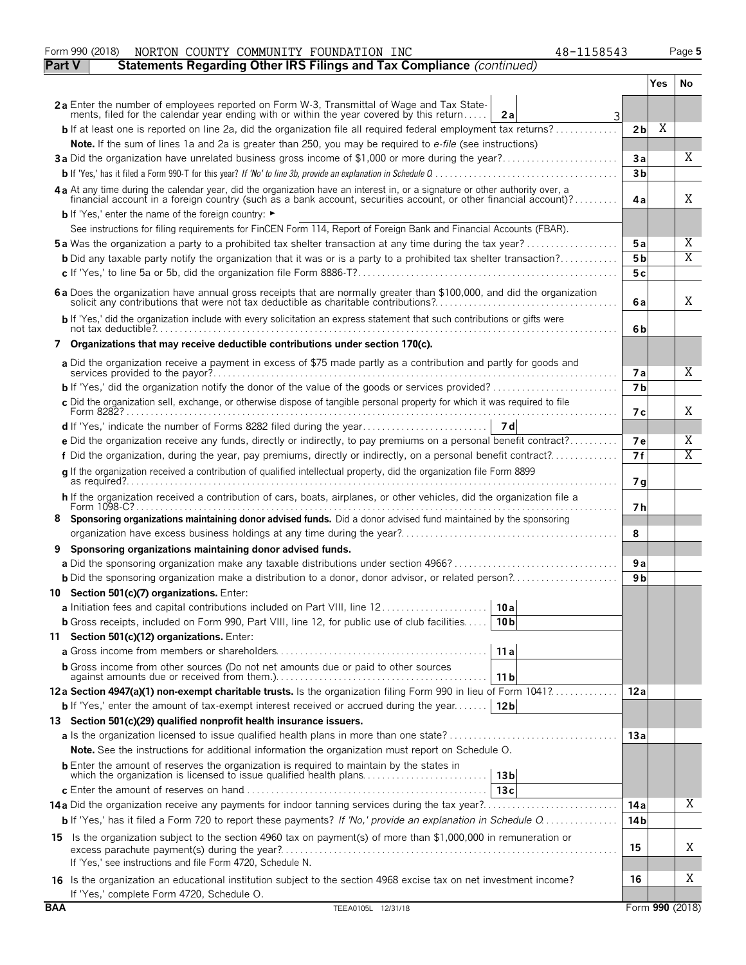|               | Form 990 (2018)<br>NORTON COUNTY COMMUNITY FOUNDATION INC<br>48-1158543                                                                                                                                                                          |                 |     | Page 5          |
|---------------|--------------------------------------------------------------------------------------------------------------------------------------------------------------------------------------------------------------------------------------------------|-----------------|-----|-----------------|
| <b>Part V</b> | Statements Regarding Other IRS Filings and Tax Compliance (continued)                                                                                                                                                                            |                 |     |                 |
|               |                                                                                                                                                                                                                                                  |                 | Yes | No.             |
|               | 2a Enter the number of employees reported on Form W-3, Transmittal of Wage and Tax State-<br>ments, filed for the calendar year ending with or within the year covered by this return<br>2a<br>3                                                 |                 |     |                 |
|               | <b>b</b> If at least one is reported on line 2a, did the organization file all required federal employment tax returns?                                                                                                                          | 2 <sub>b</sub>  | Χ   |                 |
|               | Note. If the sum of lines 1a and 2a is greater than 250, you may be required to e-file (see instructions)                                                                                                                                        |                 |     |                 |
|               | 3a Did the organization have unrelated business gross income of \$1,000 or more during the year?                                                                                                                                                 | За              |     | X               |
|               |                                                                                                                                                                                                                                                  | 3 <sub>b</sub>  |     |                 |
|               | 4a At any time during the calendar year, did the organization have an interest in, or a signature or other authority over, a<br>financial account in a foreign country (such as a bank account, securities account, or other financial account)? | 4a              |     | X               |
|               | <b>b</b> If 'Yes,' enter the name of the foreign country: ►                                                                                                                                                                                      |                 |     |                 |
|               | See instructions for filing requirements for FinCEN Form 114, Report of Foreign Bank and Financial Accounts (FBAR).                                                                                                                              |                 |     |                 |
|               | <b>5a</b> Was the organization a party to a prohibited tax shelter transaction at any time during the tax year?                                                                                                                                  | 5а              |     | Χ<br>X          |
|               | <b>b</b> Did any taxable party notify the organization that it was or is a party to a prohibited tax shelter transaction?                                                                                                                        | 5b              |     |                 |
|               |                                                                                                                                                                                                                                                  | 5 c             |     |                 |
|               | 6 a Does the organization have annual gross receipts that are normally greater than \$100,000, and did the organization solicit any contributions that were not tax deductible as charitable contributions?                                      | 6a              |     | X               |
|               | b If 'Yes,' did the organization include with every solicitation an express statement that such contributions or gifts were                                                                                                                      | 6b              |     |                 |
|               | 7 Organizations that may receive deductible contributions under section 170(c).                                                                                                                                                                  |                 |     |                 |
|               | a Did the organization receive a payment in excess of \$75 made partly as a contribution and partly for goods and                                                                                                                                | 7а              |     | Χ               |
|               |                                                                                                                                                                                                                                                  | 7 <sub>b</sub>  |     |                 |
|               | c Did the organization sell, exchange, or otherwise dispose of tangible personal property for which it was required to file                                                                                                                      | 7 с             |     | X               |
|               |                                                                                                                                                                                                                                                  |                 |     |                 |
|               | e Did the organization receive any funds, directly or indirectly, to pay premiums on a personal benefit contract?                                                                                                                                | 7е              |     | Χ               |
|               | f Did the organization, during the year, pay premiums, directly or indirectly, on a personal benefit contract?                                                                                                                                   | 7f              |     | Χ               |
|               | g If the organization received a contribution of qualified intellectual property, did the organization file Form 8899                                                                                                                            | 7 g             |     |                 |
|               | h If the organization received a contribution of cars, boats, airplanes, or other vehicles, did the organization file a                                                                                                                          | 7 h             |     |                 |
| 8             | Sponsoring organizations maintaining donor advised funds. Did a donor advised fund maintained by the sponsoring                                                                                                                                  |                 |     |                 |
|               |                                                                                                                                                                                                                                                  | 8               |     |                 |
| 9             | Sponsoring organizations maintaining donor advised funds.                                                                                                                                                                                        |                 |     |                 |
|               |                                                                                                                                                                                                                                                  | 9a              |     |                 |
|               | <b>b</b> Did the sponsoring organization make a distribution to a donor, donor advisor, or related person?                                                                                                                                       | 9 <sub>b</sub>  |     |                 |
|               | 10 Section 501(c)(7) organizations. Enter:                                                                                                                                                                                                       |                 |     |                 |
|               | a Initiation fees and capital contributions included on Part VIII, line 12<br>10 a                                                                                                                                                               |                 |     |                 |
|               | <b>b</b> Gross receipts, included on Form 990, Part VIII, line 12, for public use of club facilities<br>10 <sub>b</sub>                                                                                                                          |                 |     |                 |
|               | 11 Section 501(c)(12) organizations. Enter:                                                                                                                                                                                                      |                 |     |                 |
|               | 11a                                                                                                                                                                                                                                              |                 |     |                 |
|               | <b>b</b> Gross income from other sources (Do not net amounts due or paid to other sources<br>11 b                                                                                                                                                |                 |     |                 |
|               | 12a Section 4947(a)(1) non-exempt charitable trusts. Is the organization filing Form 990 in lieu of Form 1041?                                                                                                                                   | 12a             |     |                 |
|               | 12 <sub>b</sub><br><b>b</b> If 'Yes,' enter the amount of tax-exempt interest received or accrued during the year                                                                                                                                |                 |     |                 |
|               | 13 Section 501(c)(29) qualified nonprofit health insurance issuers.                                                                                                                                                                              |                 |     |                 |
|               |                                                                                                                                                                                                                                                  | 13 a            |     |                 |
|               | <b>Note.</b> See the instructions for additional information the organization must report on Schedule O.                                                                                                                                         |                 |     |                 |
|               | <b>b</b> Enter the amount of reserves the organization is required to maintain by the states in<br>which the organization is licensed to issue qualified health plans<br>13 <sub>b</sub>                                                         |                 |     |                 |
|               | 13c                                                                                                                                                                                                                                              |                 |     |                 |
|               |                                                                                                                                                                                                                                                  | 14 a            |     | Χ               |
|               | <b>b</b> If 'Yes,' has it filed a Form 720 to report these payments? If 'No,' provide an explanation in Schedule O                                                                                                                               | 14 <sub>b</sub> |     |                 |
|               | 15 Is the organization subject to the section 4960 tax on payment(s) of more than \$1,000,000 in remuneration or                                                                                                                                 | 15              |     | Χ               |
|               | If 'Yes,' see instructions and file Form 4720, Schedule N.                                                                                                                                                                                       |                 |     |                 |
|               | 16 Is the organization an educational institution subject to the section 4968 excise tax on net investment income?<br>If 'Yes,' complete Form 4720, Schedule O.                                                                                  | 16              |     | Χ               |
| <b>BAA</b>    | TEEA0105L 12/31/18                                                                                                                                                                                                                               |                 |     | Form 990 (2018) |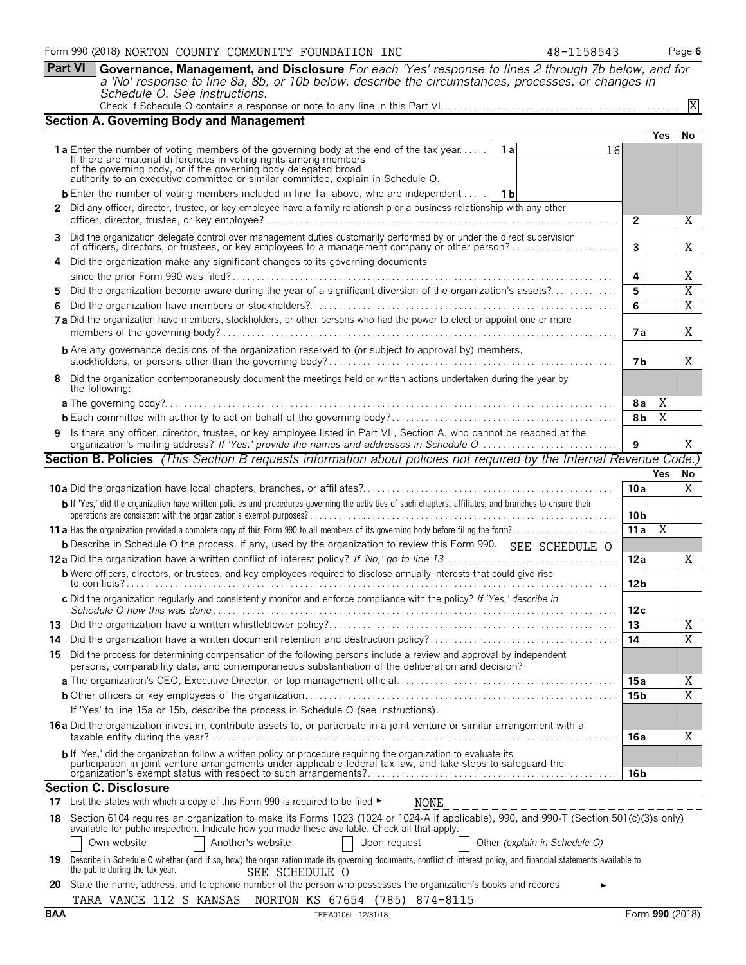**Part VI Governance, Management, and Disclosure** *For each 'Yes' response to lines 2 through 7b below, and for a 'No' response to line 8a, 8b, or 10b below, describe the circumstances, processes, or changes in Schedule O. See instructions.*

| Check if Schedule O contains a response or note to any line in this Part VI |  |  |  |
|-----------------------------------------------------------------------------|--|--|--|
|                                                                             |  |  |  |

|    | Section A. Governing Body and Management                                                                                                                                                                                                                                                                                                 |                 |                |                         |  |  |  |  |  |  |
|----|------------------------------------------------------------------------------------------------------------------------------------------------------------------------------------------------------------------------------------------------------------------------------------------------------------------------------------------|-----------------|----------------|-------------------------|--|--|--|--|--|--|
|    |                                                                                                                                                                                                                                                                                                                                          |                 | <b>Yes</b>     | No                      |  |  |  |  |  |  |
|    | <b>1a</b> Enter the number of voting members of the governing body at the end of the tax year <b>1a</b><br>16<br>If there are material differences in voting rights among members<br>of the governing body, or if the governing body delegated broad<br>authority to an executive committee or similar committee, explain in Schedule O. |                 |                |                         |  |  |  |  |  |  |
|    | <b>b</b> Enter the number of voting members included in line 1a, above, who are independent    1b                                                                                                                                                                                                                                        |                 |                |                         |  |  |  |  |  |  |
|    | 2 Did any officer, director, trustee, or key employee have a family relationship or a business relationship with any other                                                                                                                                                                                                               |                 |                |                         |  |  |  |  |  |  |
|    |                                                                                                                                                                                                                                                                                                                                          | $\overline{2}$  |                | X                       |  |  |  |  |  |  |
| 3  | Did the organization delegate control over management duties customarily performed by or under the direct supervision<br>of officers, directors, or trustees, or key employees to a management company or other person?                                                                                                                  | 3               |                | Χ                       |  |  |  |  |  |  |
| 4  | Did the organization make any significant changes to its governing documents                                                                                                                                                                                                                                                             | 4               |                | Χ                       |  |  |  |  |  |  |
|    | Did the organization become aware during the year of a significant diversion of the organization's assets?                                                                                                                                                                                                                               | 5               |                | $\overline{X}$          |  |  |  |  |  |  |
| 6  |                                                                                                                                                                                                                                                                                                                                          | 6               |                | $\overline{X}$          |  |  |  |  |  |  |
|    | 7a Did the organization have members, stockholders, or other persons who had the power to elect or appoint one or more                                                                                                                                                                                                                   | 7 a             |                | X                       |  |  |  |  |  |  |
|    | <b>b</b> Are any governance decisions of the organization reserved to (or subject to approval by) members,                                                                                                                                                                                                                               | 7 <sub>b</sub>  |                | Χ                       |  |  |  |  |  |  |
| 8  | Did the organization contemporaneously document the meetings held or written actions undertaken during the year by<br>the following:                                                                                                                                                                                                     |                 |                |                         |  |  |  |  |  |  |
|    |                                                                                                                                                                                                                                                                                                                                          | 8a              | Χ              |                         |  |  |  |  |  |  |
|    |                                                                                                                                                                                                                                                                                                                                          | 8 <sub>b</sub>  | $\overline{X}$ |                         |  |  |  |  |  |  |
| 9  | Is there any officer, director, trustee, or key employee listed in Part VII, Section A, who cannot be reached at the                                                                                                                                                                                                                     |                 |                |                         |  |  |  |  |  |  |
|    | Section B. Policies (This Section B requests information about policies not required by the Internal Revenue Code.)                                                                                                                                                                                                                      |                 |                |                         |  |  |  |  |  |  |
|    |                                                                                                                                                                                                                                                                                                                                          |                 | <b>Yes</b>     | No.                     |  |  |  |  |  |  |
|    |                                                                                                                                                                                                                                                                                                                                          | 10a             |                | Χ                       |  |  |  |  |  |  |
|    | b If 'Yes,' did the organization have written policies and procedures governing the activities of such chapters, affiliates, and branches to ensure their                                                                                                                                                                                | 10 <sub>b</sub> |                |                         |  |  |  |  |  |  |
|    |                                                                                                                                                                                                                                                                                                                                          | 11a             | $\overline{X}$ |                         |  |  |  |  |  |  |
|    | <b>b</b> Describe in Schedule O the process, if any, used by the organization to review this Form 990. SEE SCHEDULE O                                                                                                                                                                                                                    |                 |                |                         |  |  |  |  |  |  |
|    |                                                                                                                                                                                                                                                                                                                                          | 12a             |                | Χ                       |  |  |  |  |  |  |
|    | <b>b</b> Were officers, directors, or trustees, and key employees required to disclose annually interests that could give rise                                                                                                                                                                                                           | 12 <sub>b</sub> |                |                         |  |  |  |  |  |  |
|    | c Did the organization regularly and consistently monitor and enforce compliance with the policy? If 'Yes,' describe in                                                                                                                                                                                                                  | 12c             |                |                         |  |  |  |  |  |  |
|    |                                                                                                                                                                                                                                                                                                                                          | 13              |                | Χ                       |  |  |  |  |  |  |
|    |                                                                                                                                                                                                                                                                                                                                          | 14              |                | $\overline{\text{X}}$   |  |  |  |  |  |  |
| 15 | Did the process for determining compensation of the following persons include a review and approval by independent<br>persons, comparability data, and contemporaneous substantiation of the deliberation and decision?                                                                                                                  |                 |                |                         |  |  |  |  |  |  |
|    |                                                                                                                                                                                                                                                                                                                                          | 15 a            |                | Χ                       |  |  |  |  |  |  |
|    |                                                                                                                                                                                                                                                                                                                                          | 15 b            |                | $\overline{\mathrm{X}}$ |  |  |  |  |  |  |
|    | If 'Yes' to line 15a or 15b, describe the process in Schedule O (see instructions).                                                                                                                                                                                                                                                      |                 |                |                         |  |  |  |  |  |  |
|    | 16 a Did the organization invest in, contribute assets to, or participate in a joint venture or similar arrangement with a                                                                                                                                                                                                               | 16 a            |                | Χ                       |  |  |  |  |  |  |
|    | b If 'Yes,' did the organization follow a written policy or procedure requiring the organization to evaluate its<br>participation in joint venture arrangements under applicable federal tax law, and take steps to safeguard the                                                                                                        | 16 b            |                |                         |  |  |  |  |  |  |
|    | <b>Section C. Disclosure</b>                                                                                                                                                                                                                                                                                                             |                 |                |                         |  |  |  |  |  |  |
| 17 | List the states with which a copy of this Form 990 is required to be filed ►<br>NONE                                                                                                                                                                                                                                                     |                 |                |                         |  |  |  |  |  |  |
| 18 | Section 6104 requires an organization to make its Forms 1023 (1024 or 1024-A if applicable), 990, and 990-T (Section 501(c)(3)s only)<br>available for public inspection. Indicate how you made these available. Check all that apply.                                                                                                   |                 |                |                         |  |  |  |  |  |  |
|    | Another's website<br>Own website<br>Upon request<br>Other (explain in Schedule O)                                                                                                                                                                                                                                                        |                 |                |                         |  |  |  |  |  |  |
| 19 | Describe in Schedule O whether (and if so, how) the organization made its governing documents, conflict of interest policy, and financial statements available to<br>the public during the tax year.<br>SEE SCHEDULE O                                                                                                                   |                 |                |                         |  |  |  |  |  |  |
| 20 | State the name, address, and telephone number of the person who possesses the organization's books and records                                                                                                                                                                                                                           |                 |                |                         |  |  |  |  |  |  |

X

|  | ., | ×<br>۰. | ∸◡◡<br>., | M. |  |
|--|----|---------|-----------|----|--|
|  |    |         |           |    |  |

Check if Schedule O contains a response or note to any line in this Part VI. . . . . . . . . . . . . . . . . . . . . . . . . . . . . . . . . . . . . . . . . . . . . . . . . .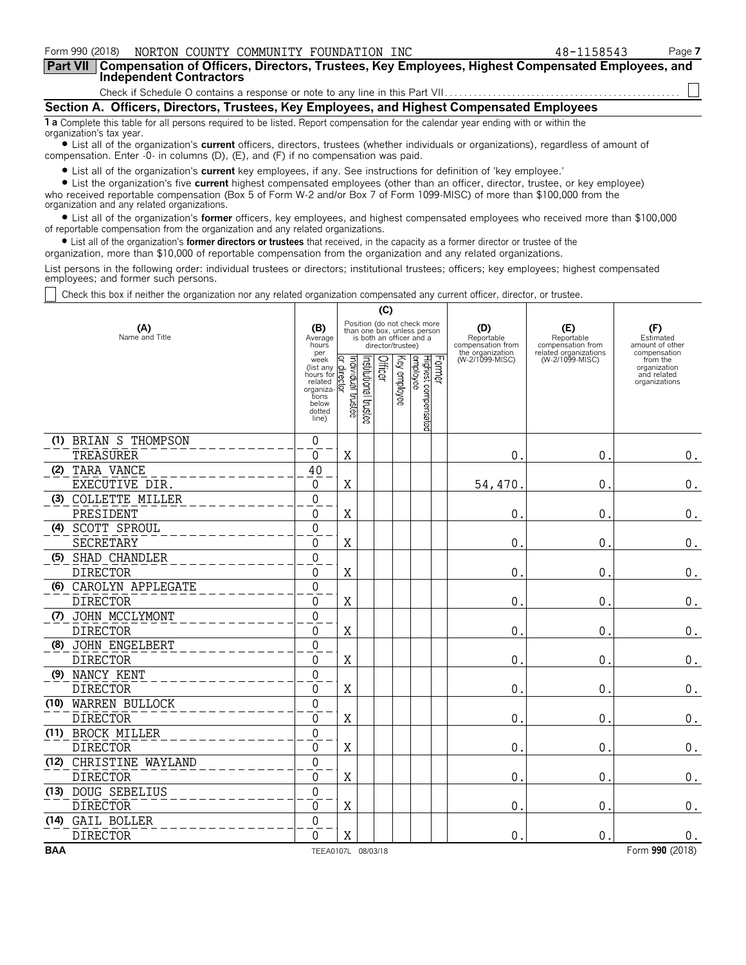| Form 990 (2018)<br>NORTON COUNTY COMMUNITY FOUNDATION INC                                                                                                                                                                                                                                                                                                                                                                        | 48-1158543 | Page 7 |
|----------------------------------------------------------------------------------------------------------------------------------------------------------------------------------------------------------------------------------------------------------------------------------------------------------------------------------------------------------------------------------------------------------------------------------|------------|--------|
| Part VII   Compensation of Officers, Directors, Trustees, Key Employees, Highest Compensated Employees, and<br><b>Independent Contractors</b>                                                                                                                                                                                                                                                                                    |            |        |
|                                                                                                                                                                                                                                                                                                                                                                                                                                  |            |        |
| Section A. Officers, Directors, Trustees, Key Employees, and Highest Compensated Employees                                                                                                                                                                                                                                                                                                                                       |            |        |
| 1 a Complete this table for all persons required to be listed. Report compensation for the calendar year ending with or within the<br>organization's tax year.<br>• List all of the organization's <b>current</b> officers, directors, trustees (whether individuals or organizations), regardless of amount of<br>compensation. Enter -0- in columns (D), $(E)$ , and $(F)$ if no compensation was paid.                        |            |        |
| • List all of the organization's current key employees, if any. See instructions for definition of 'key employee.'<br>• List the organization's five current highest compensated employees (other than an officer, director, trustee, or key employee)<br>who received reportable compensation (Box 5 of Form W-2 and/or Box 7 of Form 1099-MISC) of more than \$100,000 from the<br>organization and any related organizations. |            |        |

? List all of the organization's **former** officers, key employees, and highest compensated employees who received more than \$100,000 of reportable compensation from the organization and any related organizations.

? List all of the organization's **former directors or trustees** that received, in the capacity as a former director or trustee of the

organization, more than \$10,000 of reportable compensation from the organization and any related organizations.

List persons in the following order: individual trustees or directors; institutional trustees; officers; key employees; highest compensated employees; and former such persons.

Check this box if neither the organization nor any related organization compensated any current officer, director, or trustee.

|            |                        |                                                                                            | (C)                              |                       |         |                   |                                                                                        |        |                                                            |                                          |                                                          |
|------------|------------------------|--------------------------------------------------------------------------------------------|----------------------------------|-----------------------|---------|-------------------|----------------------------------------------------------------------------------------|--------|------------------------------------------------------------|------------------------------------------|----------------------------------------------------------|
|            | (A)<br>Name and Title  | (B)<br>Average<br>hours<br>per                                                             |                                  |                       |         | director/trustee) | Position (do not check more<br>than one box, unless person<br>is both an officer and a |        | (D)<br>Reportable<br>compensation from<br>the organization | (E)<br>Reportable<br>compensation from   | (F)<br>Estimated<br>amount of other<br>compensation      |
|            |                        | week<br>(list any<br>hours for<br>related<br>organiza<br>tions<br>below<br>dotted<br>line) | əətsut laubivibni<br>direct<br>হ | Institutional trustee | Officer | Key employee      | Highest compensated<br>employee                                                        | Former | (W-2/1099-MISC)                                            | related organizations<br>(W-2/1099-MISC) | from the<br>organization<br>and related<br>organizations |
|            | (1) BRIAN S THOMPSON   | $\pmb{0}$                                                                                  |                                  |                       |         |                   |                                                                                        |        |                                                            |                                          |                                                          |
|            | TREASURER              | $\Omega$                                                                                   | X                                |                       |         |                   |                                                                                        |        | 0                                                          | $\mathbf 0$                              | 0.                                                       |
|            | (2) TARA VANCE         | 40                                                                                         |                                  |                       |         |                   |                                                                                        |        |                                                            |                                          |                                                          |
|            | EXECUTIVE DIR          | $\Omega$                                                                                   | X                                |                       |         |                   |                                                                                        |        | 54,470                                                     | 0                                        | 0.                                                       |
| (3)        | <b>COLLETTE MILLER</b> | $\overline{0}$                                                                             |                                  |                       |         |                   |                                                                                        |        |                                                            |                                          |                                                          |
|            | PRESIDENT              | $\Omega$                                                                                   | $\rm X$                          |                       |         |                   |                                                                                        |        | 0                                                          | 0                                        | 0.                                                       |
|            | (4) SCOTT SPROUL       | $\overline{0}$                                                                             |                                  |                       |         |                   |                                                                                        |        |                                                            |                                          |                                                          |
|            | <b>SECRETARY</b>       | $\Omega$                                                                                   | $\mathbf X$                      |                       |         |                   |                                                                                        |        | 0                                                          | 0                                        | $\boldsymbol{0}$ .                                       |
|            | (5) SHAD CHANDLER      | $\overline{0}$                                                                             |                                  |                       |         |                   |                                                                                        |        |                                                            |                                          |                                                          |
|            | <b>DIRECTOR</b>        | $\Omega$                                                                                   | X                                |                       |         |                   |                                                                                        |        | 0                                                          | 0                                        | 0.                                                       |
|            | (6) CAROLYN APPLEGATE  | $\overline{0}$                                                                             |                                  |                       |         |                   |                                                                                        |        |                                                            |                                          |                                                          |
|            | <b>DIRECTOR</b>        | $\mathbf{0}$                                                                               | X                                |                       |         |                   |                                                                                        |        | 0                                                          | 0                                        | 0.                                                       |
|            | (7) JOHN MCCLYMONT     | $\overline{0}$                                                                             |                                  |                       |         |                   |                                                                                        |        |                                                            |                                          |                                                          |
|            | <b>DIRECTOR</b>        | 0                                                                                          | Χ                                |                       |         |                   |                                                                                        |        | 0                                                          | $\mathbf 0$                              | $\boldsymbol{0}$ .                                       |
|            | (8) JOHN ENGELBERT     | $\mathbf 0$                                                                                |                                  |                       |         |                   |                                                                                        |        |                                                            |                                          |                                                          |
|            | <b>DIRECTOR</b>        | $\Omega$                                                                                   | X                                |                       |         |                   |                                                                                        |        | 0                                                          | 0                                        | 0.                                                       |
|            | (9) NANCY KENT         | $\overline{0}$                                                                             |                                  |                       |         |                   |                                                                                        |        |                                                            |                                          |                                                          |
|            | <b>DIRECTOR</b>        | $\Omega$                                                                                   | $\rm X$                          |                       |         |                   |                                                                                        |        | 0                                                          | $\mathbf 0$                              | $\boldsymbol{0}$ .                                       |
|            | (10) WARREN BULLOCK    | $\overline{0}$                                                                             |                                  |                       |         |                   |                                                                                        |        |                                                            |                                          |                                                          |
|            | <b>DIRECTOR</b>        | 0                                                                                          | X                                |                       |         |                   |                                                                                        |        | 0                                                          | 0                                        | 0.                                                       |
|            | (11) BROCK MILLER      | $\overline{0}$                                                                             |                                  |                       |         |                   |                                                                                        |        |                                                            |                                          |                                                          |
|            | <b>DIRECTOR</b>        | $\Omega$                                                                                   | X                                |                       |         |                   |                                                                                        |        | 0                                                          | 0.                                       | $0$ .                                                    |
|            | (12) CHRISTINE WAYLAND | $\overline{0}$                                                                             |                                  |                       |         |                   |                                                                                        |        |                                                            |                                          |                                                          |
|            | <b>DIRECTOR</b>        | $\mathbf 0$                                                                                | X                                |                       |         |                   |                                                                                        |        | 0                                                          | $\mathbf 0$                              | $\boldsymbol{0}$ .                                       |
|            | (13) DOUG SEBELIUS     | $\overline{0}$                                                                             |                                  |                       |         |                   |                                                                                        |        |                                                            |                                          |                                                          |
|            | <b>DIRECTOR</b>        | $\Omega$                                                                                   | X                                |                       |         |                   |                                                                                        |        | 0                                                          | 0                                        | 0.                                                       |
|            | (14) GAIL BOLLER       | 0                                                                                          |                                  |                       |         |                   |                                                                                        |        |                                                            |                                          |                                                          |
|            | <b>DIRECTOR</b>        | $\Omega$                                                                                   | X                                |                       |         |                   |                                                                                        |        | 0                                                          | $\mathbf 0$                              | 0.                                                       |
| <b>BAA</b> |                        | TEEA0107L 08/03/18                                                                         |                                  |                       |         |                   |                                                                                        |        |                                                            |                                          | Form 990 (2018)                                          |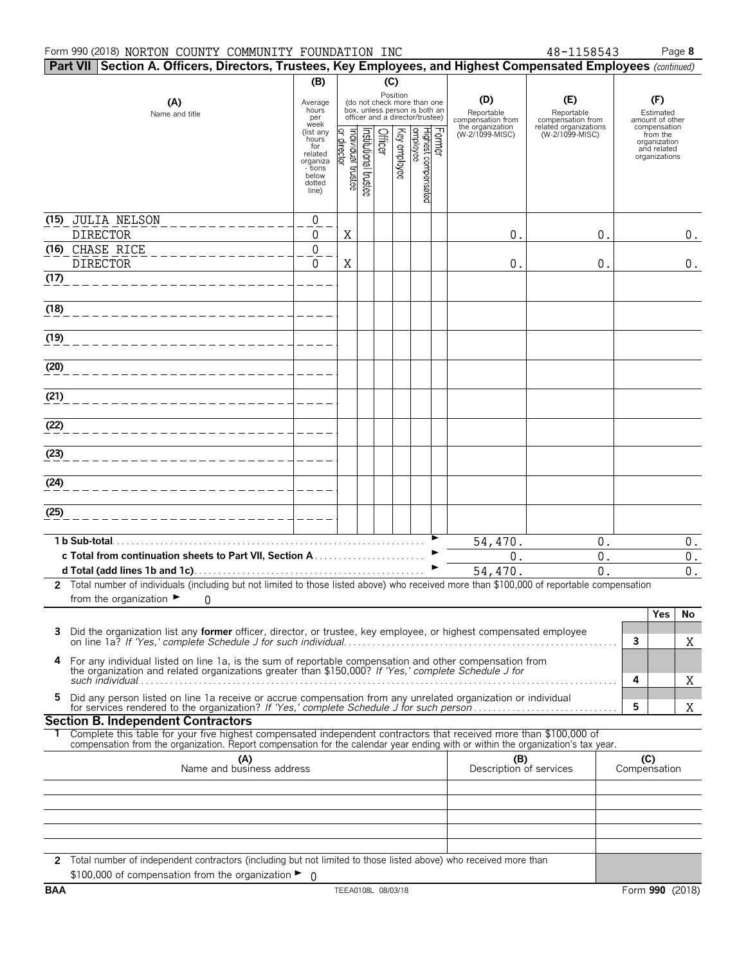| Part VII Section A. Officers, Directors, Trustees, Key Employees, and Highest Compensated Employees (continued)                                                                                                                                        |                                 |                                  |                      |         |              |                                                                                                 |                                        |                                          |              |                                          |                                      |
|--------------------------------------------------------------------------------------------------------------------------------------------------------------------------------------------------------------------------------------------------------|---------------------------------|----------------------------------|----------------------|---------|--------------|-------------------------------------------------------------------------------------------------|----------------------------------------|------------------------------------------|--------------|------------------------------------------|--------------------------------------|
|                                                                                                                                                                                                                                                        | (B)                             |                                  |                      | (C)     |              |                                                                                                 |                                        |                                          |              |                                          |                                      |
| (A)<br>Name and title                                                                                                                                                                                                                                  | Average<br>hours<br>per<br>week |                                  |                      |         | Position     | (do not check more than one<br>box, unless person is both an<br>officer and a director/trustee) | (D)<br>Reportable<br>compensation from | (E)<br>Reportable<br>compensation from   |              | (F)<br>Estimated<br>amount of other      |                                      |
|                                                                                                                                                                                                                                                        | (list any<br>hours              |                                  |                      | Officer |              | Former<br>Highest compensated<br>employee                                                       | the organization<br>(W-2/1099-MISC)    | related organizations<br>(W-2/1099-MISC) |              | compensation<br>from the<br>organization |                                      |
|                                                                                                                                                                                                                                                        | for<br>related<br>organiza      | Individual trustee<br>c director | nstitutional trustee |         | Key employee |                                                                                                 |                                        |                                          |              | and related<br>organizations             |                                      |
|                                                                                                                                                                                                                                                        | - tions<br>below<br>dotted      |                                  |                      |         |              |                                                                                                 |                                        |                                          |              |                                          |                                      |
|                                                                                                                                                                                                                                                        | line)                           |                                  |                      |         |              |                                                                                                 |                                        |                                          |              |                                          |                                      |
| (15) JULIA NELSON                                                                                                                                                                                                                                      | $\mathbf 0$                     |                                  |                      |         |              |                                                                                                 |                                        |                                          |              |                                          |                                      |
| <b>DIRECTOR</b><br>(16) CHASE RICE                                                                                                                                                                                                                     | 0<br>$\overline{0}$             | Χ                                |                      |         |              |                                                                                                 | 0.                                     | $0$ .                                    |              |                                          | 0.                                   |
| <b>DIRECTOR</b>                                                                                                                                                                                                                                        | 0                               | Χ                                |                      |         |              |                                                                                                 | 0.                                     | 0.                                       |              |                                          | $0$ .                                |
| (17)                                                                                                                                                                                                                                                   |                                 |                                  |                      |         |              |                                                                                                 |                                        |                                          |              |                                          |                                      |
| (18)                                                                                                                                                                                                                                                   |                                 |                                  |                      |         |              |                                                                                                 |                                        |                                          |              |                                          |                                      |
| (19)                                                                                                                                                                                                                                                   |                                 |                                  |                      |         |              |                                                                                                 |                                        |                                          |              |                                          |                                      |
| (20)                                                                                                                                                                                                                                                   |                                 |                                  |                      |         |              |                                                                                                 |                                        |                                          |              |                                          |                                      |
|                                                                                                                                                                                                                                                        |                                 |                                  |                      |         |              |                                                                                                 |                                        |                                          |              |                                          |                                      |
| (21)                                                                                                                                                                                                                                                   |                                 |                                  |                      |         |              |                                                                                                 |                                        |                                          |              |                                          |                                      |
| (22)                                                                                                                                                                                                                                                   |                                 |                                  |                      |         |              |                                                                                                 |                                        |                                          |              |                                          |                                      |
| (23)                                                                                                                                                                                                                                                   |                                 |                                  |                      |         |              |                                                                                                 |                                        |                                          |              |                                          |                                      |
| (24)                                                                                                                                                                                                                                                   |                                 |                                  |                      |         |              |                                                                                                 |                                        |                                          |              |                                          |                                      |
| (25)                                                                                                                                                                                                                                                   |                                 |                                  |                      |         |              |                                                                                                 |                                        |                                          |              |                                          |                                      |
|                                                                                                                                                                                                                                                        |                                 |                                  |                      |         |              |                                                                                                 |                                        |                                          |              |                                          |                                      |
|                                                                                                                                                                                                                                                        |                                 |                                  |                      |         |              |                                                                                                 | 54,470.                                | 0.                                       |              |                                          | $0$ .                                |
|                                                                                                                                                                                                                                                        |                                 |                                  |                      |         |              |                                                                                                 | 0.<br>54,470.                          | 0.<br>$\overline{0}$ .                   |              |                                          | $\overline{0}$ .<br>$\overline{0}$ . |
| 2 Total number of individuals (including but not limited to those listed above) who received more than \$100,000 of reportable compensation                                                                                                            |                                 |                                  |                      |         |              |                                                                                                 |                                        |                                          |              |                                          |                                      |
| from the organization $\blacktriangleright$<br>$\overline{0}$                                                                                                                                                                                          |                                 |                                  |                      |         |              |                                                                                                 |                                        |                                          |              | Yes                                      | No                                   |
| Did the organization list any former officer, director, or trustee, key employee, or highest compensated employee<br>3                                                                                                                                 |                                 |                                  |                      |         |              |                                                                                                 |                                        |                                          |              |                                          |                                      |
| For any individual listed on line 1a, is the sum of reportable compensation and other compensation from<br>4                                                                                                                                           |                                 |                                  |                      |         |              |                                                                                                 |                                        |                                          | 3            |                                          | X                                    |
| the organization and related organizations greater than \$150,000? If 'Yes,' complete Schedule J for                                                                                                                                                   |                                 |                                  |                      |         |              |                                                                                                 |                                        |                                          | 4            |                                          | Χ                                    |
| Did any person listed on line 1a receive or accrue compensation from any unrelated organization or individual<br>5.                                                                                                                                    |                                 |                                  |                      |         |              |                                                                                                 |                                        |                                          |              |                                          |                                      |
| <b>Section B. Independent Contractors</b>                                                                                                                                                                                                              |                                 |                                  |                      |         |              |                                                                                                 |                                        |                                          | 5            |                                          | Χ                                    |
| Complete this table for your five highest compensated independent contractors that received more than \$100,000 of<br>compensation from the organization. Report compensation for the calendar year ending with or within the organization's tax year. |                                 |                                  |                      |         |              |                                                                                                 |                                        |                                          |              |                                          |                                      |
| (A)<br>Name and business address                                                                                                                                                                                                                       |                                 |                                  |                      |         |              |                                                                                                 | (B)<br>Description of services         |                                          | Compensation | (C)                                      |                                      |
|                                                                                                                                                                                                                                                        |                                 |                                  |                      |         |              |                                                                                                 |                                        |                                          |              |                                          |                                      |
|                                                                                                                                                                                                                                                        |                                 |                                  |                      |         |              |                                                                                                 |                                        |                                          |              |                                          |                                      |
|                                                                                                                                                                                                                                                        |                                 |                                  |                      |         |              |                                                                                                 |                                        |                                          |              |                                          |                                      |
|                                                                                                                                                                                                                                                        |                                 |                                  |                      |         |              |                                                                                                 |                                        |                                          |              |                                          |                                      |
| 2 Total number of independent contractors (including but not limited to those listed above) who received more than<br>\$100,000 of compensation from the organization $\blacktriangleright$ 0                                                          |                                 |                                  |                      |         |              |                                                                                                 |                                        |                                          |              |                                          |                                      |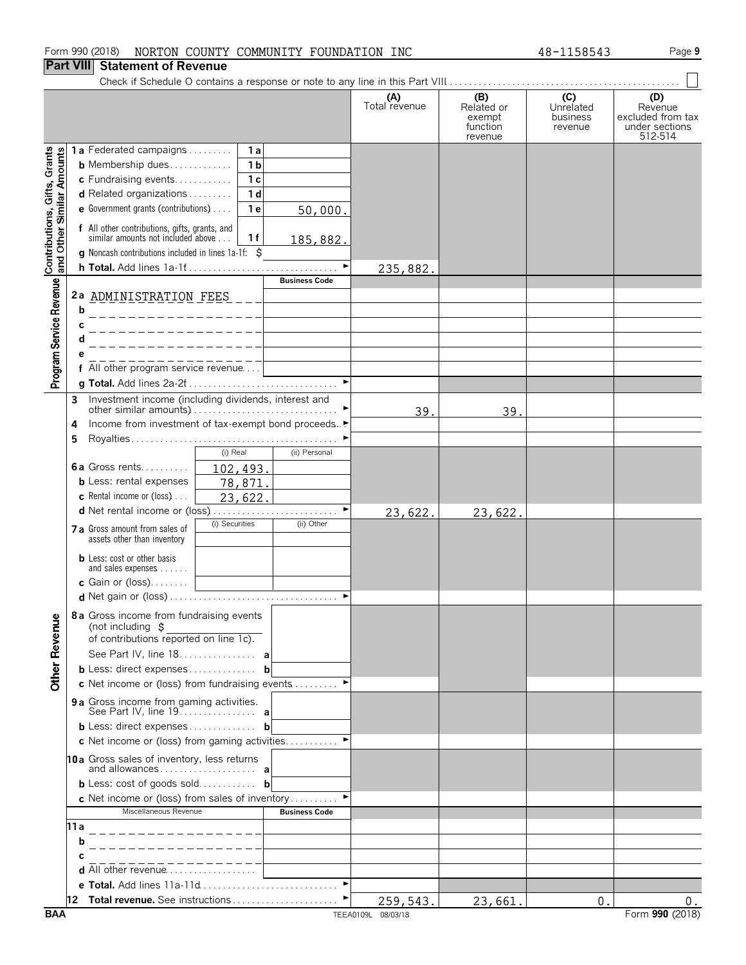#### **Part VIII Statement of Revenue**

Check if Schedule O contains a response or note to any line in this Part VIII. . . . . . . . . . . . . . . . . . . . . . . . . . . . . . . . . . . . . . . . . . . . . . . . .

|                                                           |                                                                                                        | (A)<br>Total revenue | (B)<br>Related or<br>exempt<br>function<br>revenue | (C)<br>Unrelated<br>business<br>revenue | (D)<br>Revenue<br>excluded from tax<br>under sections<br>512-514 |
|-----------------------------------------------------------|--------------------------------------------------------------------------------------------------------|----------------------|----------------------------------------------------|-----------------------------------------|------------------------------------------------------------------|
|                                                           | <b>1a</b> Federated campaigns<br>1 a                                                                   |                      |                                                    |                                         |                                                                  |
|                                                           | 1 <sub>b</sub>                                                                                         |                      |                                                    |                                         |                                                                  |
|                                                           | <b>b</b> Membership dues                                                                               |                      |                                                    |                                         |                                                                  |
|                                                           | c Fundraising events<br>1 <sub>c</sub>                                                                 |                      |                                                    |                                         |                                                                  |
|                                                           | 1 <sub>d</sub><br>d Related organizations                                                              |                      |                                                    |                                         |                                                                  |
|                                                           | e Government grants (contributions)<br>1 e<br>50,000.                                                  |                      |                                                    |                                         |                                                                  |
| Contributions, Gifts, Grants<br>and Other Similar Amounts | f All other contributions, gifts, grants, and<br>similar amounts not included above<br>1 f<br>185,882. |                      |                                                    |                                         |                                                                  |
|                                                           | g Noncash contributions included in lines 1a-1f: \$                                                    |                      |                                                    |                                         |                                                                  |
|                                                           |                                                                                                        | 235,882.             |                                                    |                                         |                                                                  |
|                                                           | <b>Business Code</b>                                                                                   |                      |                                                    |                                         |                                                                  |
|                                                           | 2a ADMINISTRATION FEES ___                                                                             |                      |                                                    |                                         |                                                                  |
|                                                           | b                                                                                                      |                      |                                                    |                                         |                                                                  |
|                                                           |                                                                                                        |                      |                                                    |                                         |                                                                  |
|                                                           | d                                                                                                      |                      |                                                    |                                         |                                                                  |
|                                                           |                                                                                                        |                      |                                                    |                                         |                                                                  |
|                                                           | $\overline{A}$ II other program service revenue                                                        |                      |                                                    |                                         |                                                                  |
| Program Service Revenue                                   |                                                                                                        |                      |                                                    |                                         |                                                                  |
|                                                           |                                                                                                        |                      |                                                    |                                         |                                                                  |
|                                                           | 3                                                                                                      | 39.                  | 39.                                                |                                         |                                                                  |
|                                                           | Income from investment of tax-exempt bond proceeds<br>4                                                |                      |                                                    |                                         |                                                                  |
|                                                           | 5                                                                                                      |                      |                                                    |                                         |                                                                  |
|                                                           | (i) Real<br>(ii) Personal                                                                              |                      |                                                    |                                         |                                                                  |
|                                                           | 6a Gross rents                                                                                         |                      |                                                    |                                         |                                                                  |
|                                                           | 102,493.                                                                                               |                      |                                                    |                                         |                                                                  |
|                                                           | <b>b</b> Less: rental expenses<br>78,871.                                                              |                      |                                                    |                                         |                                                                  |
|                                                           | <b>c</b> Rental income or (loss) $\ldots$<br>23,622.                                                   |                      |                                                    |                                         |                                                                  |
|                                                           | $\blacktriangleright$                                                                                  | 23,622.              | 23,622.                                            |                                         |                                                                  |
|                                                           | (i) Securities<br>(ii) Other<br>7 a Gross amount from sales of                                         |                      |                                                    |                                         |                                                                  |
|                                                           | assets other than inventory                                                                            |                      |                                                    |                                         |                                                                  |
|                                                           | <b>b</b> Less: cost or other basis<br>and sales expenses                                               |                      |                                                    |                                         |                                                                  |
|                                                           | <b>c</b> Gain or (loss). $\ldots$                                                                      |                      |                                                    |                                         |                                                                  |
|                                                           |                                                                                                        |                      |                                                    |                                         |                                                                  |
| <b>Other Revenue</b>                                      | 8a Gross income from fundraising events<br>(not including \$                                           |                      |                                                    |                                         |                                                                  |
|                                                           | (not including $\frac{1}{5}$ of contributions reported on line 1c).                                    |                      |                                                    |                                         |                                                                  |
|                                                           | See Part IV, line 18. a                                                                                |                      |                                                    |                                         |                                                                  |
|                                                           | <b>b</b> Less: direct expenses <b>b</b>                                                                |                      |                                                    |                                         |                                                                  |
|                                                           | c Net income or (loss) from fundraising events                                                         |                      |                                                    |                                         |                                                                  |
|                                                           |                                                                                                        |                      |                                                    |                                         |                                                                  |
|                                                           | <b>b</b> Less: direct expenses <b>b</b>                                                                |                      |                                                    |                                         |                                                                  |
|                                                           | c Net income or (loss) from gaming activities                                                          |                      |                                                    |                                         |                                                                  |
|                                                           |                                                                                                        |                      |                                                    |                                         |                                                                  |
|                                                           | 10a Gross sales of inventory, less returns                                                             |                      |                                                    |                                         |                                                                  |
|                                                           | <b>b</b> Less: cost of goods sold <b>b</b>                                                             |                      |                                                    |                                         |                                                                  |
|                                                           | c Net income or (loss) from sales of inventory                                                         |                      |                                                    |                                         |                                                                  |
|                                                           | Miscellaneous Revenue<br><b>Business Code</b>                                                          |                      |                                                    |                                         |                                                                  |
|                                                           | 11 a                                                                                                   |                      |                                                    |                                         |                                                                  |
|                                                           | b                                                                                                      |                      |                                                    |                                         |                                                                  |
|                                                           |                                                                                                        |                      |                                                    |                                         |                                                                  |
|                                                           | d All other revenue                                                                                    |                      |                                                    |                                         |                                                                  |
|                                                           |                                                                                                        |                      |                                                    |                                         |                                                                  |
|                                                           |                                                                                                        | 259,543.             | 23,661.                                            | 0                                       | 0.                                                               |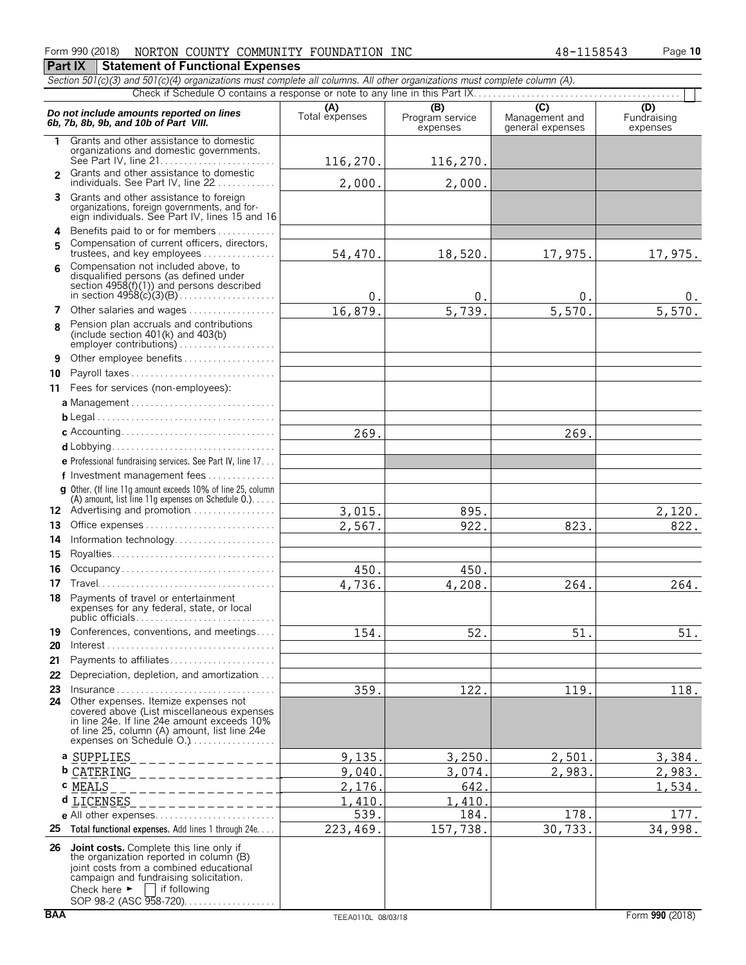#### Form 990 (2018) Page **10** NORTON COUNTY COMMUNITY FOUNDATION INC 48-1158543

### **Part IX | Statement of Functional Expenses**

| 48-1158543 | Page 1 |
|------------|--------|

| Section 501(c)(3) and 501(c)(4) organizations must complete all columns. All other organizations must complete column (A). |                                                                                                                                                                                                                                                          |                |                             |                                    |                         |  |  |  |  |
|----------------------------------------------------------------------------------------------------------------------------|----------------------------------------------------------------------------------------------------------------------------------------------------------------------------------------------------------------------------------------------------------|----------------|-----------------------------|------------------------------------|-------------------------|--|--|--|--|
|                                                                                                                            | $\overline{C}$<br>(B)<br>(D)<br>(A)                                                                                                                                                                                                                      |                |                             |                                    |                         |  |  |  |  |
|                                                                                                                            | Do not include amounts reported on lines<br>6b, 7b, 8b, 9b, and 10b of Part VIII.                                                                                                                                                                        | Total expenses | Program service<br>expenses | Management and<br>general expenses | Fundraising<br>expenses |  |  |  |  |
| 1.                                                                                                                         | Grants and other assistance to domestic                                                                                                                                                                                                                  |                |                             |                                    |                         |  |  |  |  |
|                                                                                                                            | organizations and domestic governments.                                                                                                                                                                                                                  | 116,270.       | 116,270.                    |                                    |                         |  |  |  |  |
| $\overline{2}$                                                                                                             | Grants and other assistance to domestic<br>individuals. See Part IV, line 22                                                                                                                                                                             | 2,000.         | 2,000.                      |                                    |                         |  |  |  |  |
| 3                                                                                                                          | Grants and other assistance to foreign<br>organizations, foreign governments, and for-<br>eign individuals. See Part IV, lines 15 and 16                                                                                                                 |                |                             |                                    |                         |  |  |  |  |
| 4                                                                                                                          | Benefits paid to or for members                                                                                                                                                                                                                          |                |                             |                                    |                         |  |  |  |  |
| 5                                                                                                                          | Compensation of current officers, directors,<br>trustees, and key employees                                                                                                                                                                              | 54,470.        | 18,520.                     | 17,975.                            | 17,975.                 |  |  |  |  |
| 6                                                                                                                          | Compensation not included above, to<br>disqualified persons (as defined under<br>section 4958(f)(1)) and persons described                                                                                                                               | 0.             | 0.                          | 0.                                 | 0.                      |  |  |  |  |
|                                                                                                                            | 7 Other salaries and wages                                                                                                                                                                                                                               | 16,879.        | 5,739.                      | 5,570.                             | 5,570.                  |  |  |  |  |
| <b>R</b>                                                                                                                   | Pension plan accruals and contributions<br>(include section $401(k)$ and $403(b)$                                                                                                                                                                        |                |                             |                                    |                         |  |  |  |  |
| 9                                                                                                                          | Other employee benefits                                                                                                                                                                                                                                  |                |                             |                                    |                         |  |  |  |  |
| 10                                                                                                                         |                                                                                                                                                                                                                                                          |                |                             |                                    |                         |  |  |  |  |
| 11                                                                                                                         | Fees for services (non-employees):                                                                                                                                                                                                                       |                |                             |                                    |                         |  |  |  |  |
|                                                                                                                            | a Management                                                                                                                                                                                                                                             |                |                             |                                    |                         |  |  |  |  |
|                                                                                                                            |                                                                                                                                                                                                                                                          |                |                             |                                    |                         |  |  |  |  |
|                                                                                                                            |                                                                                                                                                                                                                                                          | 269.           |                             | 269.                               |                         |  |  |  |  |
|                                                                                                                            |                                                                                                                                                                                                                                                          |                |                             |                                    |                         |  |  |  |  |
|                                                                                                                            | <b>e</b> Professional fundraising services. See Part IV, line 17                                                                                                                                                                                         |                |                             |                                    |                         |  |  |  |  |
|                                                                                                                            | f Investment management fees                                                                                                                                                                                                                             |                |                             |                                    |                         |  |  |  |  |
|                                                                                                                            | <b>g</b> Other. (If line 11q amount exceeds 10% of line 25, column<br>(A) amount, list line 11g expenses on Schedule $0.$ )                                                                                                                              |                |                             |                                    |                         |  |  |  |  |
|                                                                                                                            | 12 Advertising and promotion                                                                                                                                                                                                                             | 3,015.         | 895.                        |                                    | 2,120.                  |  |  |  |  |
| 13                                                                                                                         |                                                                                                                                                                                                                                                          | 2,567.         | 922.                        | 823.                               | 822.                    |  |  |  |  |
| 14                                                                                                                         | Information technology                                                                                                                                                                                                                                   |                |                             |                                    |                         |  |  |  |  |
| 15                                                                                                                         |                                                                                                                                                                                                                                                          |                |                             |                                    |                         |  |  |  |  |
| 16                                                                                                                         | Occupancy                                                                                                                                                                                                                                                | 450.           | 450.                        |                                    |                         |  |  |  |  |
| 17                                                                                                                         |                                                                                                                                                                                                                                                          | 4,736.         | 4,208.                      | 264.                               | 264.                    |  |  |  |  |
|                                                                                                                            | 18 Payments of travel or entertainment<br>expenses for any federal, state, or local                                                                                                                                                                      |                |                             |                                    |                         |  |  |  |  |
| 19                                                                                                                         | Conferences, conventions, and meetings                                                                                                                                                                                                                   | 154.           | 52.                         | 51.                                | 51.                     |  |  |  |  |
| 20                                                                                                                         | $Interest \dots \dots \dots \dots \dots \dots \dots \dots \dots \dots \dots \dots \dots \dots$                                                                                                                                                           |                |                             |                                    |                         |  |  |  |  |
| 21                                                                                                                         | Payments to affiliates                                                                                                                                                                                                                                   |                |                             |                                    |                         |  |  |  |  |
| 22                                                                                                                         | Depreciation, depletion, and amortization                                                                                                                                                                                                                |                |                             |                                    |                         |  |  |  |  |
| 23                                                                                                                         | Insurance                                                                                                                                                                                                                                                | 359.           | 122.                        | 119.                               | 118.                    |  |  |  |  |
|                                                                                                                            | 24 Other expenses. Itemize expenses not<br>covered above (List miscellaneous expenses<br>in line 24e. If line 24e amount exceeds 10%<br>of line 25, column (A) amount, list line 24e<br>expenses on Schedule O.                                          |                |                             |                                    |                         |  |  |  |  |
|                                                                                                                            | a SUPPLIES                                                                                                                                                                                                                                               | 9,135          | 3,250                       | 2,501                              | 3,384.                  |  |  |  |  |
|                                                                                                                            | <b>b</b> CATERING                                                                                                                                                                                                                                        | 9,040          | 3,074                       | 2,983                              | 2,983.                  |  |  |  |  |
|                                                                                                                            | c MEALS                                                                                                                                                                                                                                                  | 2,176          | 642                         |                                    | 1,534.                  |  |  |  |  |
|                                                                                                                            | d LICENSES                                                                                                                                                                                                                                               | 1,410          | 1,410                       |                                    |                         |  |  |  |  |
|                                                                                                                            |                                                                                                                                                                                                                                                          | 539.           | 184.                        | 178.                               | 177.                    |  |  |  |  |
|                                                                                                                            | 25 Total functional expenses. Add lines 1 through 24e                                                                                                                                                                                                    | 223, 469.      | 157,738.                    | 30,733.                            | 34,998.                 |  |  |  |  |
|                                                                                                                            | 26 Joint costs. Complete this line only if<br>the organization reported in column (B)<br>joint costs from a combined educational<br>campaign and fundraising solicitation.<br>Check here $\blacktriangleright$<br>if following<br>SOP 98-2 (ASC 958-720) |                |                             |                                    |                         |  |  |  |  |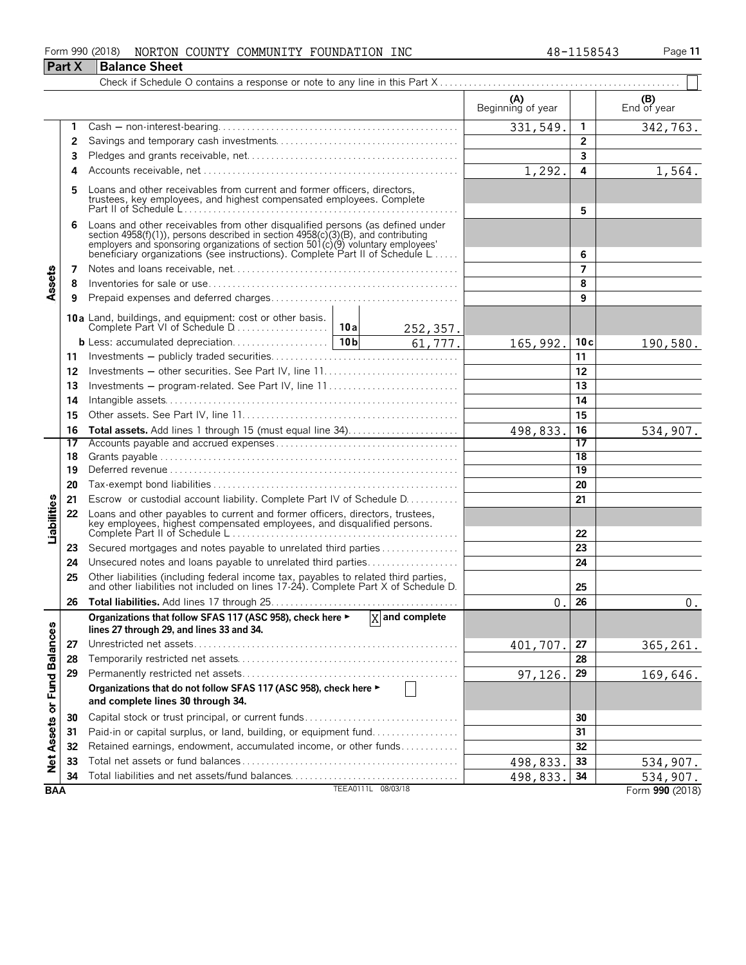#### Form 990 (2018) NORTON COUNTY COMMUNITY FOUNDATION INC 48-1158543 Page 11

|                             | <b>Part X</b> | Balance Sheet                                                                                                                                                                                                                                                                                                        |                          |                         |                    |
|-----------------------------|---------------|----------------------------------------------------------------------------------------------------------------------------------------------------------------------------------------------------------------------------------------------------------------------------------------------------------------------|--------------------------|-------------------------|--------------------|
|                             |               |                                                                                                                                                                                                                                                                                                                      |                          |                         |                    |
|                             |               |                                                                                                                                                                                                                                                                                                                      | (A)<br>Beginning of year |                         | (B)<br>End of year |
|                             | 1             |                                                                                                                                                                                                                                                                                                                      | 331,549.                 | 1                       | 342,763.           |
|                             | 2             |                                                                                                                                                                                                                                                                                                                      |                          | $\overline{2}$          |                    |
|                             | 3             |                                                                                                                                                                                                                                                                                                                      |                          | $\overline{\mathbf{3}}$ |                    |
|                             | 4             |                                                                                                                                                                                                                                                                                                                      | 1,292.                   | 4                       | 1,564.             |
|                             | 5             | Loans and other receivables from current and former officers, directors,<br>trustees, key employees, and highest compensated employees. Complete                                                                                                                                                                     |                          | 5                       |                    |
|                             | 6             | Loans and other receivables from other disqualified persons (as defined under<br>section 4958(f)(1)), persons described in section 4958(c)(3)(B), and contributing<br>employers and sponsoring organizations of section 501(c)(9) voluntary employees'<br>beneficiary organizations (see instructions). Complete Par |                          | 6                       |                    |
|                             | 7             |                                                                                                                                                                                                                                                                                                                      |                          | $\overline{7}$          |                    |
| Assets                      | 8             |                                                                                                                                                                                                                                                                                                                      |                          | 8                       |                    |
|                             | 9             |                                                                                                                                                                                                                                                                                                                      |                          | 9                       |                    |
|                             |               | 252,357.                                                                                                                                                                                                                                                                                                             |                          |                         |                    |
|                             |               | 61,777.                                                                                                                                                                                                                                                                                                              | 165,992.                 | 10c                     | 190,580.           |
|                             | 11            |                                                                                                                                                                                                                                                                                                                      |                          | 11                      |                    |
|                             | 12            |                                                                                                                                                                                                                                                                                                                      |                          | 12                      |                    |
|                             | 13            | Investments – program-related. See Part IV, line 11                                                                                                                                                                                                                                                                  |                          | 13                      |                    |
|                             | 14            |                                                                                                                                                                                                                                                                                                                      |                          | 14                      |                    |
|                             | 15            |                                                                                                                                                                                                                                                                                                                      |                          | 15                      |                    |
|                             | 16            |                                                                                                                                                                                                                                                                                                                      | 498,833.                 | 16                      | 534,907.           |
|                             | 17            |                                                                                                                                                                                                                                                                                                                      |                          | 17                      |                    |
|                             | 18            |                                                                                                                                                                                                                                                                                                                      |                          | $\overline{18}$         |                    |
|                             | 19            |                                                                                                                                                                                                                                                                                                                      |                          | $\overline{19}$         |                    |
|                             | 20            |                                                                                                                                                                                                                                                                                                                      |                          | 20                      |                    |
|                             | 21            | Escrow or custodial account liability. Complete Part IV of Schedule D.                                                                                                                                                                                                                                               |                          | 21                      |                    |
| <b>Liabilities</b>          | 22            | Loans and other payables to current and former officers, directors, trustees,                                                                                                                                                                                                                                        |                          | 22                      |                    |
|                             | 23            | Secured mortgages and notes payable to unrelated third parties                                                                                                                                                                                                                                                       |                          | 23                      |                    |
|                             | 24            | Unsecured notes and loans payable to unrelated third parties                                                                                                                                                                                                                                                         |                          | 24                      |                    |
|                             | 25            | Other liabilities (including federal income tax, payables to related third parties, and other liabilities not included on lines 17-24). Complete Part X of Schedule D.                                                                                                                                               |                          | 25                      |                    |
|                             | 26            |                                                                                                                                                                                                                                                                                                                      | 0.                       | 26                      | $0$ .              |
|                             |               | and complete<br>Organizations that follow SFAS 117 (ASC 958), check here ►<br>X<br>lines 27 through 29, and lines 33 and 34.                                                                                                                                                                                         |                          |                         |                    |
|                             | 27            |                                                                                                                                                                                                                                                                                                                      | 401,707.                 | 27                      | 365, 261.          |
|                             | 28            |                                                                                                                                                                                                                                                                                                                      |                          | 28                      |                    |
|                             | 29            |                                                                                                                                                                                                                                                                                                                      | 97,126.                  | 29                      | 169,646.           |
| Net Assets or Fund Balances |               | Organizations that do not follow SFAS 117 (ASC 958), check here ►<br>and complete lines 30 through 34.                                                                                                                                                                                                               |                          |                         |                    |
|                             | 30            |                                                                                                                                                                                                                                                                                                                      |                          | 30                      |                    |
|                             | 31            | Paid-in or capital surplus, or land, building, or equipment fund                                                                                                                                                                                                                                                     |                          | 31                      |                    |
|                             | 32            | Retained earnings, endowment, accumulated income, or other funds                                                                                                                                                                                                                                                     |                          | 32                      |                    |
|                             | 33            |                                                                                                                                                                                                                                                                                                                      | 498,833.                 | 33                      | 534,907.           |
|                             | 34            | Total liabilities and net assets/fund balances                                                                                                                                                                                                                                                                       | 498,833.                 | 34                      | 534,907.           |
| <b>BAA</b>                  |               | TEEA0111L 08/03/18                                                                                                                                                                                                                                                                                                   |                          |                         | Form 990 (2018)    |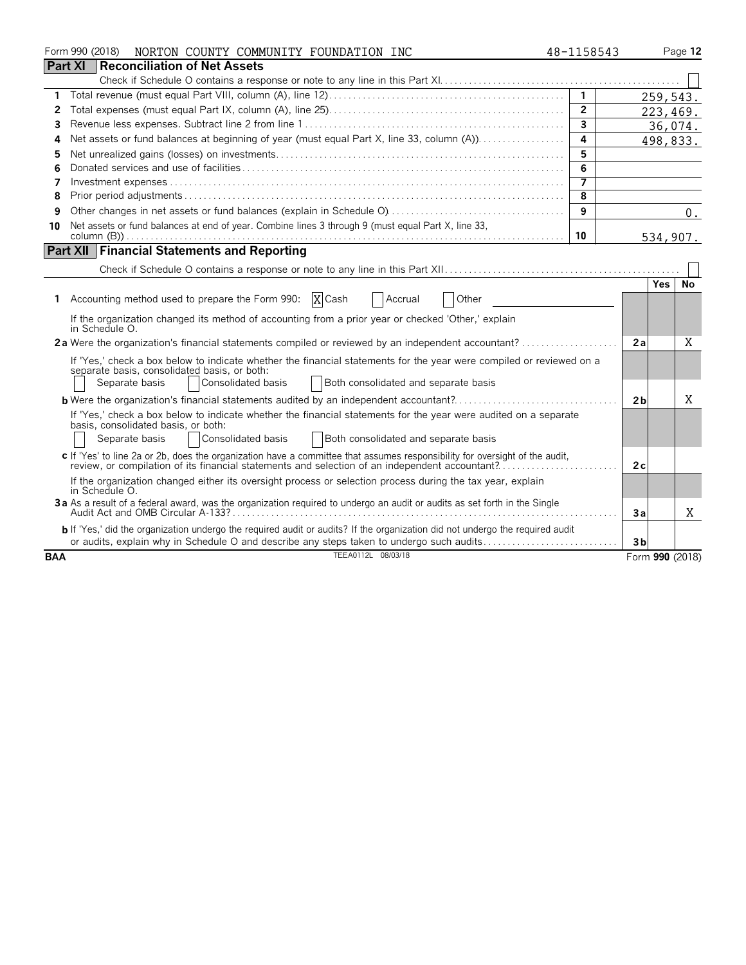|            | Form 990 (2018)<br>NORTON COUNTY COMMUNITY FOUNDATION INC                                                                                                                                                                               | 48-1158543     |                 |          | Page 12 |
|------------|-----------------------------------------------------------------------------------------------------------------------------------------------------------------------------------------------------------------------------------------|----------------|-----------------|----------|---------|
|            | <b>Part XI</b><br>Reconciliation of Net Assets                                                                                                                                                                                          |                |                 |          |         |
|            |                                                                                                                                                                                                                                         |                |                 |          |         |
| 1          |                                                                                                                                                                                                                                         | $\mathbf{1}$   |                 | 259,543. |         |
| 2          |                                                                                                                                                                                                                                         | $\overline{2}$ |                 | 223,469. |         |
| 3          |                                                                                                                                                                                                                                         | $\overline{3}$ |                 | 36,074.  |         |
| 4          | Net assets or fund balances at beginning of year (must equal Part X, line 33, column (A))                                                                                                                                               | 4              |                 | 498,833. |         |
| 5          |                                                                                                                                                                                                                                         | 5              |                 |          |         |
| 6          |                                                                                                                                                                                                                                         | 6              |                 |          |         |
| 7          |                                                                                                                                                                                                                                         | $\overline{7}$ |                 |          |         |
| 8          |                                                                                                                                                                                                                                         | 8              |                 |          |         |
| 9          |                                                                                                                                                                                                                                         | 9              |                 |          | 0.      |
| 10         | Net assets or fund balances at end of year. Combine lines 3 through 9 (must equal Part X, line 33,                                                                                                                                      |                |                 |          |         |
|            |                                                                                                                                                                                                                                         | 10             |                 | 534,907. |         |
|            | <b>Part XII Financial Statements and Reporting</b>                                                                                                                                                                                      |                |                 |          |         |
|            |                                                                                                                                                                                                                                         |                |                 |          |         |
|            |                                                                                                                                                                                                                                         |                |                 | Yes I    | No      |
|            | 1 Accounting method used to prepare the Form 990: $X$ Cash<br><b>Accrual</b><br>Other                                                                                                                                                   |                |                 |          |         |
|            | If the organization changed its method of accounting from a prior year or checked 'Other,' explain<br>in Schedule O.                                                                                                                    |                |                 |          |         |
|            | 2a Were the organization's financial statements compiled or reviewed by an independent accountant?                                                                                                                                      |                | 2a              |          | X       |
|            | If 'Yes,' check a box below to indicate whether the financial statements for the year were compiled or reviewed on a<br>separate basis, consolidated basis, or both:                                                                    |                |                 |          |         |
|            | Separate basis<br>Consolidated basis<br>Both consolidated and separate basis                                                                                                                                                            |                |                 |          |         |
|            | <b>b</b> Were the organization's financial statements audited by an independent accountant?                                                                                                                                             |                | 2 <sub>b</sub>  |          | X       |
|            | If 'Yes,' check a box below to indicate whether the financial statements for the year were audited on a separate<br>basis, consolidated basis, or both:<br>Consolidated basis<br>Separate basis<br>Both consolidated and separate basis |                |                 |          |         |
|            | c If 'Yes' to line 2a or 2b, does the organization have a committee that assumes responsibility for oversight of the audit,<br>review, or compilation of its financial statements and selection of an independent accountant?           |                | 2c              |          |         |
|            | If the organization changed either its oversight process or selection process during the tax year, explain<br>in Schedule O.                                                                                                            |                |                 |          |         |
|            | 3a As a result of a federal award, was the organization required to undergo an audit or audits as set forth in the Single                                                                                                               |                | 3a              |          | X       |
|            | <b>b</b> If 'Yes,' did the organization undergo the required audit or audits? If the organization did not undergo the required audit<br>or audits, explain why in Schedule O and describe any steps taken to undergo such audits        |                | 3 <sub>b</sub>  |          |         |
| <b>BAA</b> | TEEA0112L 08/03/18                                                                                                                                                                                                                      |                | Form 990 (2018) |          |         |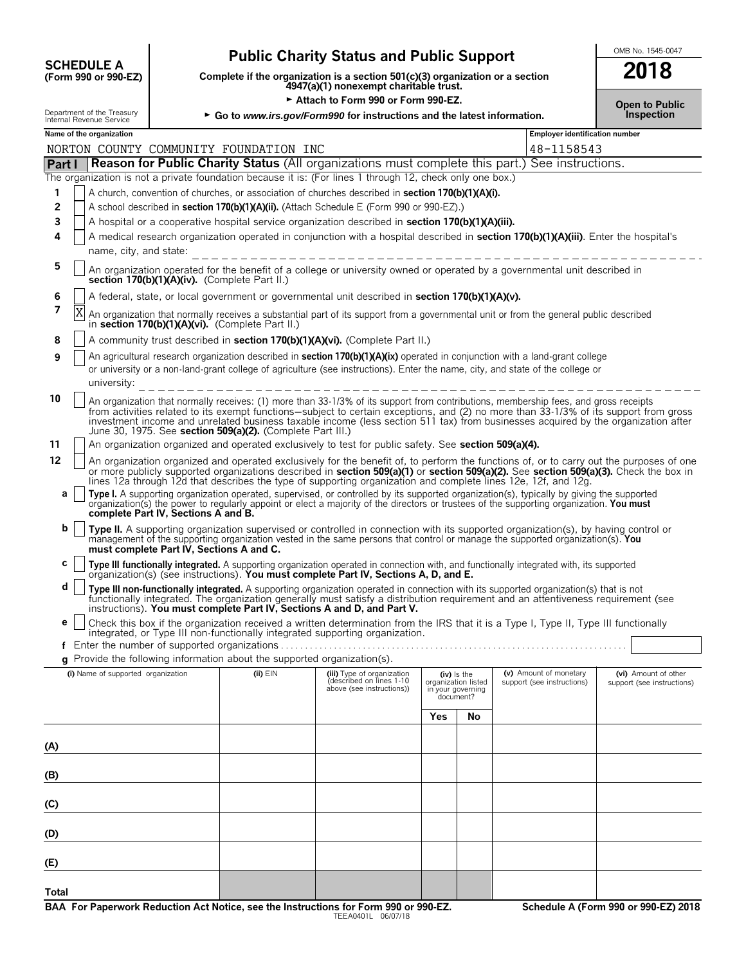| <b>SCHEDULE A</b>    |  |
|----------------------|--|
| (Form 990 or 990.FZ) |  |

# **Public Charity Status and Public Support**<br> **SUPPORT A** lete if the organization is a section 501(c)(3) organization or a section

**COMPOUTE A**<br>
(Form 990 or 990-EZ) Complete if the organization is a section 501(c)(3) organization or a section<br>
4947(a)(1) nonexempt charitable trust.

**Example 2011** Attach to Form 990 or Form 990-F7

| Department of the Treasury<br>Internal Revenue Service |   |                                                                                                                                      |                                          |                                                                          | Allach lu Fuilli 990 UI Fuilli 990-<br>► Go to www.irs.gov/Form990 for instructions and the latest information.                                                                                                                                                                                                                                                                                                    |     |                                                       |                                                      | <b>Open to Public</b><br>Inspection                |  |
|--------------------------------------------------------|---|--------------------------------------------------------------------------------------------------------------------------------------|------------------------------------------|--------------------------------------------------------------------------|--------------------------------------------------------------------------------------------------------------------------------------------------------------------------------------------------------------------------------------------------------------------------------------------------------------------------------------------------------------------------------------------------------------------|-----|-------------------------------------------------------|------------------------------------------------------|----------------------------------------------------|--|
| Name of the organization                               |   |                                                                                                                                      |                                          |                                                                          |                                                                                                                                                                                                                                                                                                                                                                                                                    |     |                                                       | <b>Employer identification number</b>                |                                                    |  |
|                                                        |   |                                                                                                                                      |                                          | NORTON COUNTY COMMUNITY FOUNDATION INC                                   |                                                                                                                                                                                                                                                                                                                                                                                                                    |     |                                                       | 48-1158543                                           |                                                    |  |
| Part I                                                 |   |                                                                                                                                      |                                          |                                                                          | <b>Reason for Public Charity Status</b> (All organizations must complete this part.) See instructions.                                                                                                                                                                                                                                                                                                             |     |                                                       |                                                      |                                                    |  |
|                                                        |   |                                                                                                                                      |                                          |                                                                          | The organization is not a private foundation because it is: (For lines 1 through 12, check only one box.)                                                                                                                                                                                                                                                                                                          |     |                                                       |                                                      |                                                    |  |
| 1                                                      |   |                                                                                                                                      |                                          |                                                                          | A church, convention of churches, or association of churches described in section 170(b)(1)(A)(i).                                                                                                                                                                                                                                                                                                                 |     |                                                       |                                                      |                                                    |  |
| 2                                                      |   |                                                                                                                                      |                                          |                                                                          | A school described in section 170(b)(1)(A)(ii). (Attach Schedule E (Form 990 or 990-EZ).)                                                                                                                                                                                                                                                                                                                          |     |                                                       |                                                      |                                                    |  |
| 3                                                      |   |                                                                                                                                      |                                          |                                                                          | A hospital or a cooperative hospital service organization described in section 170(b)(1)(A)(iii).                                                                                                                                                                                                                                                                                                                  |     |                                                       |                                                      |                                                    |  |
| 4                                                      |   | A medical research organization operated in conjunction with a hospital described in section 170(b)(1)(A)(iii). Enter the hospital's |                                          |                                                                          |                                                                                                                                                                                                                                                                                                                                                                                                                    |     |                                                       |                                                      |                                                    |  |
|                                                        |   | name, city, and state:                                                                                                               |                                          |                                                                          |                                                                                                                                                                                                                                                                                                                                                                                                                    |     |                                                       |                                                      |                                                    |  |
| 5                                                      |   |                                                                                                                                      |                                          | section 170(b)(1)(A)(iv). (Complete Part II.)                            | An organization operated for the benefit of a college or university owned or operated by a governmental unit described in                                                                                                                                                                                                                                                                                          |     |                                                       |                                                      |                                                    |  |
| 6                                                      |   |                                                                                                                                      |                                          |                                                                          | A federal, state, or local government or governmental unit described in section 170(b)(1)(A)(v).                                                                                                                                                                                                                                                                                                                   |     |                                                       |                                                      |                                                    |  |
| 7                                                      | X |                                                                                                                                      |                                          | in section 170(b)(1)(A)(vi). (Complete Part II.)                         | An organization that normally receives a substantial part of its support from a governmental unit or from the general public described                                                                                                                                                                                                                                                                             |     |                                                       |                                                      |                                                    |  |
| 8                                                      |   |                                                                                                                                      |                                          |                                                                          | A community trust described in section 170(b)(1)(A)(vi). (Complete Part II.)                                                                                                                                                                                                                                                                                                                                       |     |                                                       |                                                      |                                                    |  |
| 9                                                      |   |                                                                                                                                      |                                          |                                                                          | An agricultural research organization described in section 170(b)(1)(A)(ix) operated in conjunction with a land-grant college                                                                                                                                                                                                                                                                                      |     |                                                       |                                                      |                                                    |  |
|                                                        |   | university:                                                                                                                          |                                          |                                                                          | or university or a non-land-grant college of agriculture (see instructions). Enter the name, city, and state of the college or                                                                                                                                                                                                                                                                                     |     |                                                       |                                                      |                                                    |  |
| 10                                                     |   |                                                                                                                                      |                                          | June 30, 1975. See section 509(a)(2). (Complete Part III.)               | An organization that normally receives: (1) more than 33-1/3% of its support from contributions, membership fees, and gross receipts<br>from activities related to its exempt functions-subject to certain exceptions, and (2) no more than 33-1/3% of its support from gross<br>investment income and unrelated business taxable income (less section 511 tax) from businesses acquired by the organization after |     |                                                       |                                                      |                                                    |  |
| 11                                                     |   |                                                                                                                                      |                                          |                                                                          | An organization organized and operated exclusively to test for public safety. See section 509(a)(4).                                                                                                                                                                                                                                                                                                               |     |                                                       |                                                      |                                                    |  |
| 12                                                     |   |                                                                                                                                      |                                          |                                                                          | An organization organized and operated exclusively for the benefit of, to perform the functions of, or to carry out the purposes of one                                                                                                                                                                                                                                                                            |     |                                                       |                                                      |                                                    |  |
|                                                        |   |                                                                                                                                      |                                          |                                                                          | or more publicly supported organizations described in section 509(a)(1) or section 509(a)(2). See section 509(a)(3). Check the box in<br>lines 12a through 12d that describes the type of supporting organization and complete lines 12e, 12f, and 12g.                                                                                                                                                            |     |                                                       |                                                      |                                                    |  |
| а                                                      |   |                                                                                                                                      | complete Part IV, Sections A and B.      |                                                                          | Type I. A supporting organization operated, supervised, or controlled by its supported organization(s), typically by giving the supported<br>organization(s) the power to regularly appoint or elect a majority of the directors or trustees of the supporting organization. You must                                                                                                                              |     |                                                       |                                                      |                                                    |  |
| b                                                      |   |                                                                                                                                      | must complete Part IV, Sections A and C. |                                                                          | Type II. A supporting organization supervised or controlled in connection with its supported organization(s), by having control or<br>management of the supporting organization vested in the same persons that control or manage the supported organization(s). You                                                                                                                                               |     |                                                       |                                                      |                                                    |  |
| с                                                      |   |                                                                                                                                      |                                          |                                                                          | Type III functionally integrated. A supporting organization operated in connection with, and functionally integrated with, its supported<br>organization(s) (see instructions). You must complete Part IV, Sections A, D, and E.                                                                                                                                                                                   |     |                                                       |                                                      |                                                    |  |
| d                                                      |   |                                                                                                                                      |                                          |                                                                          | Type III non-functionally integrated. A supporting organization operated in connection with its supported organization(s) that is not<br>functionally integrated. The organization generally must satisfy a distribution requirement and an attentiveness requirement (see<br>instructions). You must complete Part IV, Sections A and D, and Part V.                                                              |     |                                                       |                                                      |                                                    |  |
| е                                                      |   |                                                                                                                                      |                                          |                                                                          | Check this box if the organization received a written determination from the IRS that it is a Type I, Type II, Type III functionally                                                                                                                                                                                                                                                                               |     |                                                       |                                                      |                                                    |  |
|                                                        |   |                                                                                                                                      |                                          |                                                                          | integrated, or Type III non-functionally integrated supporting organization.                                                                                                                                                                                                                                                                                                                                       |     |                                                       |                                                      |                                                    |  |
|                                                        |   |                                                                                                                                      |                                          | g Provide the following information about the supported organization(s). |                                                                                                                                                                                                                                                                                                                                                                                                                    |     |                                                       |                                                      |                                                    |  |
|                                                        |   | (i) Name of supported organization                                                                                                   |                                          | $(ii)$ $EIN$                                                             | (iii) Type of organization<br>described on lines 1-10                                                                                                                                                                                                                                                                                                                                                              |     | $(iv)$ is the                                         | (v) Amount of monetary<br>support (see instructions) | (vi) Amount of other<br>support (see instructions) |  |
|                                                        |   |                                                                                                                                      |                                          |                                                                          | above (see instructions))                                                                                                                                                                                                                                                                                                                                                                                          |     | organization listed<br>in your governing<br>document? |                                                      |                                                    |  |
|                                                        |   |                                                                                                                                      |                                          |                                                                          |                                                                                                                                                                                                                                                                                                                                                                                                                    | Yes | No                                                    |                                                      |                                                    |  |
|                                                        |   |                                                                                                                                      |                                          |                                                                          |                                                                                                                                                                                                                                                                                                                                                                                                                    |     |                                                       |                                                      |                                                    |  |
| (A)                                                    |   |                                                                                                                                      |                                          |                                                                          |                                                                                                                                                                                                                                                                                                                                                                                                                    |     |                                                       |                                                      |                                                    |  |
| (B)                                                    |   |                                                                                                                                      |                                          |                                                                          |                                                                                                                                                                                                                                                                                                                                                                                                                    |     |                                                       |                                                      |                                                    |  |
|                                                        |   |                                                                                                                                      |                                          |                                                                          |                                                                                                                                                                                                                                                                                                                                                                                                                    |     |                                                       |                                                      |                                                    |  |
| (C)                                                    |   |                                                                                                                                      |                                          |                                                                          |                                                                                                                                                                                                                                                                                                                                                                                                                    |     |                                                       |                                                      |                                                    |  |
| (D)                                                    |   |                                                                                                                                      |                                          |                                                                          |                                                                                                                                                                                                                                                                                                                                                                                                                    |     |                                                       |                                                      |                                                    |  |
| (E)                                                    |   |                                                                                                                                      |                                          |                                                                          |                                                                                                                                                                                                                                                                                                                                                                                                                    |     |                                                       |                                                      |                                                    |  |
| Total                                                  |   |                                                                                                                                      |                                          |                                                                          |                                                                                                                                                                                                                                                                                                                                                                                                                    |     |                                                       |                                                      |                                                    |  |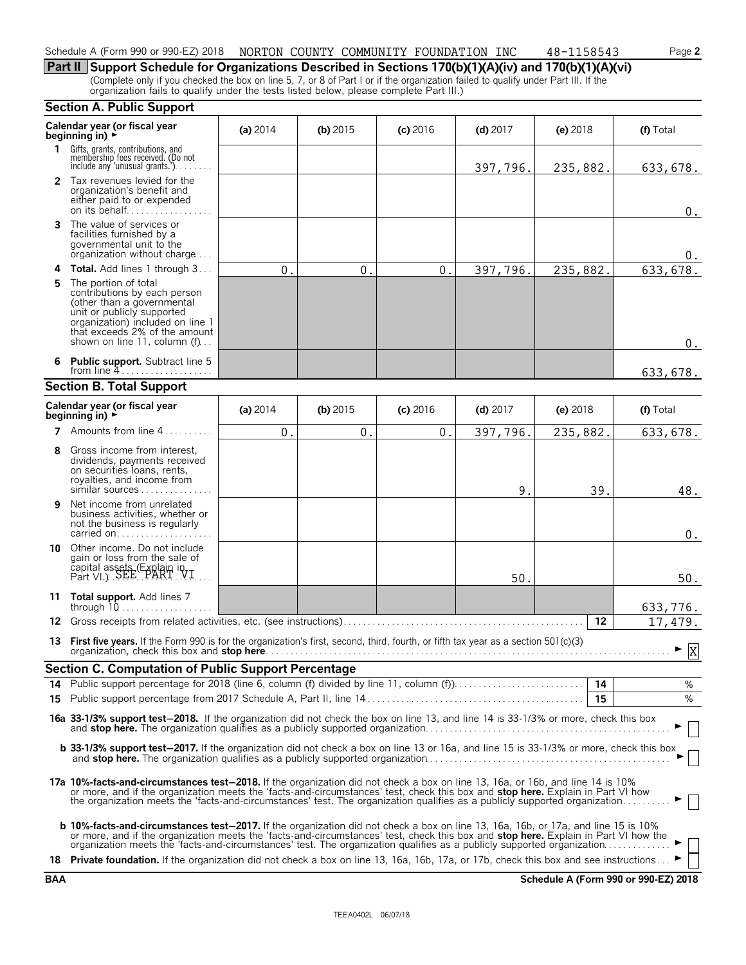### Schedule A (Form 990 or 990-EZ) 2018 NORTON COUNTY COMMUNITY FOUNDATION INC 48-1158543 Page **2**

**Part II Support Schedule for Organizations Described in Sections 170(b)(1)(A)(iv) and 170(b)(1)(A)(vi)** (Complete only if you checked the box on line 5, 7, or 8 of Part I or if the organization failed to qualify under Part III. If the organization fails to qualify under the tests listed below, please complete Part III.)

|                                                              | <b>Section A. Public Support</b>                                                                                                                                                                                                                                                                                                                                                                                                                                                                                                                   |          |            |            |                      |            |                    |
|--------------------------------------------------------------|----------------------------------------------------------------------------------------------------------------------------------------------------------------------------------------------------------------------------------------------------------------------------------------------------------------------------------------------------------------------------------------------------------------------------------------------------------------------------------------------------------------------------------------------------|----------|------------|------------|----------------------|------------|--------------------|
| Calendar year (or fiscal year<br>beginning in) $\rightarrow$ |                                                                                                                                                                                                                                                                                                                                                                                                                                                                                                                                                    | (a) 2014 | $(b)$ 2015 | $(c)$ 2016 | $(d)$ 2017           | $(e)$ 2018 | (f) Total          |
| 1.                                                           | Gifts, grants, contributions, and<br>membership fees received. (Do not<br>include any 'unusual grants.'). $\dots$                                                                                                                                                                                                                                                                                                                                                                                                                                  |          |            |            | 235,882.<br>397,796. |            | 633,678.           |
|                                                              | 2 Tax revenues levied for the<br>organization's benefit and<br>either paid to or expended                                                                                                                                                                                                                                                                                                                                                                                                                                                          |          |            |            |                      |            | $0$ .              |
| 3                                                            | The value of services or<br>facilities furnished by a<br>governmental unit to the<br>organization without charge                                                                                                                                                                                                                                                                                                                                                                                                                                   |          |            |            |                      |            | 0.                 |
| 4<br>5                                                       | Total. Add lines 1 through 3<br>The portion of total<br>contributions by each person<br>(other than a governmental<br>unit or publicly supported<br>organization) included on line 1<br>that exceeds 2% of the amount<br>shown on line 11, column (f)                                                                                                                                                                                                                                                                                              | 0.       | 0.         | 0.         | 397,796.             | 235,882.   | 633, 678.<br>$0$ . |
|                                                              | <b>Public support.</b> Subtract line 5                                                                                                                                                                                                                                                                                                                                                                                                                                                                                                             |          |            |            |                      |            | 633,678.           |
|                                                              | <b>Section B. Total Support</b>                                                                                                                                                                                                                                                                                                                                                                                                                                                                                                                    |          |            |            |                      |            |                    |
|                                                              | Calendar year (or fiscal year<br>beginning in) $\rightarrow$                                                                                                                                                                                                                                                                                                                                                                                                                                                                                       | (a) 2014 | (b) $2015$ | $(c)$ 2016 | $(d)$ 2017           | (e) $2018$ | (f) Total          |
|                                                              | <b>7</b> Amounts from line $4 \dots 1$                                                                                                                                                                                                                                                                                                                                                                                                                                                                                                             | 0.       | 0.         | 0.         | 397,796.             | 235,882.   | 633, 678.          |
| 8                                                            | Gross income from interest,<br>dividends, payments received<br>on securities loans, rents,<br>royalties, and income from<br>similar sources                                                                                                                                                                                                                                                                                                                                                                                                        |          |            |            | 9.                   | 39.        | 48.                |
| 9                                                            | Net income from unrelated<br>business activities, whether or<br>not the business is regularly<br>carried on                                                                                                                                                                                                                                                                                                                                                                                                                                        |          |            |            |                      |            | $0$ .              |
|                                                              | 10 Other income. Do not include<br>gain or loss from the sale of<br>capital assets (Explain in Fart VI.)                                                                                                                                                                                                                                                                                                                                                                                                                                           |          |            |            | 50.                  |            | 50.                |
|                                                              | 11 Total support. Add lines 7                                                                                                                                                                                                                                                                                                                                                                                                                                                                                                                      |          |            |            |                      |            | 633,776.           |
|                                                              |                                                                                                                                                                                                                                                                                                                                                                                                                                                                                                                                                    |          |            |            |                      | 12         | 17,479.            |
|                                                              | 13 First five years. If the Form 990 is for the organization's first, second, third, fourth, or fifth tax year as a section 501(c)(3)                                                                                                                                                                                                                                                                                                                                                                                                              |          |            |            |                      |            | X                  |
|                                                              | <b>Section C. Computation of Public Support Percentage</b>                                                                                                                                                                                                                                                                                                                                                                                                                                                                                         |          |            |            |                      |            |                    |
| 14                                                           |                                                                                                                                                                                                                                                                                                                                                                                                                                                                                                                                                    |          |            |            |                      |            | %                  |
| 15                                                           |                                                                                                                                                                                                                                                                                                                                                                                                                                                                                                                                                    |          |            |            |                      | 15         | %                  |
|                                                              | 16a 33-1/3% support test-2018. If the organization did not check the box on line 13, and line 14 is 33-1/3% or more, check this box                                                                                                                                                                                                                                                                                                                                                                                                                |          |            |            |                      |            |                    |
|                                                              | b 33-1/3% support test-2017. If the organization did not check a box on line 13 or 16a, and line 15 is 33-1/3% or more, check this box                                                                                                                                                                                                                                                                                                                                                                                                             |          |            |            |                      |            |                    |
|                                                              | 17a 10%-facts-and-circumstances test-2018. If the organization did not check a box on line 13, 16a, or 16b, and line 14 is 10%<br>or more, and if the organization meets the 'facts-and-circumstances' test, check this box and stop here. Explain in Part VI how<br>the organization meets the 'facts-and-circumstances' test. The organization qualifies as a publicly supported organization                                                                                                                                                    |          |            |            |                      |            |                    |
|                                                              | <b>b 10%-facts-and-circumstances test-2017.</b> If the organization did not check a box on line 13, 16a, 16b, or 17a, and line 15 is 10%<br>or more, and if the organization meets the 'facts-and-circumstances' test, check this box and stop here. Explain in Part VI how the<br>organization meets the 'facts-and-circumstances' test. The organization qualifies as a publicly supported organization<br>18 Private foundation. If the organization did not check a box on line 13, 16a, 16b, 17a, or 17b, check this box and see instructions |          |            |            |                      |            |                    |

**BAA Schedule A (Form 990 or 990-EZ) 2018**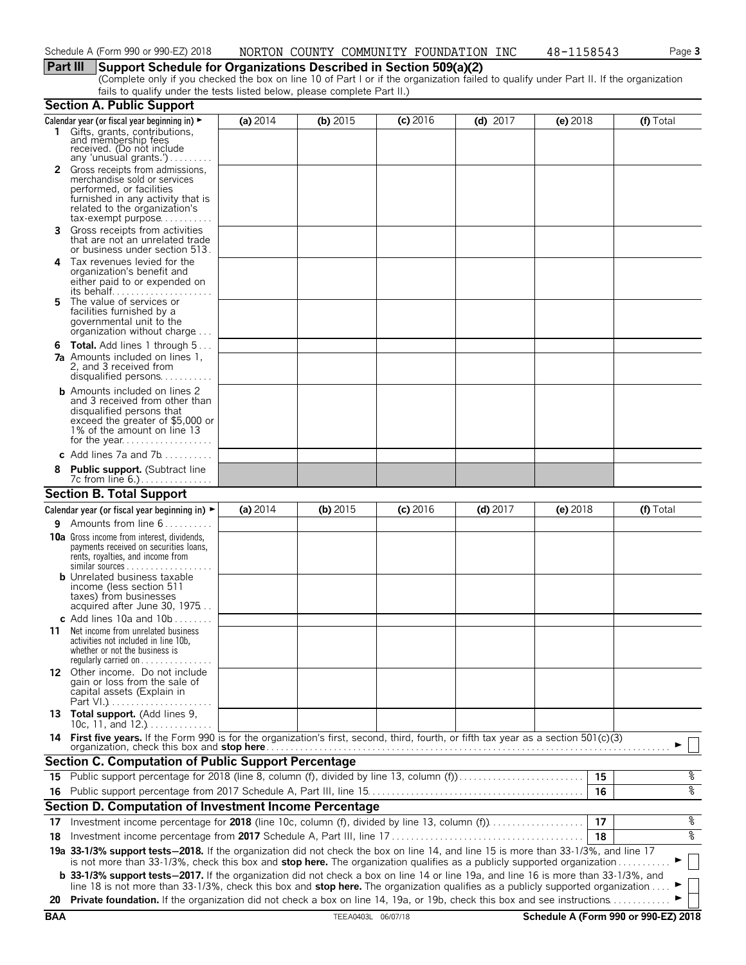### **Part III Support Schedule for Organizations Described in Section 509(a)(2)**

(Complete only if you checked the box on line 10 of Part I or if the organization failed to qualify under Part II. If the organization fails to qualify under the tests listed below, please complete Part II.)

|            | <b>Section A. Public Support</b>                                                                                                                                                                                                                                      |          |                    |            |            |          |                                      |
|------------|-----------------------------------------------------------------------------------------------------------------------------------------------------------------------------------------------------------------------------------------------------------------------|----------|--------------------|------------|------------|----------|--------------------------------------|
|            | Calendar year (or fiscal year beginning in) ►                                                                                                                                                                                                                         | (a) 2014 | (b) $2015$         | $(c)$ 2016 | (d) $2017$ | (e) 2018 | (f) Total                            |
|            | 1 Gifts, grants, contributions,<br>and membership fees<br>received. (Do not include<br>any 'unusual grants.')                                                                                                                                                         |          |                    |            |            |          |                                      |
|            | 2 Gross receipts from admissions,<br>merchandise sold or services<br>performed, or facilities<br>furnished in any activity that is<br>related to the organization's<br>$tax\text{-}exempt$ purpose                                                                    |          |                    |            |            |          |                                      |
| 3.         | Gross receipts from activities<br>that are not an unrelated trade<br>or business under section 513.                                                                                                                                                                   |          |                    |            |            |          |                                      |
| 4          | Tax revenues levied for the<br>organization's benefit and<br>either paid to or expended on                                                                                                                                                                            |          |                    |            |            |          |                                      |
| 5.         | The value of services or<br>facilities furnished by a<br>governmental unit to the<br>organization without charge                                                                                                                                                      |          |                    |            |            |          |                                      |
| 6          | <b>Total.</b> Add lines 1 through 5<br><b>7a</b> Amounts included on lines 1,<br>2, and 3 received from<br>disqualified persons                                                                                                                                       |          |                    |            |            |          |                                      |
|            | <b>b</b> Amounts included on lines 2<br>and 3 received from other than<br>disqualified persons that<br>exceed the greater of \$5,000 or<br>1% of the amount on line 13                                                                                                |          |                    |            |            |          |                                      |
|            | c Add lines $7a$ and $7b$                                                                                                                                                                                                                                             |          |                    |            |            |          |                                      |
|            | <b>Public support.</b> (Subtract line                                                                                                                                                                                                                                 |          |                    |            |            |          |                                      |
|            | <b>Section B. Total Support</b>                                                                                                                                                                                                                                       |          |                    |            |            |          |                                      |
|            | Calendar year (or fiscal year beginning in) $\blacktriangleright$                                                                                                                                                                                                     | (a) 2014 | $(b)$ 2015         | $(c)$ 2016 | $(d)$ 2017 | (e) 2018 | (f) Total                            |
| 9.         | Amounts from line 6                                                                                                                                                                                                                                                   |          |                    |            |            |          |                                      |
|            | <b>10a</b> Gross income from interest, dividends,<br>payments received on securities loans,<br>rents, royalties, and income from<br><b>b</b> Unrelated business taxable<br>income (less section 511<br>taxes) from businesses                                         |          |                    |            |            |          |                                      |
|            | acquired after June 30, 1975                                                                                                                                                                                                                                          |          |                    |            |            |          |                                      |
|            | c Add lines 10a and 10b $\dots$                                                                                                                                                                                                                                       |          |                    |            |            |          |                                      |
| 11         | Net income from unrelated business<br>activities not included in line 10b,<br>whether or not the business is<br>regularly carried on $\dots\dots\dots\dots$                                                                                                           |          |                    |            |            |          |                                      |
|            | 12 Other income. Do not include<br>gain or loss from the sale of<br>capital assets (Explain in                                                                                                                                                                        |          |                    |            |            |          |                                      |
|            | 13 Total support. (Add lines 9,<br>10c, 11, and 12. $\ldots$                                                                                                                                                                                                          |          |                    |            |            |          |                                      |
|            | 14 First five years. If the Form 990 is for the organization's first, second, third, fourth, or fifth tax year as a section 501(c)(3)<br>organization, check this box and stop here.                                                                                  |          |                    |            |            |          |                                      |
|            | <b>Section C. Computation of Public Support Percentage</b>                                                                                                                                                                                                            |          |                    |            |            |          |                                      |
|            | 15 Public support percentage for 2018 (line 8, column (f), divided by line 13, column (f)                                                                                                                                                                             |          |                    |            |            | 15       | န့                                   |
|            |                                                                                                                                                                                                                                                                       |          |                    |            |            | 16       | ०१०                                  |
|            | Section D. Computation of Investment Income Percentage                                                                                                                                                                                                                |          |                    |            |            |          |                                      |
| 17         |                                                                                                                                                                                                                                                                       |          |                    |            |            | 17       | %                                    |
| 18         |                                                                                                                                                                                                                                                                       |          |                    |            |            | 18       | ०७                                   |
|            | 19a 33-1/3% support tests-2018. If the organization did not check the box on line 14, and line 15 is more than 33-1/3%, and line 17                                                                                                                                   |          |                    |            |            |          |                                      |
|            | is not more than 33-1/3%, check this box and stop here. The organization qualifies as a publicly supported organization<br><b>b</b> 33-1/3% support tests-2017. If the organization did not check a box on line 14 or line 19a, and line 16 is more than 33-1/3%, and |          |                    |            |            |          |                                      |
|            | line 18 is not more than 33-1/3%, check this box and stop here. The organization qualifies as a publicly supported organization                                                                                                                                       |          |                    |            |            |          |                                      |
| 20         | Private foundation. If the organization did not check a box on line 14, 19a, or 19b, check this box and see instructions.                                                                                                                                             |          |                    |            |            |          |                                      |
| <b>BAA</b> |                                                                                                                                                                                                                                                                       |          | TEEA0403L 06/07/18 |            |            |          | Schedule A (Form 990 or 990-EZ) 2018 |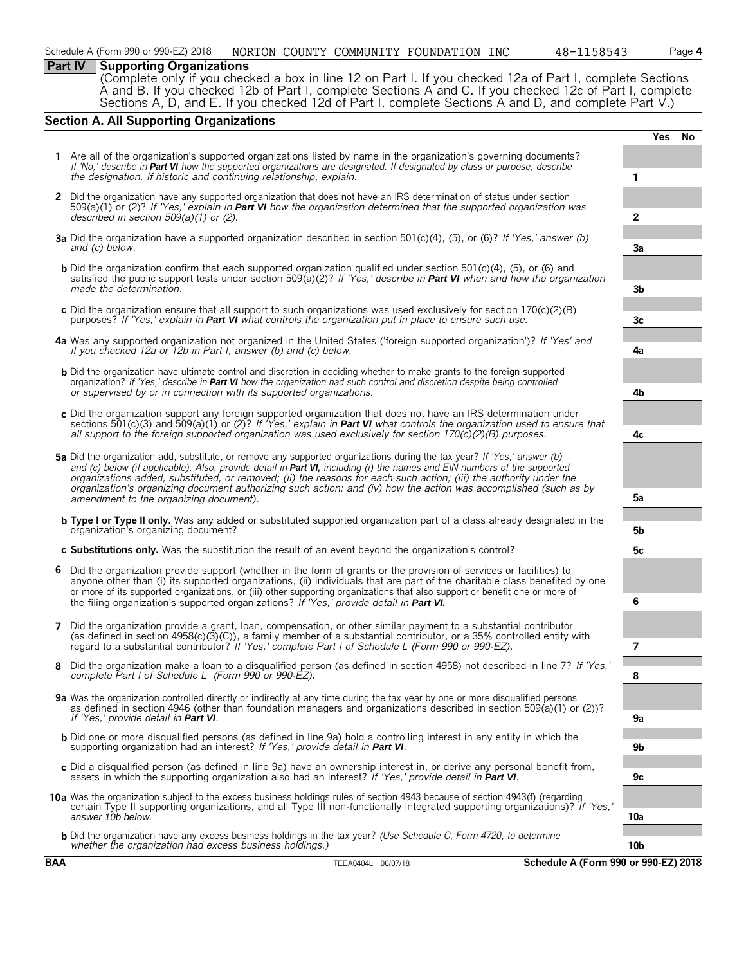#### **Part IV Supporting Organizations**

(Complete only if you checked a box in line 12 on Part I. If you checked 12a of Part I, complete Sections A and B. If you checked 12b of Part I, complete Sections A and C. If you checked 12c of Part I, complete Sections A, D, and E. If you checked 12d of Part I, complete Sections A and D, and complete Part V.)

#### **Section A. All Supporting Organizations**

**Yes No 1** Are all of the organization's supported organizations listed by name in the organization's governing documents? *If 'No,' describe in Part VI how the supported organizations are designated. If designated by class or purpose, describe the designation. If historic and continuing relationship, explain.* **1 2** Did the organization have any supported organization that does not have an IRS determination of status under section 509(a)(1) or (2)? *If 'Yes,' explain in Part VI how the organization determined that the supported organization was described in section 509(a)(1) or (2).* **2 3a** Did the organization have a supported organization described in section 501(c)(4), (5), or (6)? *If 'Yes,' answer (b) and (c) below.* **3a b** Did the organization confirm that each supported organization qualified under section 501(c)(4), (5), or (6) and satisfied the public support tests under section 509(a)(2)? *If 'Yes,' describe in Part VI when and how the organization made the determination.* **3b c** Did the organization ensure that all support to such organizations was used exclusively for section 170(c)(2)(B) purposes? *If 'Yes,' explain in Part VI what controls the organization put in place to ensure such use.*  $\begin{bmatrix} 1 & 3c \\ 2c & 3c \end{bmatrix}$  *3c* **4a** Was any supported organization not organized in the United States ('foreign supported organization')? *If 'Yes' and if you checked 12a or 12b in Part I, answer (b) and (c) below.* **4a b** Did the organization have ultimate control and discretion in deciding whether to make grants to the foreign supported organization? *If 'Yes,' describe in Part VI how the organization had such control and discretion despite being controlled or supervised by or in connection with its supported organizations.* **4b c** Did the organization support any foreign supported organization that does not have an IRS determination under sections 501(c)(3) and 509(a)(1) or (2)? *If 'Yes,' explain in Part VI what controls the organization used to ensure that all support to the foreign supported organization was used exclusively for section 170(c)(2)(B) purposes.* **4c 5a** Did the organization add, substitute, or remove any supported organizations during the tax year? *If 'Yes,' answer (b) and (c) below (if applicable). Also, provide detail in Part VI, including (i) the names and EIN numbers of the supported organizations added, substituted, or removed; (ii) the reasons for each such action; (iii) the authority under the organization's organizing document authorizing such action; and (iv) how the action was accomplished (such as by amendment to the organizing document).* **5a b Type I or Type II only.** Was any added or substituted supported organization part of a class already designated in the organization's organizing document? **5b c Substitutions only.** Was the substitution the result of an event beyond the organization's control? **5c 6** Did the organization provide support (whether in the form of grants or the provision of services or facilities) to anyone other than (i) its supported organizations, (ii) individuals that are part of the charitable class benefited by one or more of its supported organizations, or (iii) other supporting organizations that also support or benefit one or more of the filing organization's supported organizations? *If 'Yes,' provide detail in Part VI.* **6 7** Did the organization provide a grant, loan, compensation, or other similar payment to a substantial contributor (as defined in section 4958(c)(3)(C)), a family member of a substantial contributor, or a 35% controlled entity with regard to a substantial contributor? *If 'Yes,' complete Part I of Schedule L (Form 990 or 990-EZ).* **7 8** Did the organization make a loan to a disqualified person (as defined in section 4958) not described in line 7? *If 'Yes,' complete Part I of Schedule L (Form 990 or 990-EZ).* **8 9a** Was the organization controlled directly or indirectly at any time during the tax year by one or more disqualified persons as defined in section 4946 (other than foundation managers and organizations described in section 509(a)(1) or (2))? *If 'Yes,' provide detail in Part VI*. b Did one or more disqualified persons (as defined in line 9a) hold a controlling interest in any entity in which the<br>supporting organization had an interest? If 'Yes,' provide detail in Part VI. **c** Did a disqualified person (as defined in line 9a) have an ownership interest in, or derive any personal benefit from, assets in which the supporting organization also had an interest? *If 'Yes,' provide detail in Part VI*. **9c 10a** Was the organization subject to the excess business holdings rules of section 4943 because of section 4943(f) (regarding certain Type II supporting organizations, and all Type III non-functionally integrated supporting organizations)? *If 'Yes,' answer 10b below.* **10a b** Did the organization have any excess business holdings in the tax year? *(Use Schedule C, Form 4720, to determine whether the organization had excess business holdings.)* **10b**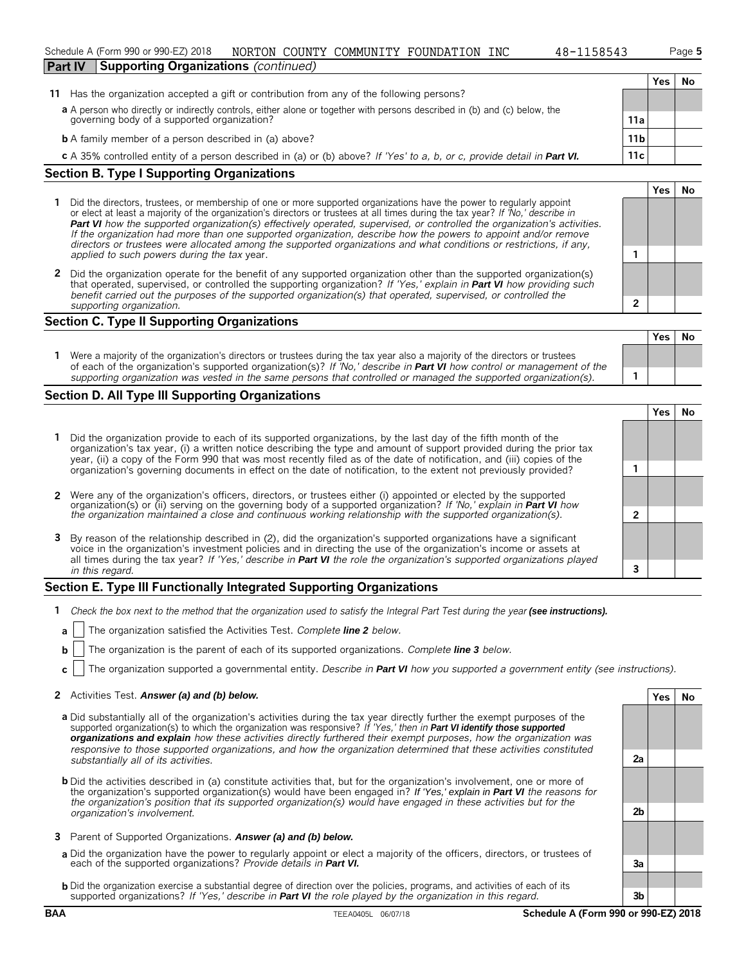#### **Section B. Type I Supporting Organizations**

- **1** Did the directors, trustees, or membership of one or more supported organizations have the power to regularly appoint or elect at least a majority of the organization's directors or trustees at all times during the tax year? *If 'No,' describe in Part VI how the supported organization(s) effectively operated, supervised, or controlled the organization's activities. If the organization had more than one supported organization, describe how the powers to appoint and/or remove directors or trustees were allocated among the supported organizations and what conditions or restrictions, if any, applied to such powers during the tax* year. **1**
- **2** Did the organization operate for the benefit of any supported organization other than the supported organization(s) that operated, supervised, or controlled the supporting organization? *If 'Yes,' explain in Part VI how providing such benefit carried out the purposes of the supported organization(s) that operated, supervised, or controlled the supporting organization.* **2**

#### **Section C. Type II Supporting Organizations**

|                                                                                                                                                                                                                                                               |  | Yes |  |
|---------------------------------------------------------------------------------------------------------------------------------------------------------------------------------------------------------------------------------------------------------------|--|-----|--|
| Were a majority of the organization's directors or trustees during the tax year also a majority of the directors or trustees<br>of each of the organization's supported organization(s)? If 'No,' describe in <b>Part VI</b> how control or management of the |  |     |  |
| supporting organization was vested in the same persons that controlled or managed the supported organization(s).                                                                                                                                              |  |     |  |

#### **Section D. All Type III Supporting Organizations**

**Yes No 1** Did the organization provide to each of its supported organizations, by the last day of the fifth month of the organization's tax year, (i) a written notice describing the type and amount of support provided during the prior tax year, (ii) a copy of the Form 990 that was most recently filed as of the date of notification, and (iii) copies of the organization's governing documents in effect on the date of notification, to the extent not previously provided? **1 2** Were any of the organization's officers, directors, or trustees either (i) appointed or elected by the supported organization(s) or (ii) serving on the governing body of a supported organization? *If 'No,' explain in Part VI how the organization maintained a close and continuous working relationship with the supported organization(s).* **2 3** By reason of the relationship described in (2), did the organization's supported organizations have a significant voice in the organization's investment policies and in directing the use of the organization's income or assets at all times during the tax year? *If 'Yes,' describe in Part VI the role the organization's supported organizations played in this regard.* **3**

#### **Section E. Type III Functionally Integrated Supporting Organizations**

- **1** *Check the box next to the method that the organization used to satisfy the Integral Part Test during the year (see instructions).*
- **a** The organization satisfied the Activities Test. *Complete line 2 below.*
- **b** The organization is the parent of each of its supported organizations. *Complete line 3 below.*
- **c** The organization supported a governmental entity. *Describe in Part VI how you supported a government entity (see instructions).*

#### **2** Activities Test. *Answer (a) and (b) below.* **Yes No**

- **a** Did substantially all of the organization's activities during the tax year directly further the exempt purposes of the supported organization(s) to which the organization was responsive? *If 'Yes,' then in Part VI identify those supported organizations and explain how these activities directly furthered their exempt purposes, how the organization was responsive to those supported organizations, and how the organization determined that these activities constituted substantially all of its activities.* **2a**
- **b** Did the activities described in (a) constitute activities that, but for the organization's involvement, one or more of the organization's supported organization(s) would have been engaged in? *If 'Yes,' explain in Part VI the reasons for the organization's position that its supported organization(s) would have engaged in these activities but for the organization's involvement.* **2b**
- **3** Parent of Supported Organizations. *Answer (a) and (b) below.*
- **a** Did the organization have the power to regularly appoint or elect a majority of the officers, directors, or trustees of each of the supported organizations? *Provide details in Part VI.* **3a**
- **b** Did the organization exercise a substantial degree of direction over the policies, programs, and activities of each of its supported organizations? *If 'Yes,' describe in Part VI the role played by the organization in this regard.* **3b**

**Yes No**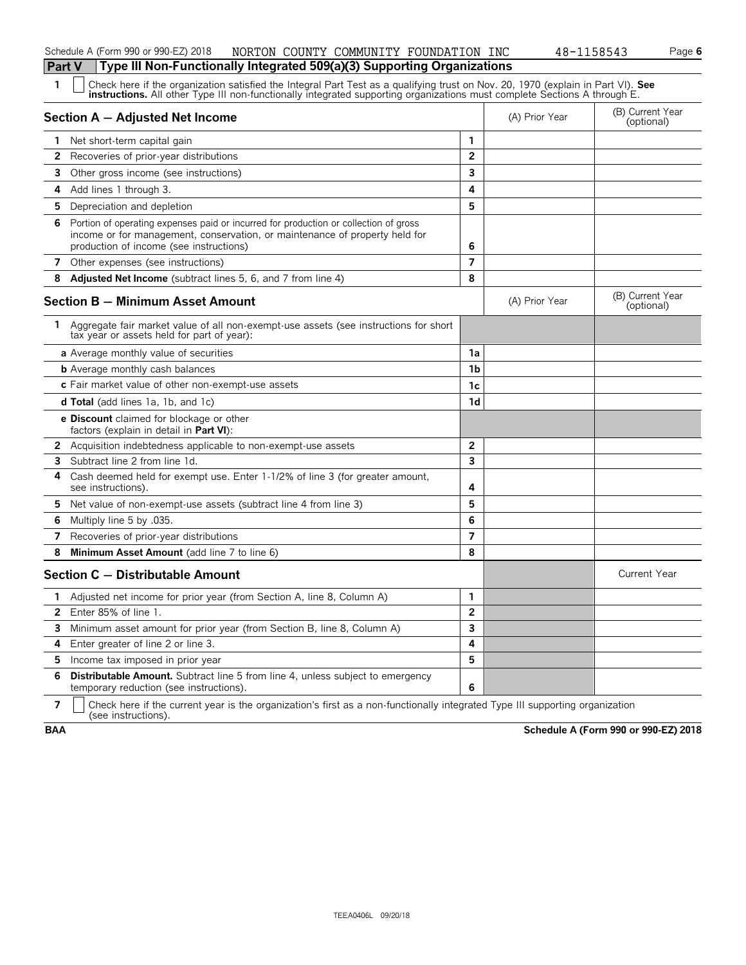### Schedule A (Form 990 or 990-EZ) 2018 NORTON COUNTY COMMUNITY FOUNDATION INC 48-1158543 Page 6

| Part V                                  | Type III Non-Functionally Integrated 509(a)(3) Supporting Organizations                                                                                                                                                        |   |                |                                |  |  |  |  |  |
|-----------------------------------------|--------------------------------------------------------------------------------------------------------------------------------------------------------------------------------------------------------------------------------|---|----------------|--------------------------------|--|--|--|--|--|
| 1                                       | Check here if the organization satisfied the Integral Part Test as a qualifying trust on Nov. 20, 1970 (explain in Part VI). See instructions. All other Type III non-functionally integrated supporting organizations must co |   |                |                                |  |  |  |  |  |
|                                         | Section A - Adjusted Net Income                                                                                                                                                                                                |   | (A) Prior Year | (B) Current Year<br>(optional) |  |  |  |  |  |
|                                         | Net short-term capital gain                                                                                                                                                                                                    | 1 |                |                                |  |  |  |  |  |
|                                         | <b>2</b> Recoveries of prior-year distributions                                                                                                                                                                                | 2 |                |                                |  |  |  |  |  |
| 3                                       | Other gross income (see instructions)                                                                                                                                                                                          | 3 |                |                                |  |  |  |  |  |
| 4                                       | Add lines 1 through 3.                                                                                                                                                                                                         | 4 |                |                                |  |  |  |  |  |
| 5.                                      | Depreciation and depletion                                                                                                                                                                                                     | 5 |                |                                |  |  |  |  |  |
| 6                                       | Portion of operating expenses paid or incurred for production or collection of gross<br>income or for management, conservation, or maintenance of property held for<br>production of income (see instructions)                 | 6 |                |                                |  |  |  |  |  |
|                                         | 7 Other expenses (see instructions)                                                                                                                                                                                            | 7 |                |                                |  |  |  |  |  |
|                                         | <b>Adjusted Net Income</b> (subtract lines 5, 6, and 7 from line 4)                                                                                                                                                            | 8 |                |                                |  |  |  |  |  |
| <b>Section B - Minimum Asset Amount</b> |                                                                                                                                                                                                                                |   | (A) Prior Year | (B) Current Year<br>(optional) |  |  |  |  |  |
|                                         | Aggregate fair market value of all non-exempt-use assets (see instructions for short<br>tax year or assets held for part of year):                                                                                             |   |                |                                |  |  |  |  |  |

|    | Aggregate fair market value of all non-exempt-use assets (see instructions for short<br>tax year or assets held for part of year): |                |                     |
|----|------------------------------------------------------------------------------------------------------------------------------------|----------------|---------------------|
|    | a Average monthly value of securities                                                                                              | 1a             |                     |
|    | <b>b</b> Average monthly cash balances                                                                                             | 1 <sub>b</sub> |                     |
|    | c Fair market value of other non-exempt-use assets                                                                                 | 1c             |                     |
|    | <b>d Total</b> (add lines 1a, 1b, and 1c)                                                                                          | 1d             |                     |
|    | e Discount claimed for blockage or other<br>factors (explain in detail in Part VI):                                                |                |                     |
|    | 2 Acquisition indebtedness applicable to non-exempt-use assets                                                                     | $\overline{2}$ |                     |
|    | Subtract line 2 from line 1d.                                                                                                      | 3              |                     |
| 4  | Cash deemed held for exempt use. Enter 1-1/2% of line 3 (for greater amount,<br>see instructions).                                 | 4              |                     |
|    | 5 Net value of non-exempt-use assets (subtract line 4 from line 3)                                                                 | 5              |                     |
|    | Multiply line 5 by .035.                                                                                                           | 6              |                     |
|    | 7 Recoveries of prior-year distributions                                                                                           | $\overline{7}$ |                     |
| 8  | <b>Minimum Asset Amount</b> (add line 7 to line 6)                                                                                 | 8              |                     |
|    | Section C - Distributable Amount                                                                                                   |                | <b>Current Year</b> |
|    | Adjusted net income for prior year (from Section A, line 8, Column A)                                                              | $\mathbf{1}$   |                     |
|    | <b>2</b> Enter 85% of line 1.                                                                                                      | $\overline{2}$ |                     |
|    | <b>3</b> Minimum asset amount for prior year (from Section B, line 8, Column A)                                                    | 3              |                     |
|    | 4 Enter greater of line 2 or line 3.                                                                                               | 4              |                     |
| 5. | Income tax imposed in prior year                                                                                                   | 5              |                     |
| 6  | <b>Distributable Amount.</b> Subtract line 5 from line 4, unless subject to emergency<br>temporary reduction (see instructions).   | 6              |                     |

**7**  $\mid$  Check here if the current year is the organization's first as a non-functionally integrated Type III supporting organization (see instructions).

**BAA Schedule A (Form 990 or 990-EZ) 2018**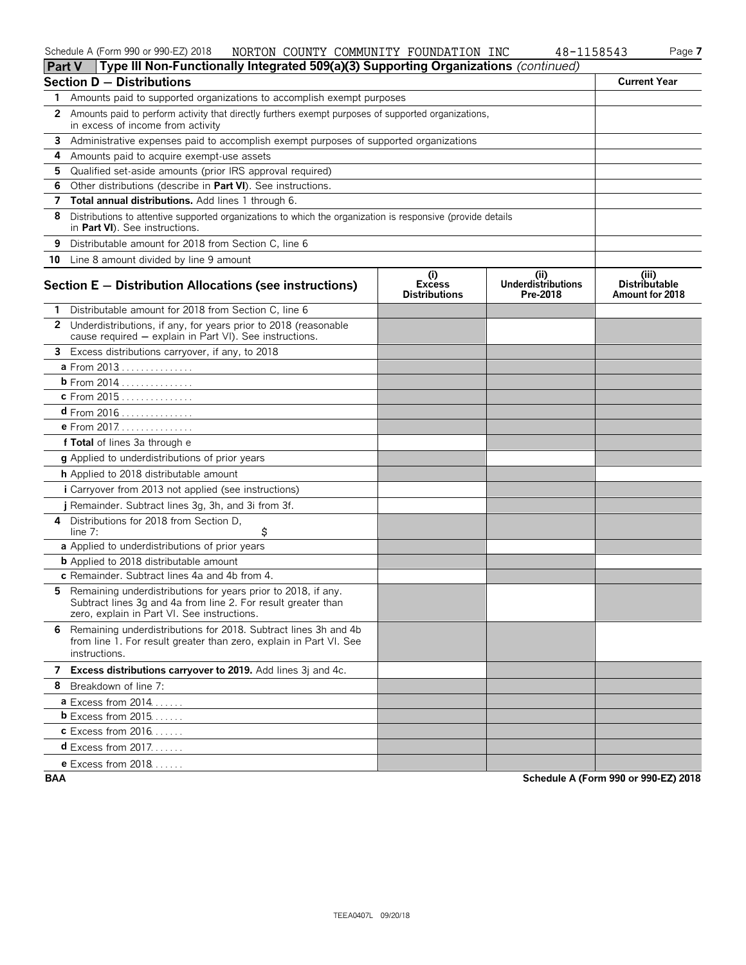### Schedule A (Form 990 or 990-EZ) 2018 NORTON COUNTY COMMUNITY FOUNDATION INC 48-1158543 Page **7**

| 58543<br>≺а |
|-------------|
|-------------|

| <b>Part V</b> | Type III Non-Functionally Integrated 509(a)(3) Supporting Organizations (continued)                                                                                           |                                              |                                               |                                                  |
|---------------|-------------------------------------------------------------------------------------------------------------------------------------------------------------------------------|----------------------------------------------|-----------------------------------------------|--------------------------------------------------|
|               | Section D - Distributions                                                                                                                                                     |                                              |                                               | <b>Current Year</b>                              |
| 1             | Amounts paid to supported organizations to accomplish exempt purposes                                                                                                         |                                              |                                               |                                                  |
| $\mathbf{2}$  | Amounts paid to perform activity that directly furthers exempt purposes of supported organizations,<br>in excess of income from activity                                      |                                              |                                               |                                                  |
| 3             | Administrative expenses paid to accomplish exempt purposes of supported organizations                                                                                         |                                              |                                               |                                                  |
| 4             | Amounts paid to acquire exempt-use assets                                                                                                                                     |                                              |                                               |                                                  |
| 5.            | Qualified set-aside amounts (prior IRS approval required)                                                                                                                     |                                              |                                               |                                                  |
| 6             | Other distributions (describe in Part VI). See instructions.                                                                                                                  |                                              |                                               |                                                  |
|               | 7 Total annual distributions. Add lines 1 through 6.                                                                                                                          |                                              |                                               |                                                  |
| 8             | Distributions to attentive supported organizations to which the organization is responsive (provide details<br>in Part VI). See instructions.                                 |                                              |                                               |                                                  |
| 9             | Distributable amount for 2018 from Section C, line 6                                                                                                                          |                                              |                                               |                                                  |
|               | 10 Line 8 amount divided by line 9 amount                                                                                                                                     |                                              |                                               |                                                  |
|               | Section E - Distribution Allocations (see instructions)                                                                                                                       | (i)<br><b>Excess</b><br><b>Distributions</b> | (ii)<br><b>Underdistributions</b><br>Pre-2018 | (iii)<br><b>Distributable</b><br>Amount for 2018 |
| 1.            | Distributable amount for 2018 from Section C, line 6                                                                                                                          |                                              |                                               |                                                  |
|               | 2 Underdistributions, if any, for years prior to 2018 (reasonable<br>cause required - explain in Part VI). See instructions.                                                  |                                              |                                               |                                                  |
| 3             | Excess distributions carryover, if any, to 2018                                                                                                                               |                                              |                                               |                                                  |
|               | a From 2013                                                                                                                                                                   |                                              |                                               |                                                  |
|               | <b>b</b> From 2014                                                                                                                                                            |                                              |                                               |                                                  |
|               | c From 2015                                                                                                                                                                   |                                              |                                               |                                                  |
|               | $d$ From 2016                                                                                                                                                                 |                                              |                                               |                                                  |
|               | e From 2017                                                                                                                                                                   |                                              |                                               |                                                  |
|               | f Total of lines 3a through e                                                                                                                                                 |                                              |                                               |                                                  |
|               | g Applied to underdistributions of prior years                                                                                                                                |                                              |                                               |                                                  |
|               | h Applied to 2018 distributable amount                                                                                                                                        |                                              |                                               |                                                  |
|               | i Carryover from 2013 not applied (see instructions)                                                                                                                          |                                              |                                               |                                                  |
|               | j Remainder. Subtract lines 3g, 3h, and 3i from 3f.                                                                                                                           |                                              |                                               |                                                  |
| 4             | Distributions for 2018 from Section D.<br>\$<br>line $7:$                                                                                                                     |                                              |                                               |                                                  |
|               | a Applied to underdistributions of prior years                                                                                                                                |                                              |                                               |                                                  |
|               | <b>b</b> Applied to 2018 distributable amount                                                                                                                                 |                                              |                                               |                                                  |
|               | c Remainder. Subtract lines 4a and 4b from 4.                                                                                                                                 |                                              |                                               |                                                  |
| 5.            | Remaining underdistributions for years prior to 2018, if any.<br>Subtract lines 3g and 4a from line 2. For result greater than<br>zero, explain in Part VI. See instructions. |                                              |                                               |                                                  |
|               | 6 Remaining underdistributions for 2018. Subtract lines 3h and 4b<br>from line 1. For result greater than zero, explain in Part VI. See<br>instructions.                      |                                              |                                               |                                                  |
|               | 7 Excess distributions carryover to 2019. Add lines 3j and 4c.                                                                                                                |                                              |                                               |                                                  |
|               | 8 Breakdown of line 7:                                                                                                                                                        |                                              |                                               |                                                  |
|               | <b>a</b> Excess from $2014$                                                                                                                                                   |                                              |                                               |                                                  |
|               | <b>b</b> Excess from 2015                                                                                                                                                     |                                              |                                               |                                                  |
|               | <b>c</b> Excess from 2016                                                                                                                                                     |                                              |                                               |                                                  |
|               | $d$ Excess from 2017.                                                                                                                                                         |                                              |                                               |                                                  |
|               | e Excess from $2018$                                                                                                                                                          |                                              |                                               |                                                  |

**BAA Schedule A (Form 990 or 990-EZ) 2018**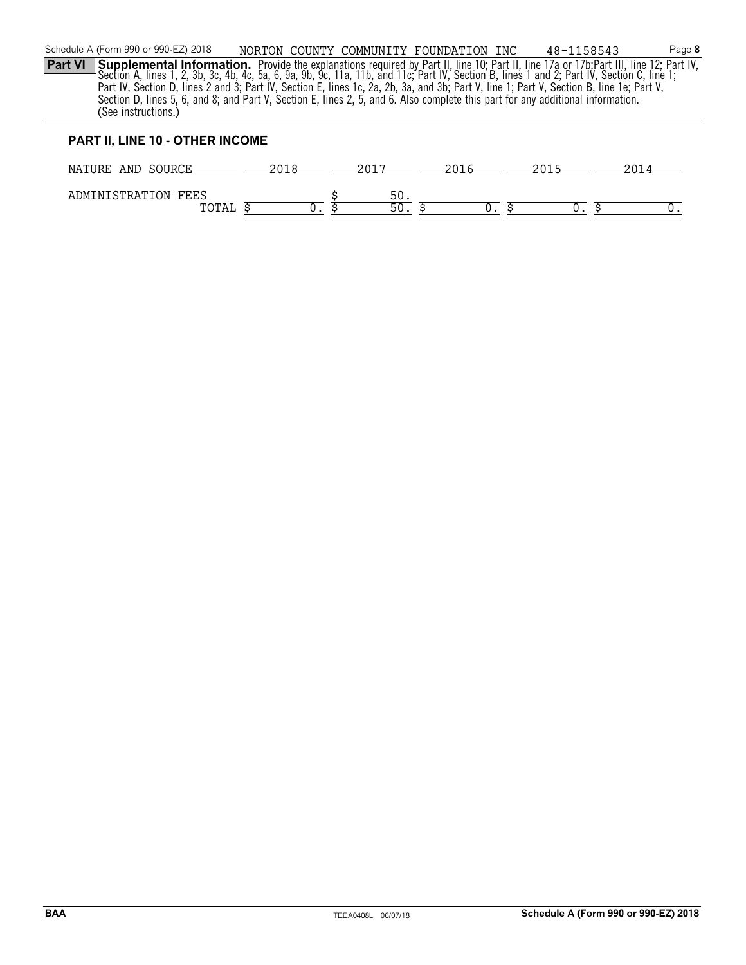**Part VI** Supplemental Information. Provide the explanations required by Part II, line 10; Part II, line 17a or 17b; Part III, line 12; Part IV, Section A, lines 1, 2, 3b, 3c, 4b, 4c, 5a, 6, 9a, 9b, 9c, 11a, 11b, and 11c; Part IV, Section B, lines 1 and 2; Part IV, Section C, line 1; Part IV, Section D, lines 2 and 3; Part IV, Section E, lines 1c, 2a, 2b, 3a, and 3b; Part V, line 1; Part V, Section B, line 1e; Part V, Section D, lines 5, 6, and 8; and Part V, Section E, lines 2, 5, and 6. Also complete this part for any additional information. (See instructions.)

#### **PART II, LINE 10 - OTHER INCOME**

| AND<br>SOURCE<br>NATURE                | ΔU |  | $\sim$ $\sim$ $\sim$<br>ZUI | 0.01 | ZUI. | つハ・<br>$\leftrightarrow$ $\leftrightarrow$ $\pm$ |
|----------------------------------------|----|--|-----------------------------|------|------|--------------------------------------------------|
| FEES<br>ווחדים בידי<br>ADMTNT<br>TOTAL |    |  | ں ر<br>∽<br>ັບ              |      |      |                                                  |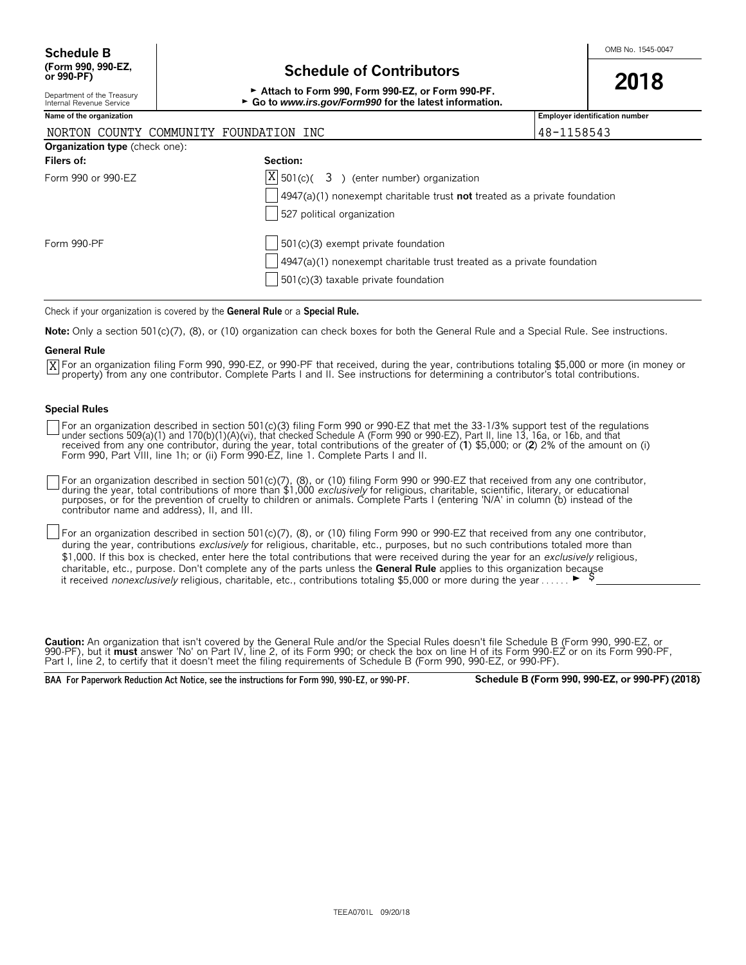<sup>G</sup>**Attach to Form 990, Form 990-EZ, or Form 990-PF. 2018** ▶ Go to *www.irs.gov/Form990* for the latest information.

Department of the Treasury<br>Internal Revenue Service

**Name of the organization Employer identification number**

| 48-1158543 |  |  |
|------------|--|--|

| <b>Organization type</b> (check one): |                                                                                   |
|---------------------------------------|-----------------------------------------------------------------------------------|
| Filers of:                            | Section:                                                                          |
| Form 990 or 990-EZ                    | $ X $ 501(c)( 3) (enter number) organization                                      |
|                                       | $\vert$ 4947(a)(1) nonexempt charitable trust not treated as a private foundation |
|                                       | 527 political organization                                                        |
| Form 990-PF                           | $\frac{1}{10}$ 501(c)(3) exempt private foundation                                |
|                                       | $4947(a)(1)$ nonexempt charitable trust treated as a private foundation           |
|                                       | $\frac{1}{1}$ 501(c)(3) taxable private foundation                                |

Check if your organization is covered by the **General Rule** or a **Special Rule.**

NORTON COUNTY COMMUNITY FOUNDATION INC

**Note:** Only a section 501(c)(7), (8), or (10) organization can check boxes for both the General Rule and a Special Rule. See instructions.

#### **General Rule**

For an organization filing Form 990, 990-EZ, or 990-PF that received, during the year, contributions totaling \$5,000 or more (in money or Xproperty) from any one contributor. Complete Parts I and II. See instructions for determining a contributor's total contributions.

#### **Special Rules**

For an organization described in section 501(c)(3) filing Form 990 or 990-EZ that met the 33-1/3% support test of the regulations<br>under sections 509(a)(1) and 170(b)(1)(A)(vi), that checked Schedule A (Form 990 or 990-EZ), Form 990, Part VIII, line 1h; or (ii) Form 990-EZ, line 1. Complete Parts I and II.

For an organization described in section 501(c)(7), (8), or (10) filing Form 990 or 990-EZ that received from any one contributor, during the year, total contributions of more than \$1,000 *exclusively* for religious, charitable, scientific, literary, or educational<br>purposes, or for the prevention of cruelty to children or animals. Complete Parts I (en contributor name and address), II, and III.

For an organization described in section 501(c)(7), (8), or (10) filing Form 990 or 990-EZ that received from any one contributor, during the year, contributions *exclusively* for religious, charitable, etc., purposes, but no such contributions totaled more than \$1,000. If this box is checked, enter here the total contributions that were received during the year for an *exclusively* religious, charitable, etc., purpose. Don't complete any of the parts unless the **General Rule** applies to this organization because it received *nonexclusively* religious, charitable, etc., contributions totaling \$5,000 or more during the year . . . . . .  $\blacktriangleright$ 

**Caution:** An organization that isn't covered by the General Rule and/or the Special Rules doesn't file Schedule B (Form 990, 990-EZ, or 990-PF), but it **must** answer 'No' on Part IV, line 2, of its Form 990; or check the box on line H of its Form 990-EZ or on its Form 990-PF, Part I, line 2, to certify that it doesn't meet the filing requirements of Schedule B (Form 990, 990-EZ, or 990-PF).

**BAA For Paperwork Reduction Act Notice, see the instructions for Form 990, 990-EZ, or 990-PF. Schedule B (Form 990, 990-EZ, or 990-PF) (2018)**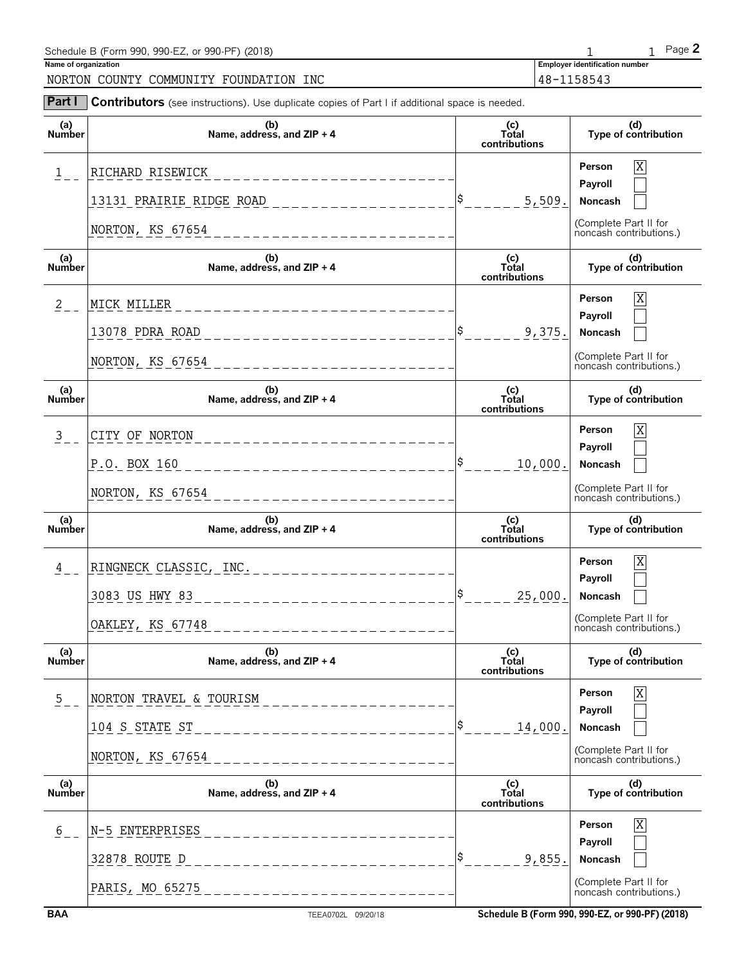| Schedule B (Form 990, 990-EZ, or 990-PF) (2018)                                                              |                                       | Page 2 |
|--------------------------------------------------------------------------------------------------------------|---------------------------------------|--------|
| Name of organization                                                                                         | <b>Employer identification number</b> |        |
| NORTON COUNTY COMMUNITY FOUNDATION INC                                                                       | 48-1158543                            |        |
| <b>Part I</b> Contributors (see instructions). Use duplicate copies of Part I if additional space is needed. |                                       |        |

| (a)<br><b>Number</b> | (b)<br>Name, address, and ZIP + 4            |      | (c)<br>Total<br>contributions        | (d)<br>Type of contribution                           |
|----------------------|----------------------------------------------|------|--------------------------------------|-------------------------------------------------------|
| 1                    | RICHARD RISEWICK<br>13131 PRAIRIE RIDGE ROAD | \$   | 5,509.                               | $\overline{\text{X}}$<br>Person<br>Payroll<br>Noncash |
|                      | NORTON, KS 67654<br>-----------------------  |      |                                      | (Complete Part II for<br>noncash contributions.)      |
| (a)<br><b>Number</b> | (b)<br>Name, address, and ZIP + 4            |      | (c)<br>Total<br>contributions        | (d)<br>Type of contribution                           |
| $\frac{2}{2}$        | MICK MILLER                                  |      |                                      | X<br>Person<br>Payroll                                |
|                      | 13078 PDRA ROAD<br>__________________        | I\$. | 9,375.                               | Noncash                                               |
|                      | NORTON, KS 67654<br>________________________ |      |                                      | (Complete Part II for<br>noncash contributions.)      |
| (a)<br><b>Number</b> | (b)<br>Name, address, and ZIP + 4            |      | (c)<br>Total<br>contributions        | (d)<br>Type of contribution                           |
| $\frac{3}{2}$ – –    | CITY OF NORTON                               |      |                                      | X<br>Person<br>Payroll                                |
|                      | P.O. BOX 160<br>_________________            | I\$. | 10,000.                              | Noncash                                               |
|                      | NORTON, KS 67654<br>_______________________  |      |                                      | (Complete Part II for<br>noncash contributions.)      |
|                      |                                              |      |                                      |                                                       |
| (a)<br><b>Number</b> | (b)<br>Name, address, and ZIP + 4            |      | (c)<br>Total<br>contributions        | (d)<br>Type of contribution                           |
| $\frac{4}{1}$        | RINGNECK CLASSIC, INC.                       |      |                                      | X<br>Person                                           |
|                      | 3083 US HWY 83<br>_______________________    | I\$  | 25,000.                              | Payroll<br>Noncash                                    |
|                      | OAKLEY, KS 67748                             |      |                                      | (Complete Part II for<br>noncash contributions.)      |
| (a)<br><b>Number</b> | (b)<br>Name, address, and ZIP + 4            |      | (c)<br><b>Total</b><br>contributions | (d)<br>Type of contribution                           |
| $\overline{5}$       | NORTON TRAVEL & TOURISM                      |      |                                      | Person<br>X                                           |
|                      | 104 S STATE ST<br>$- - - - - - - - - -$      | \$   | 14,000.                              | Payroll<br>Noncash                                    |
|                      | NORTON, KS 67654                             |      |                                      | (Complete Part II for<br>noncash contributions.)      |
| (a)<br>Number        | (b)<br>Name, address, and ZIP + 4            |      | (c)<br>Total<br>contributions        | (d)<br>Type of contribution                           |
| $6 \overline{6}$     | N-5 ENTERPRISES                              |      |                                      | $\overline{\text{X}}$<br>Person                       |
|                      | 32878 ROUTE D<br>_________________           | \$   | 9,855.                               | Payroll<br>Noncash                                    |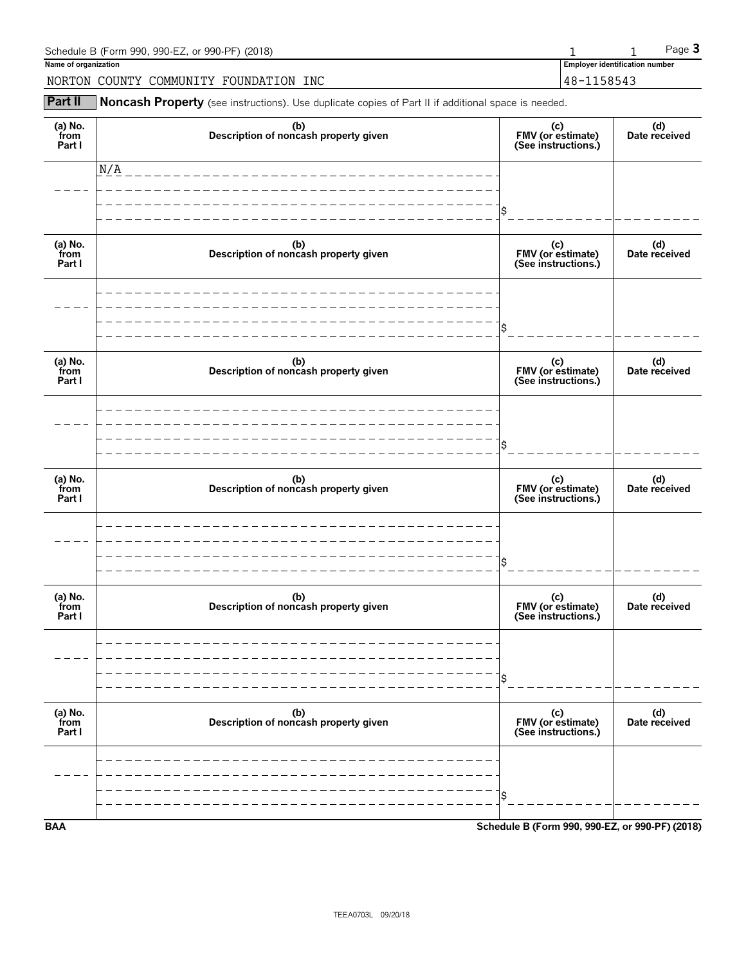| Schedule B (Form 990, 990-EZ, or 990-PF) (2018) |            |                                | Page 3 |
|-------------------------------------------------|------------|--------------------------------|--------|
| Name of organization                            |            | Employer identification number |        |
| NORTON COUNTY COMMUNITY FOUNDATION INC          | 48-1158543 |                                |        |

**Part II** Noncash Property (see instructions). Use duplicate copies of Part II if additional space is needed.

| (a) No.<br>from<br>Part I   | (b)<br>Description of noncash property given | (c)<br>FMV (or estimate)<br>(See instructions.) | (d)<br>Date received |
|-----------------------------|----------------------------------------------|-------------------------------------------------|----------------------|
|                             | N/A                                          |                                                 |                      |
|                             |                                              | \$                                              |                      |
| (a) No.<br>from<br>Part I   | (b)<br>Description of noncash property given | (c)<br>FMV (or estimate)<br>(See instructions.) | (d)<br>Date received |
|                             |                                              |                                                 |                      |
|                             |                                              | \$                                              |                      |
| (a) No.<br>from<br>Part I   | (b)<br>Description of noncash property given | (c)<br>FMV (or estimate)<br>(See instructions.) | (d)<br>Date received |
|                             |                                              |                                                 |                      |
|                             |                                              | \$                                              |                      |
| (a) No.<br>from<br>Part I   | (b)<br>Description of noncash property given | (c)<br>FMV (or estimate)<br>(See instructions.) | (d)<br>Date received |
|                             |                                              |                                                 |                      |
|                             |                                              | \$                                              |                      |
| (a) No.<br>$from$<br>Part I | (b)<br>Description of noncash property given | (c)<br>FMV (or estimate)<br>(See instructions.) | (d)<br>Date received |
|                             |                                              |                                                 |                      |
|                             |                                              | \$                                              |                      |
| (a) No.<br>from<br>Part I   | (b)<br>Description of noncash property given | (c)<br>FMV (or estimate)<br>(See instructions.) | (d)<br>Date received |
|                             |                                              |                                                 |                      |
|                             |                                              | \$                                              |                      |
| <b>BAA</b>                  |                                              | Schedule B (Form 990, 990-EZ, or 990-PF) (2018) |                      |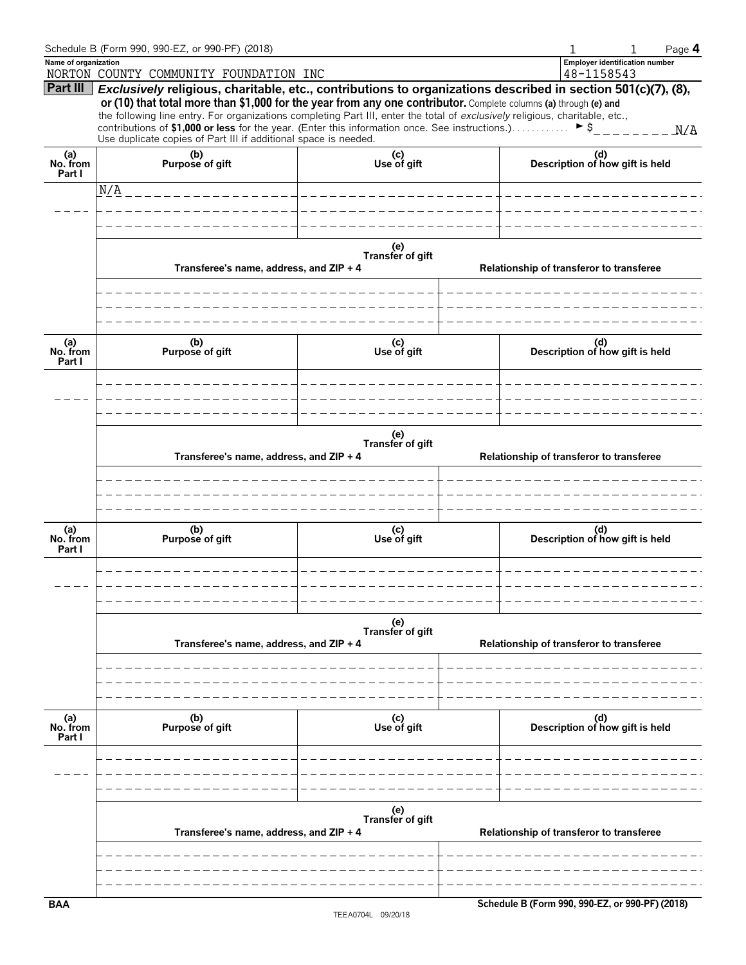|                           | Schedule B (Form 990, 990-EZ, or 990-PF) (2018)                                                                                                                                                                                                                                                                                                                                                                                                                                                                                                                     |                                          |  | Page 4<br>1                                         |  |  |  |
|---------------------------|---------------------------------------------------------------------------------------------------------------------------------------------------------------------------------------------------------------------------------------------------------------------------------------------------------------------------------------------------------------------------------------------------------------------------------------------------------------------------------------------------------------------------------------------------------------------|------------------------------------------|--|-----------------------------------------------------|--|--|--|
| Name of organization      | NORTON COUNTY COMMUNITY FOUNDATION INC                                                                                                                                                                                                                                                                                                                                                                                                                                                                                                                              |                                          |  | <b>Employer identification number</b><br>48-1158543 |  |  |  |
|                           | Part III Exclusively religious, charitable, etc., contributions to organizations described in section 501(c)(7), (8),<br>or (10) that total more than \$1,000 for the year from any one contributor. Complete columns (a) through (e) and<br>the following line entry. For organizations completing Part III, enter the total of exclusively religious, charitable, etc.,<br>contributions of \$1,000 or less for the year. (Enter this information once. See instructions.) $\triangleright$ \$<br>Use duplicate copies of Part III if additional space is needed. |                                          |  |                                                     |  |  |  |
| (a)<br>No. from<br>Part I | (b)<br>Purpose of gift                                                                                                                                                                                                                                                                                                                                                                                                                                                                                                                                              | (c)<br>Use of gift                       |  | (d)<br>Description of how gift is held              |  |  |  |
|                           |                                                                                                                                                                                                                                                                                                                                                                                                                                                                                                                                                                     |                                          |  |                                                     |  |  |  |
|                           |                                                                                                                                                                                                                                                                                                                                                                                                                                                                                                                                                                     |                                          |  |                                                     |  |  |  |
|                           | Transferee's name, address, and ZIP + 4                                                                                                                                                                                                                                                                                                                                                                                                                                                                                                                             | (e)<br>Transfer of gift                  |  | Relationship of transferor to transferee            |  |  |  |
| (a)<br>No. from           | (b)<br>Purpose of gift                                                                                                                                                                                                                                                                                                                                                                                                                                                                                                                                              | (c)<br>Use of gift                       |  | (d)<br>Description of how gift is held              |  |  |  |
| Part I                    |                                                                                                                                                                                                                                                                                                                                                                                                                                                                                                                                                                     |                                          |  |                                                     |  |  |  |
|                           |                                                                                                                                                                                                                                                                                                                                                                                                                                                                                                                                                                     |                                          |  |                                                     |  |  |  |
|                           | Transferee's name, address, and ZIP + 4                                                                                                                                                                                                                                                                                                                                                                                                                                                                                                                             | (e)<br>Transfer of gift                  |  | Relationship of transferor to transferee            |  |  |  |
|                           |                                                                                                                                                                                                                                                                                                                                                                                                                                                                                                                                                                     |                                          |  |                                                     |  |  |  |
| (a)<br>No. from<br>Part I | (b)<br>Purpose of gift                                                                                                                                                                                                                                                                                                                                                                                                                                                                                                                                              | (c)<br>Use of gift                       |  | (d)<br>Description of how gift is held              |  |  |  |
|                           |                                                                                                                                                                                                                                                                                                                                                                                                                                                                                                                                                                     |                                          |  |                                                     |  |  |  |
|                           | Transferee's name, address, and ZIP + 4                                                                                                                                                                                                                                                                                                                                                                                                                                                                                                                             | Relationship of transferor to transferee |  |                                                     |  |  |  |
|                           |                                                                                                                                                                                                                                                                                                                                                                                                                                                                                                                                                                     |                                          |  |                                                     |  |  |  |
|                           |                                                                                                                                                                                                                                                                                                                                                                                                                                                                                                                                                                     |                                          |  |                                                     |  |  |  |
| (a)<br>No. from<br>Part I | (b)<br>Purpose of gift                                                                                                                                                                                                                                                                                                                                                                                                                                                                                                                                              | (c)<br>Use of gift                       |  | (d)<br>Description of how gift is held              |  |  |  |
|                           |                                                                                                                                                                                                                                                                                                                                                                                                                                                                                                                                                                     |                                          |  |                                                     |  |  |  |
|                           |                                                                                                                                                                                                                                                                                                                                                                                                                                                                                                                                                                     |                                          |  |                                                     |  |  |  |
|                           | (e)<br>Transfer of gift<br>Transferee's name, address, and ZIP + 4                                                                                                                                                                                                                                                                                                                                                                                                                                                                                                  |                                          |  | Relationship of transferor to transferee            |  |  |  |
|                           |                                                                                                                                                                                                                                                                                                                                                                                                                                                                                                                                                                     |                                          |  |                                                     |  |  |  |
|                           |                                                                                                                                                                                                                                                                                                                                                                                                                                                                                                                                                                     |                                          |  |                                                     |  |  |  |
| <b>BAA</b>                |                                                                                                                                                                                                                                                                                                                                                                                                                                                                                                                                                                     |                                          |  | Schedule B (Form 990, 990-EZ, or 990-PF) (2018)     |  |  |  |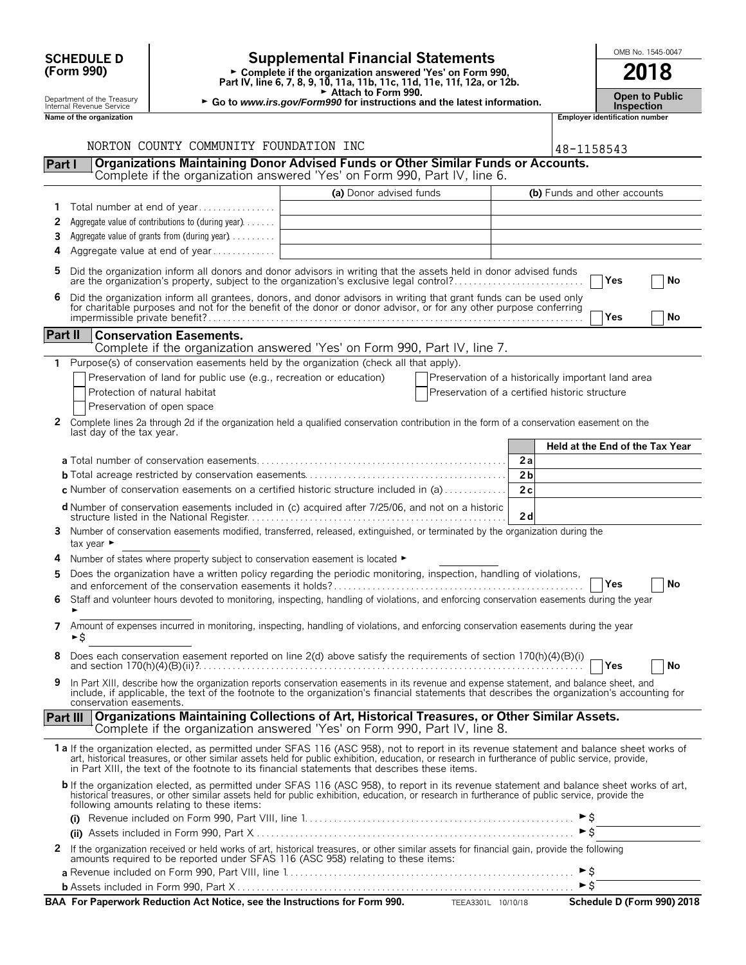|                                                                                                                                                      | <b>SCHEDULE D</b>                                      |                                                                     | <b>Supplemental Financial Statements</b>                                                                                                                                                                                                                                                                                                                                                        |                                                    |                |                     | OMB No. 1545-0047                          |    |
|------------------------------------------------------------------------------------------------------------------------------------------------------|--------------------------------------------------------|---------------------------------------------------------------------|-------------------------------------------------------------------------------------------------------------------------------------------------------------------------------------------------------------------------------------------------------------------------------------------------------------------------------------------------------------------------------------------------|----------------------------------------------------|----------------|---------------------|--------------------------------------------|----|
| (Form 990)<br>► Complete if the organization answered 'Yes' on Form 990,<br>Part IV, line 6, 7, 8, 9, 10, 11a, 11b, 11c, 11d, 11e, 11f, 12a, or 12b. |                                                        |                                                                     |                                                                                                                                                                                                                                                                                                                                                                                                 |                                                    |                |                     | 2018                                       |    |
|                                                                                                                                                      | Department of the Treasury<br>Internal Revenue Service |                                                                     | Attach to Form 990.<br>► Go to www.irs.gov/Form990 for instructions and the latest information.                                                                                                                                                                                                                                                                                                 |                                                    |                |                     | <b>Open to Public</b><br><b>Inspection</b> |    |
|                                                                                                                                                      | Name of the organization                               |                                                                     |                                                                                                                                                                                                                                                                                                                                                                                                 |                                                    |                |                     |                                            |    |
|                                                                                                                                                      |                                                        |                                                                     |                                                                                                                                                                                                                                                                                                                                                                                                 |                                                    |                |                     |                                            |    |
|                                                                                                                                                      |                                                        | NORTON COUNTY COMMUNITY FOUNDATION INC                              |                                                                                                                                                                                                                                                                                                                                                                                                 |                                                    |                | 48-1158543          |                                            |    |
| Part I                                                                                                                                               |                                                        |                                                                     | Organizations Maintaining Donor Advised Funds or Other Similar Funds or Accounts.<br>Complete if the organization answered 'Yes' on Form 990, Part IV, line 6.                                                                                                                                                                                                                                  |                                                    |                |                     |                                            |    |
|                                                                                                                                                      |                                                        |                                                                     | (a) Donor advised funds                                                                                                                                                                                                                                                                                                                                                                         |                                                    |                |                     | (b) Funds and other accounts               |    |
| 1                                                                                                                                                    |                                                        | Total number at end of year                                         |                                                                                                                                                                                                                                                                                                                                                                                                 |                                                    |                |                     |                                            |    |
| 2                                                                                                                                                    |                                                        | Aggregate value of contributions to (during year).                  |                                                                                                                                                                                                                                                                                                                                                                                                 |                                                    |                |                     |                                            |    |
| 3                                                                                                                                                    |                                                        | Aggregate value of grants from (during year)                        |                                                                                                                                                                                                                                                                                                                                                                                                 |                                                    |                |                     |                                            |    |
| 4                                                                                                                                                    |                                                        | Aggregate value at end of year                                      |                                                                                                                                                                                                                                                                                                                                                                                                 |                                                    |                |                     |                                            |    |
| 5                                                                                                                                                    |                                                        |                                                                     | Did the organization inform all donors and donor advisors in writing that the assets held in donor advised funds<br>are the organization's property, subject to the organization's exclusive legal control?                                                                                                                                                                                     |                                                    |                |                     | ∣Yes                                       | No |
| 6                                                                                                                                                    |                                                        |                                                                     | Did the organization inform all grantees, donors, and donor advisors in writing that grant funds can be used only<br>for charitable purposes and not for the benefit of the donor or donor advisor, or for any other purpose conferring                                                                                                                                                         |                                                    |                |                     | Yes                                        | No |
| <b>Part II</b>                                                                                                                                       |                                                        | <b>Conservation Easements.</b>                                      |                                                                                                                                                                                                                                                                                                                                                                                                 |                                                    |                |                     |                                            |    |
|                                                                                                                                                      |                                                        |                                                                     | Complete if the organization answered 'Yes' on Form 990, Part IV, line 7.                                                                                                                                                                                                                                                                                                                       |                                                    |                |                     |                                            |    |
| 1                                                                                                                                                    |                                                        |                                                                     | Purpose(s) of conservation easements held by the organization (check all that apply).                                                                                                                                                                                                                                                                                                           |                                                    |                |                     |                                            |    |
|                                                                                                                                                      |                                                        | Preservation of land for public use (e.g., recreation or education) |                                                                                                                                                                                                                                                                                                                                                                                                 | Preservation of a historically important land area |                |                     |                                            |    |
|                                                                                                                                                      |                                                        | Protection of natural habitat                                       |                                                                                                                                                                                                                                                                                                                                                                                                 | Preservation of a certified historic structure     |                |                     |                                            |    |
|                                                                                                                                                      |                                                        | Preservation of open space                                          |                                                                                                                                                                                                                                                                                                                                                                                                 |                                                    |                |                     |                                            |    |
| 2                                                                                                                                                    | last day of the tax year.                              |                                                                     | Complete lines 2a through 2d if the organization held a qualified conservation contribution in the form of a conservation easement on the                                                                                                                                                                                                                                                       |                                                    |                |                     | Held at the End of the Tax Year            |    |
|                                                                                                                                                      |                                                        |                                                                     |                                                                                                                                                                                                                                                                                                                                                                                                 |                                                    | 2a             |                     |                                            |    |
|                                                                                                                                                      |                                                        |                                                                     |                                                                                                                                                                                                                                                                                                                                                                                                 |                                                    | 2 <sub>b</sub> |                     |                                            |    |
|                                                                                                                                                      |                                                        |                                                                     | <b>c</b> Number of conservation easements on a certified historic structure included in (a)                                                                                                                                                                                                                                                                                                     |                                                    | 2c             |                     |                                            |    |
|                                                                                                                                                      |                                                        |                                                                     | d Number of conservation easements included in (c) acquired after 7/25/06, and not on a historic                                                                                                                                                                                                                                                                                                |                                                    | 2d             |                     |                                            |    |
| 3.                                                                                                                                                   | tax year $\blacktriangleright$                         |                                                                     | Number of conservation easements modified, transferred, released, extinguished, or terminated by the organization during the                                                                                                                                                                                                                                                                    |                                                    |                |                     |                                            |    |
|                                                                                                                                                      |                                                        |                                                                     | Number of states where property subject to conservation easement is located ►                                                                                                                                                                                                                                                                                                                   |                                                    |                |                     |                                            |    |
|                                                                                                                                                      |                                                        |                                                                     | Does the organization have a written policy regarding the periodic monitoring, inspection, handling of violations,                                                                                                                                                                                                                                                                              |                                                    |                |                     | Yes                                        | No |
| 6                                                                                                                                                    |                                                        |                                                                     | Staff and volunteer hours devoted to monitoring, inspecting, handling of violations, and enforcing conservation easements during the year                                                                                                                                                                                                                                                       |                                                    |                |                     |                                            |    |
| 7                                                                                                                                                    | ►\$                                                    |                                                                     | Amount of expenses incurred in monitoring, inspecting, handling of violations, and enforcing conservation easements during the year                                                                                                                                                                                                                                                             |                                                    |                |                     |                                            |    |
| 8                                                                                                                                                    |                                                        |                                                                     | Does each conservation easement reported on line 2(d) above satisfy the requirements of section 170(h)(4)(B)(i)                                                                                                                                                                                                                                                                                 |                                                    |                |                     | Yes                                        | No |
| 9                                                                                                                                                    | conservation easements.                                |                                                                     | In Part XIII, describe how the organization reports conservation easements in its revenue and expense statement, and balance sheet, and<br>include, if applicable, the text of the footnote to the organization's financial statements that describes the organization's accounting for                                                                                                         |                                                    |                |                     |                                            |    |
|                                                                                                                                                      |                                                        |                                                                     | Part III   Organizations Maintaining Collections of Art, Historical Treasures, or Other Similar Assets.<br>Complete if the organization answered 'Yes' on Form 990, Part IV, line 8.                                                                                                                                                                                                            |                                                    |                |                     |                                            |    |
|                                                                                                                                                      |                                                        |                                                                     | 1 a If the organization elected, as permitted under SFAS 116 (ASC 958), not to report in its revenue statement and balance sheet works of<br>art, historical treasures, or other similar assets held for public exhibition, education, or research in furtherance of public service, provide,<br>in Part XIII, the text of the footnote to its financial statements that describes these items. |                                                    |                |                     |                                            |    |
|                                                                                                                                                      |                                                        | following amounts relating to these items:                          | b If the organization elected, as permitted under SFAS 116 (ASC 958), to report in its revenue statement and balance sheet works of art,<br>historical treasures, or other similar assets held for public exhibition, education, or research in furtherance of public service, provide the                                                                                                      |                                                    |                |                     |                                            |    |
|                                                                                                                                                      |                                                        |                                                                     |                                                                                                                                                                                                                                                                                                                                                                                                 |                                                    |                | $\triangleright$ \$ |                                            |    |
|                                                                                                                                                      |                                                        |                                                                     |                                                                                                                                                                                                                                                                                                                                                                                                 |                                                    |                |                     |                                            |    |
| $\mathbf{z}$                                                                                                                                         |                                                        |                                                                     | If the organization received or held works of art, historical treasures, or other similar assets for financial gain, provide the following<br>amounts required to be reported under SFAS 116 (ASC 958) relating to these items:                                                                                                                                                                 |                                                    |                | ► \$                |                                            |    |
|                                                                                                                                                      |                                                        |                                                                     |                                                                                                                                                                                                                                                                                                                                                                                                 |                                                    |                | ► \$                |                                            |    |
|                                                                                                                                                      |                                                        |                                                                     | BAA For Paperwork Reduction Act Notice, see the Instructions for Form 990. TEEA3301L 10/10/18                                                                                                                                                                                                                                                                                                   |                                                    |                |                     | Schedule D (Form 990) 2018                 |    |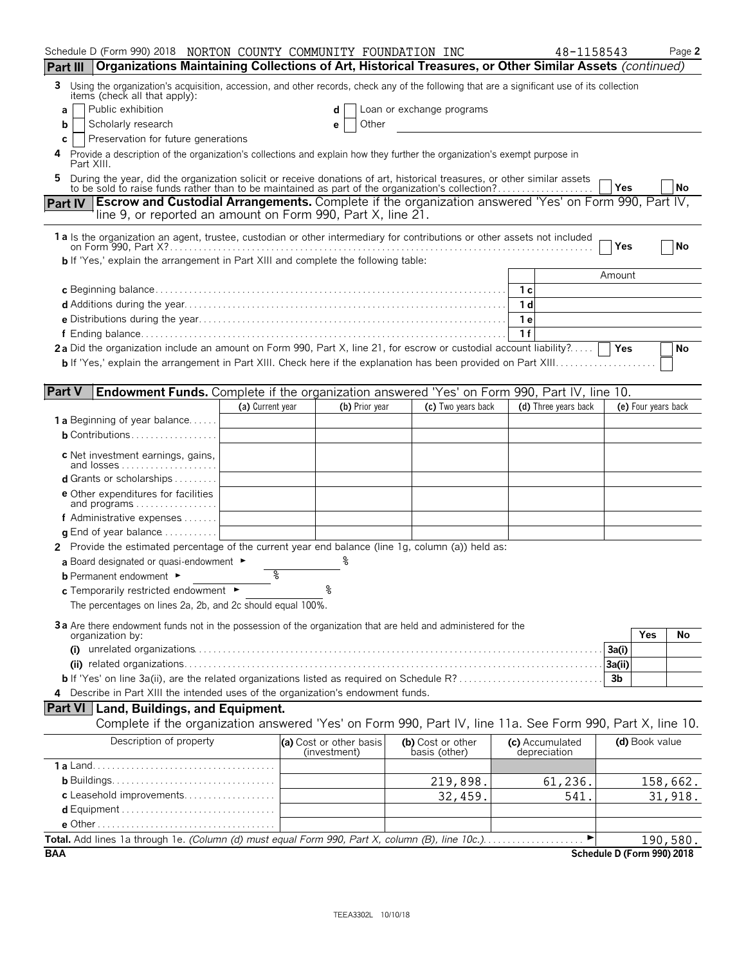| Schedule D (Form 990) 2018  NORTON COUNTY COMMUNITY FOUNDATION INC                                                                                                                                                        |                  |                                         |                |                                    | 48-1158543                      |                            | Page 2   |
|---------------------------------------------------------------------------------------------------------------------------------------------------------------------------------------------------------------------------|------------------|-----------------------------------------|----------------|------------------------------------|---------------------------------|----------------------------|----------|
| Organizations Maintaining Collections of Art, Historical Treasures, or Other Similar Assets (continued)<br>Part III                                                                                                       |                  |                                         |                |                                    |                                 |                            |          |
| Using the organization's acquisition, accession, and other records, check any of the following that are a significant use of its collection<br>3<br>items (check all that apply):                                         |                  |                                         |                |                                    |                                 |                            |          |
| Public exhibition<br>a                                                                                                                                                                                                    |                  | d                                       |                | Loan or exchange programs          |                                 |                            |          |
| Scholarly research<br>b                                                                                                                                                                                                   |                  | е                                       | Other          |                                    |                                 |                            |          |
| Preservation for future generations<br>С                                                                                                                                                                                  |                  |                                         |                |                                    |                                 |                            |          |
| Provide a description of the organization's collections and explain how they further the organization's exempt purpose in<br>4<br>Part XIII.                                                                              |                  |                                         |                |                                    |                                 |                            |          |
| During the year, did the organization solicit or receive donations of art, historical treasures, or other similar assets to be sold to raise funds rather than to be maintained as part of the organization's collection? |                  |                                         |                |                                    |                                 | Yes                        | No       |
| Part IV Escrow and Custodial Arrangements. Complete if the organization answered 'Yes' on Form 990, Part IV,<br>line 9, or reported an amount on Form 990, Part X, line 21.                                               |                  |                                         |                |                                    |                                 |                            |          |
| 1a Is the organization an agent, trustee, custodian or other intermediary for contributions or other assets not included                                                                                                  |                  |                                         |                |                                    |                                 | Yes                        | No       |
| <b>b</b> If 'Yes,' explain the arrangement in Part XIII and complete the following table:                                                                                                                                 |                  |                                         |                |                                    |                                 |                            |          |
|                                                                                                                                                                                                                           |                  |                                         |                |                                    |                                 | Amount                     |          |
|                                                                                                                                                                                                                           |                  |                                         |                |                                    | 1 с                             |                            |          |
|                                                                                                                                                                                                                           |                  |                                         |                |                                    | 1 d                             |                            |          |
|                                                                                                                                                                                                                           |                  |                                         |                |                                    | 1е                              |                            |          |
|                                                                                                                                                                                                                           |                  |                                         |                |                                    | 1f                              |                            |          |
| 2a Did the organization include an amount on Form 990, Part X, line 21, for escrow or custodial account liability?                                                                                                        |                  |                                         |                |                                    |                                 | Yes                        | No       |
|                                                                                                                                                                                                                           |                  |                                         |                |                                    |                                 |                            |          |
|                                                                                                                                                                                                                           |                  |                                         |                |                                    |                                 |                            |          |
| <b>Part V</b><br>Endowment Funds. Complete if the organization answered 'Yes' on Form 990, Part IV, line 10.                                                                                                              |                  |                                         |                |                                    |                                 |                            |          |
|                                                                                                                                                                                                                           | (a) Current year |                                         | (b) Prior year | (c) Two years back                 | (d) Three years back            | (e) Four years back        |          |
| <b>1 a</b> Beginning of year balance<br><b>b</b> Contributions                                                                                                                                                            |                  |                                         |                |                                    |                                 |                            |          |
|                                                                                                                                                                                                                           |                  |                                         |                |                                    |                                 |                            |          |
| c Net investment earnings, gains,<br>and losses                                                                                                                                                                           |                  |                                         |                |                                    |                                 |                            |          |
| <b>d</b> Grants or scholarships $\ldots$                                                                                                                                                                                  |                  |                                         |                |                                    |                                 |                            |          |
| <b>e</b> Other expenditures for facilities<br>and programs                                                                                                                                                                |                  |                                         |                |                                    |                                 |                            |          |
| f Administrative expenses                                                                                                                                                                                                 |                  |                                         |                |                                    |                                 |                            |          |
| <b>g</b> End of year balance $\dots\dots\dots\dots$                                                                                                                                                                       |                  |                                         |                |                                    |                                 |                            |          |
| 2 Provide the estimated percentage of the current year end balance (line 1g, column (a)) held as:                                                                                                                         |                  |                                         |                |                                    |                                 |                            |          |
| a Board designated or quasi-endowment $\blacktriangleright$                                                                                                                                                               |                  |                                         |                |                                    |                                 |                            |          |
| <b>b</b> Permanent endowment ►                                                                                                                                                                                            | နွ               |                                         |                |                                    |                                 |                            |          |
| $c$ Temporarily restricted endowment $\blacktriangleright$                                                                                                                                                                |                  | ٥                                       |                |                                    |                                 |                            |          |
| The percentages on lines 2a, 2b, and 2c should equal 100%.                                                                                                                                                                |                  |                                         |                |                                    |                                 |                            |          |
| 3a Are there endowment funds not in the possession of the organization that are held and administered for the                                                                                                             |                  |                                         |                |                                    |                                 |                            |          |
| organization by:                                                                                                                                                                                                          |                  |                                         |                |                                    |                                 | <b>Yes</b>                 | No       |
|                                                                                                                                                                                                                           |                  |                                         |                |                                    |                                 | 3a(i)                      |          |
|                                                                                                                                                                                                                           |                  |                                         |                |                                    |                                 | 3a(ii)                     |          |
|                                                                                                                                                                                                                           |                  |                                         |                |                                    |                                 | 3 <sub>b</sub>             |          |
| 4 Describe in Part XIII the intended uses of the organization's endowment funds.                                                                                                                                          |                  |                                         |                |                                    |                                 |                            |          |
| <b>Part VI</b> Land, Buildings, and Equipment.                                                                                                                                                                            |                  |                                         |                |                                    |                                 |                            |          |
| Complete if the organization answered 'Yes' on Form 990, Part IV, line 11a. See Form 990, Part X, line 10.                                                                                                                |                  |                                         |                |                                    |                                 |                            |          |
| Description of property                                                                                                                                                                                                   |                  | (a) Cost or other basis<br>(investment) |                | (b) Cost or other<br>basis (other) | (c) Accumulated<br>depreciation | (d) Book value             |          |
|                                                                                                                                                                                                                           |                  |                                         |                |                                    |                                 |                            |          |
|                                                                                                                                                                                                                           |                  |                                         |                | 219,898.                           | 61,236.                         |                            | 158,662. |
| c Leasehold improvements                                                                                                                                                                                                  |                  |                                         |                | 32,459.                            | 541                             |                            | 31,918.  |
|                                                                                                                                                                                                                           |                  |                                         |                |                                    |                                 |                            |          |
|                                                                                                                                                                                                                           |                  |                                         |                |                                    |                                 |                            |          |
| Total. Add lines 1a through 1e. (Column (d) must equal Form 990, Part X, column (B), line 10c.)                                                                                                                           |                  |                                         |                |                                    | ▶                               |                            | 190,580. |
| <b>BAA</b>                                                                                                                                                                                                                |                  |                                         |                |                                    |                                 | Schedule D (Form 990) 2018 |          |

TEEA3302L 10/10/18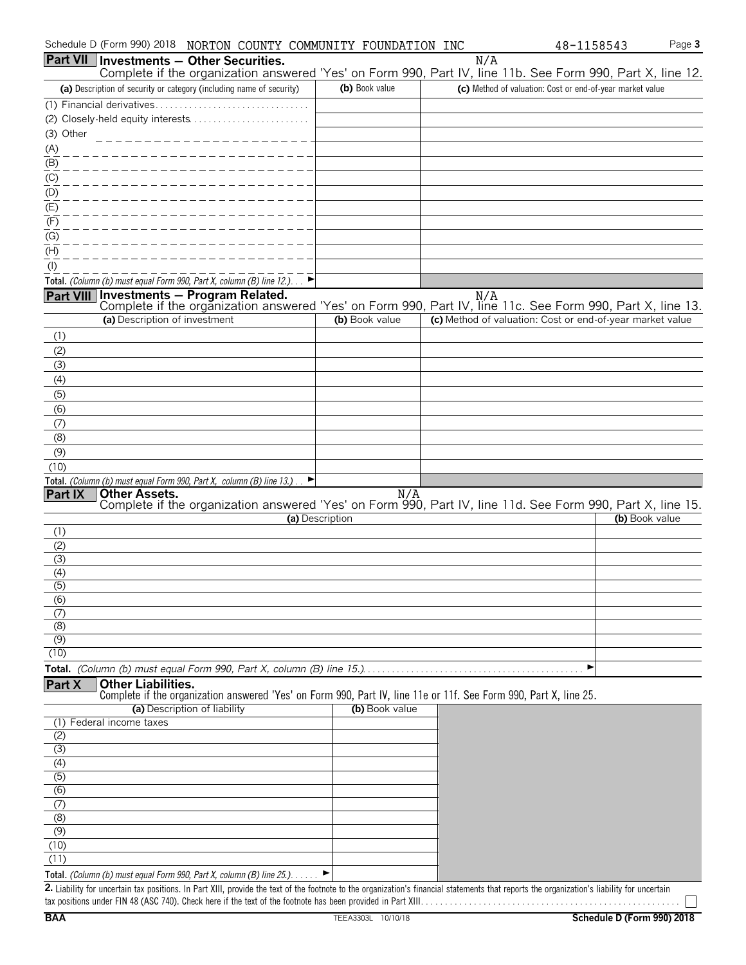|                             | Schedule D (Form 990) 2018 NORTON COUNTY COMMUNITY FOUNDATION INC                                                                                                                                                                                                                          |                 |     | 48-1158543                                                | Page 3 |
|-----------------------------|--------------------------------------------------------------------------------------------------------------------------------------------------------------------------------------------------------------------------------------------------------------------------------------------|-----------------|-----|-----------------------------------------------------------|--------|
|                             | <b>Part VII Investments - Other Securities.</b>                                                                                                                                                                                                                                            |                 | N/A |                                                           |        |
|                             | Complete if the organization answered 'Yes' on Form 990, Part IV, line 11b. See Form 990, Part X, line 12.                                                                                                                                                                                 |                 |     |                                                           |        |
|                             | (a) Description of security or category (including name of security)                                                                                                                                                                                                                       | (b) Book value  |     | (c) Method of valuation: Cost or end-of-year market value |        |
|                             |                                                                                                                                                                                                                                                                                            |                 |     |                                                           |        |
| (3) Other                   |                                                                                                                                                                                                                                                                                            |                 |     |                                                           |        |
| (A)                         | _________________                                                                                                                                                                                                                                                                          |                 |     |                                                           |        |
| $\overline{(\mathsf{B})}$   |                                                                                                                                                                                                                                                                                            |                 |     |                                                           |        |
| (C)                         |                                                                                                                                                                                                                                                                                            |                 |     |                                                           |        |
| (D)                         |                                                                                                                                                                                                                                                                                            |                 |     |                                                           |        |
| $\overline{E}$              |                                                                                                                                                                                                                                                                                            |                 |     |                                                           |        |
| (F)                         |                                                                                                                                                                                                                                                                                            |                 |     |                                                           |        |
| (G)                         |                                                                                                                                                                                                                                                                                            |                 |     |                                                           |        |
| (H)                         |                                                                                                                                                                                                                                                                                            |                 |     |                                                           |        |
| $($ l $)$                   |                                                                                                                                                                                                                                                                                            |                 |     |                                                           |        |
|                             | Total. (Column (b) must equal Form 990, Part X, column (B) line 12.). $\Box$                                                                                                                                                                                                               |                 |     |                                                           |        |
|                             | Part VIII Investments - Program Related.<br>Complete if the organization answered 'Yes' on Form 990, Part IV, line 11c. See Form 990, Part X, line 13.                                                                                                                                     |                 | N/A |                                                           |        |
|                             | (a) Description of investment                                                                                                                                                                                                                                                              | (b) Book value  |     | (c) Method of valuation: Cost or end-of-year market value |        |
| (1)                         |                                                                                                                                                                                                                                                                                            |                 |     |                                                           |        |
| (2)                         |                                                                                                                                                                                                                                                                                            |                 |     |                                                           |        |
| (3)                         |                                                                                                                                                                                                                                                                                            |                 |     |                                                           |        |
| (4)                         |                                                                                                                                                                                                                                                                                            |                 |     |                                                           |        |
| (5)                         |                                                                                                                                                                                                                                                                                            |                 |     |                                                           |        |
| (6)                         |                                                                                                                                                                                                                                                                                            |                 |     |                                                           |        |
| (7)                         |                                                                                                                                                                                                                                                                                            |                 |     |                                                           |        |
| (8)<br>(9)                  |                                                                                                                                                                                                                                                                                            |                 |     |                                                           |        |
| (10)                        |                                                                                                                                                                                                                                                                                            |                 |     |                                                           |        |
|                             | Total. (Column (b) must equal Form 990, Part X, column (B) line 13.) $\Box$                                                                                                                                                                                                                |                 |     |                                                           |        |
| Part IX                     | <b>Other Assets.</b>                                                                                                                                                                                                                                                                       | N/A             |     |                                                           |        |
|                             | Complete if the organization answered 'Yes' on Form 990, Part IV, line 11d. See Form 990, Part X, line 15.                                                                                                                                                                                 | (a) Description |     | (b) Book value                                            |        |
| (1)                         |                                                                                                                                                                                                                                                                                            |                 |     |                                                           |        |
| (2)                         |                                                                                                                                                                                                                                                                                            |                 |     |                                                           |        |
| (3)                         |                                                                                                                                                                                                                                                                                            |                 |     |                                                           |        |
| (4)                         |                                                                                                                                                                                                                                                                                            |                 |     |                                                           |        |
| (5)<br>(6)                  |                                                                                                                                                                                                                                                                                            |                 |     |                                                           |        |
| (7)                         |                                                                                                                                                                                                                                                                                            |                 |     |                                                           |        |
| (8)                         |                                                                                                                                                                                                                                                                                            |                 |     |                                                           |        |
| (9)                         |                                                                                                                                                                                                                                                                                            |                 |     |                                                           |        |
| (10)                        |                                                                                                                                                                                                                                                                                            |                 |     |                                                           |        |
|                             |                                                                                                                                                                                                                                                                                            |                 |     | ▶                                                         |        |
| Part X                      | <b>Other Liabilities.</b><br>Complete if the organization answered 'Yes' on Form 990, Part IV, line 11e or 11f. See Form 990, Part X, line 25.                                                                                                                                             |                 |     |                                                           |        |
|                             | (a) Description of liability                                                                                                                                                                                                                                                               | (b) Book value  |     |                                                           |        |
| (1)                         | Federal income taxes                                                                                                                                                                                                                                                                       |                 |     |                                                           |        |
| (2)                         |                                                                                                                                                                                                                                                                                            |                 |     |                                                           |        |
| (3)                         |                                                                                                                                                                                                                                                                                            |                 |     |                                                           |        |
| (4)<br>(5)                  |                                                                                                                                                                                                                                                                                            |                 |     |                                                           |        |
| (6)                         |                                                                                                                                                                                                                                                                                            |                 |     |                                                           |        |
| $\overline{(\overline{7})}$ |                                                                                                                                                                                                                                                                                            |                 |     |                                                           |        |
| (8)                         |                                                                                                                                                                                                                                                                                            |                 |     |                                                           |        |
| (9)                         |                                                                                                                                                                                                                                                                                            |                 |     |                                                           |        |
| (10)                        |                                                                                                                                                                                                                                                                                            |                 |     |                                                           |        |
| (11)                        |                                                                                                                                                                                                                                                                                            |                 |     |                                                           |        |
|                             | Total. (Column (b) must equal Form 990, Part X, column (B) line 25.). $\blacktriangleright$<br>2. Liability for uncertain tax positions. In Part XIII, provide the text of the footnote to the organization's financial statements that reports the organization's liability for uncertain |                 |     |                                                           |        |
|                             |                                                                                                                                                                                                                                                                                            |                 |     |                                                           |        |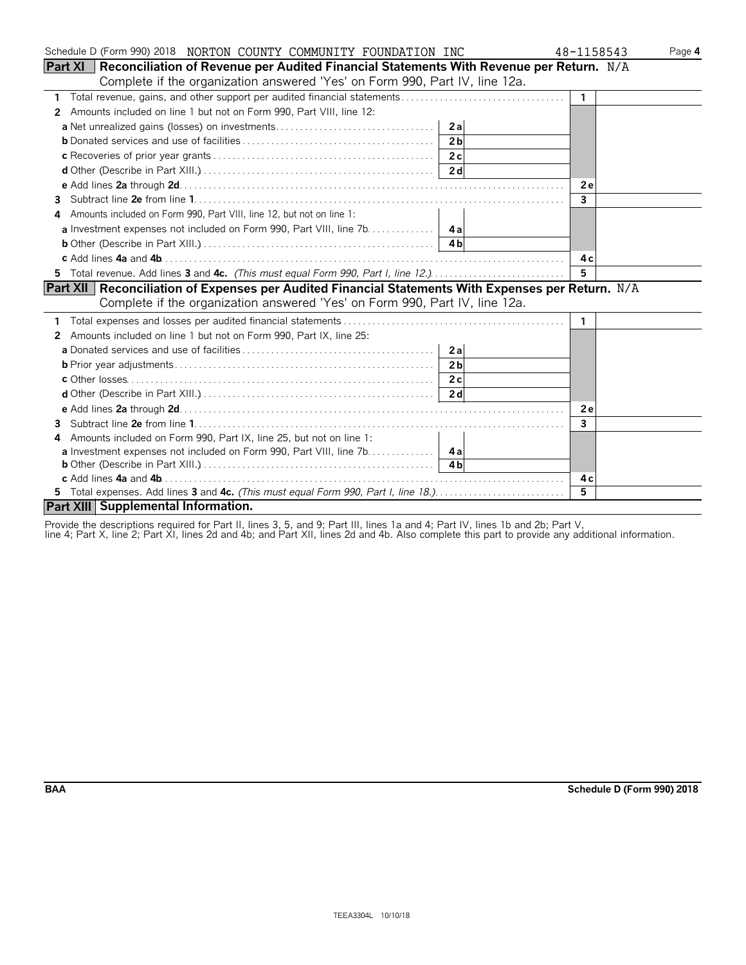| Schedule D (Form 990) 2018 NORTON COUNTY COMMUNITY FOUNDATION INC                                        | 48-1158543     | Page 4 |
|----------------------------------------------------------------------------------------------------------|----------------|--------|
| <b>Part XI</b> Reconciliation of Revenue per Audited Financial Statements With Revenue per Return. $N/A$ |                |        |
| Complete if the organization answered 'Yes' on Form 990, Part IV, line 12a.                              |                |        |
| 1 Total revenue, gains, and other support per audited financial statements                               | $\mathbf{1}$   |        |
| Amounts included on line 1 but not on Form 990, Part VIII, line 12:<br>2                                 |                |        |
|                                                                                                          |                |        |
| 2 <sub>b</sub>                                                                                           |                |        |
|                                                                                                          |                |        |
|                                                                                                          |                |        |
|                                                                                                          | 2e             |        |
| 3.                                                                                                       | $\overline{3}$ |        |
| Amounts included on Form 990, Part VIII, line 12, but not on line 1:<br>4                                |                |        |
|                                                                                                          |                |        |
|                                                                                                          |                |        |
|                                                                                                          | 4 c            |        |
| 5 Total revenue. Add lines 3 and 4c. (This must equal Form 990, Part I, line 12.)                        | 5              |        |
| Part XII   Reconciliation of Expenses per Audited Financial Statements With Expenses per Return. N/A     |                |        |
| Complete if the organization answered 'Yes' on Form 990, Part IV, line 12a.                              |                |        |
|                                                                                                          | -1             |        |
| 2 Amounts included on line 1 but not on Form 990, Part IX, line 25:                                      |                |        |
|                                                                                                          |                |        |
| 2 <sub>h</sub>                                                                                           |                |        |
|                                                                                                          |                |        |
|                                                                                                          |                |        |
|                                                                                                          | 2e             |        |
| 3.                                                                                                       | 3              |        |
| Amounts included on Form 990, Part IX, line 25, but not on line 1:<br>4                                  |                |        |
| <b>a</b> Investment expenses not included on Form 990, Part VIII, line 7b. 4a                            |                |        |
|                                                                                                          |                |        |
|                                                                                                          | 4 c            |        |
| 5 Total expenses. Add lines 3 and 4c. (This must equal Form 990, Part I, line 18.)                       | $\overline{5}$ |        |
| Part XIII Supplemental Information.                                                                      |                |        |

Provide the descriptions required for Part II, lines 3, 5, and 9; Part III, lines 1a and 4; Part IV, lines 1b and 2b; Part V,

line 4; Part X, line 2; Part XI, lines 2d and 4b; and Part XII, lines 2d and 4b. Also complete this part to provide any additional information.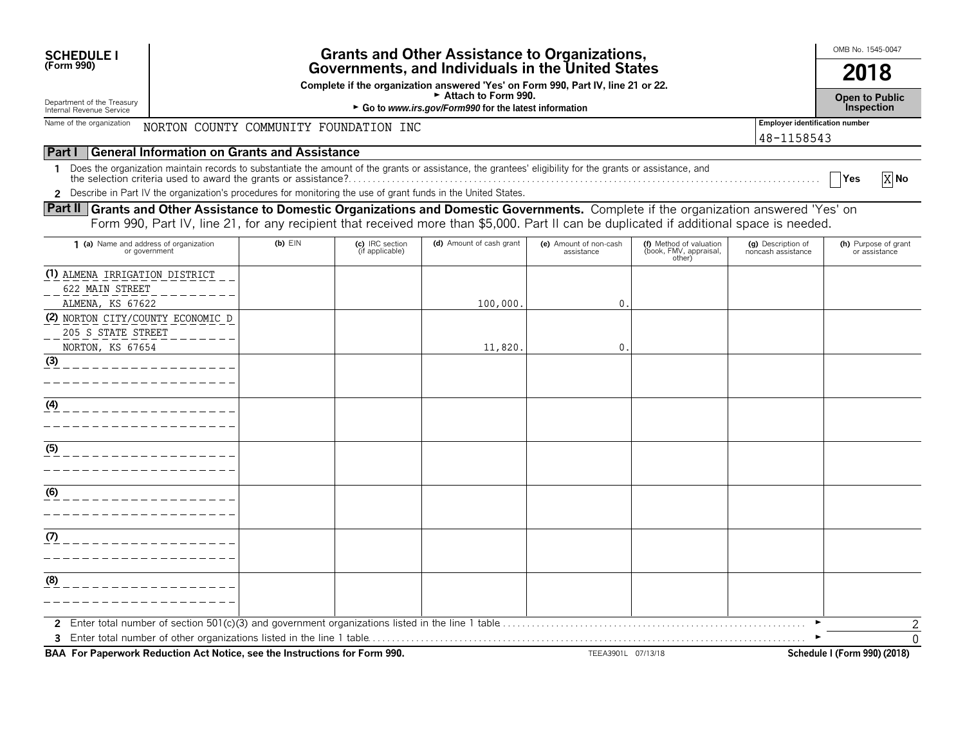| <b>SCHEDULE I</b>                                                                                                                                                                                                                                    |                                                                                                         |                                                        |                                    |                                                                                                                 | <b>Grants and Other Assistance to Organizations,</b>                                                                                    |                                                             |                                          | OMB No. 1545-0047                     |  |  |  |
|------------------------------------------------------------------------------------------------------------------------------------------------------------------------------------------------------------------------------------------------------|---------------------------------------------------------------------------------------------------------|--------------------------------------------------------|------------------------------------|-----------------------------------------------------------------------------------------------------------------|-----------------------------------------------------------------------------------------------------------------------------------------|-------------------------------------------------------------|------------------------------------------|---------------------------------------|--|--|--|
| (Form 990)                                                                                                                                                                                                                                           | Governments, and Individuals in the United States                                                       |                                                        |                                    |                                                                                                                 |                                                                                                                                         |                                                             |                                          |                                       |  |  |  |
|                                                                                                                                                                                                                                                      | Complete if the organization answered 'Yes' on Form 990, Part IV, line 21 or 22.<br>Attach to Form 990. |                                                        |                                    |                                                                                                                 |                                                                                                                                         |                                                             |                                          |                                       |  |  |  |
| Department of the Treasury<br>Internal Revenue Service                                                                                                                                                                                               |                                                                                                         | ► Go to www.irs.gov/Form990 for the latest information |                                    |                                                                                                                 |                                                                                                                                         |                                                             |                                          |                                       |  |  |  |
| Name of the organization<br>Employer identification number<br>NORTON COUNTY COMMUNITY FOUNDATION INC                                                                                                                                                 |                                                                                                         |                                                        |                                    |                                                                                                                 |                                                                                                                                         |                                                             |                                          |                                       |  |  |  |
|                                                                                                                                                                                                                                                      |                                                                                                         |                                                        |                                    |                                                                                                                 |                                                                                                                                         |                                                             | 48-1158543                               |                                       |  |  |  |
| ∣Part I                                                                                                                                                                                                                                              |                                                                                                         | <b>General Information on Grants and Assistance</b>    |                                    |                                                                                                                 |                                                                                                                                         |                                                             |                                          |                                       |  |  |  |
| Does the organization maintain records to substantiate the amount of the grants or assistance, the grantees' eligibility for the grants or assistance, and<br>X No<br>the selection criteria used to award the grants or assistance?.<br><b>PYes</b> |                                                                                                         |                                                        |                                    |                                                                                                                 |                                                                                                                                         |                                                             |                                          |                                       |  |  |  |
|                                                                                                                                                                                                                                                      |                                                                                                         |                                                        |                                    | 2 Describe in Part IV the organization's procedures for monitoring the use of grant funds in the United States. |                                                                                                                                         |                                                             |                                          |                                       |  |  |  |
| <b>Part II Grants and Other Assistance to Domestic Organizations and Domestic Governments.</b> Complete if the organization answered 'Yes' on                                                                                                        |                                                                                                         |                                                        |                                    |                                                                                                                 |                                                                                                                                         |                                                             |                                          |                                       |  |  |  |
|                                                                                                                                                                                                                                                      |                                                                                                         |                                                        |                                    |                                                                                                                 | Form 990, Part IV, line 21, for any recipient that received more than \$5,000. Part II can be duplicated if additional space is needed. |                                                             |                                          |                                       |  |  |  |
| (a) Name and address of organization<br>or government                                                                                                                                                                                                |                                                                                                         | $(b)$ EIN                                              | (c) IRC section<br>(if applicable) | (d) Amount of cash grant                                                                                        | (e) Amount of non-cash<br>assistance                                                                                                    | (f) Method of valuation<br>(book, FMV, appraisal,<br>other) | (g) Description of<br>noncash assistance | (h) Purpose of grant<br>or assistance |  |  |  |
| (1) ALMENA IRRIGATION DISTRICT                                                                                                                                                                                                                       |                                                                                                         |                                                        |                                    |                                                                                                                 |                                                                                                                                         |                                                             |                                          |                                       |  |  |  |
| 622 MAIN STREET                                                                                                                                                                                                                                      |                                                                                                         |                                                        |                                    |                                                                                                                 |                                                                                                                                         |                                                             |                                          |                                       |  |  |  |
| ALMENA, KS 67622                                                                                                                                                                                                                                     |                                                                                                         |                                                        |                                    | 100,000.                                                                                                        | 0                                                                                                                                       |                                                             |                                          |                                       |  |  |  |

**2** Enter total number of section 501(c)(3) and government organizations listed in the line 1 table. . . . . . . . . . . . . . . . . . . . . . . . . . . . . . . . . . . . . . . . . . . . . . . . . . . . . . . . . . . . . . . . G **3** Enter total number of other organizations listed in the line 1 table. . . . . . . . . . . . . . . . . . . . . . . . . . . . . . . . . . . . . . . . . . . . . . . . . . . . . . . . . . . . . . . . . . . . . . . . . . . . . . . . . . . . . . . . . . . G

 $NORTON, KS 67654$  0.

**BAA For Paperwork Reduction Act Notice, see the Instructions for Form 990.** TEEA3901L 07/13/18 Schedule I (Form 990) (2018)

 $\Omega$ 2

**(2)** NORTON CITY/COUNTY ECONOMIC D

205 S STATE STREET

**(3)**

**(4)**

**(5)**

**(6)**

**(7)**

**(8)**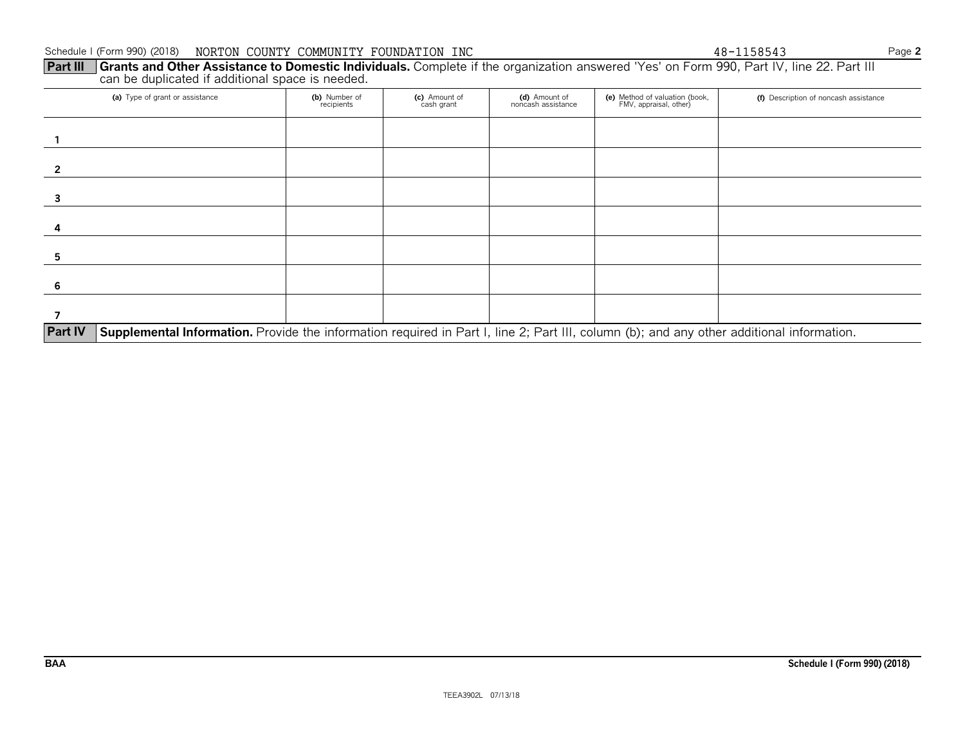#### Schedule I (Form 990) (2018) Page **2** NORTON COUNTY COMMUNITY FOUNDATION INC 48-1158543

**Part III Grants and Other Assistance to Domestic Individuals.** Complete if the organization answered 'Yes' on Form 990, Part IV, line 22. Part III can be duplicated if additional space is needed.

| (a) Type of grant or assistance                                                                                                                             | (b) Number of<br>recipients | (c) Amount of<br>cash grant | (d) Amount of<br>noncash assistance | (e) Method of valuation (book,<br>FMV, appraisal, other) | (f) Description of noncash assistance |  |  |  |  |
|-------------------------------------------------------------------------------------------------------------------------------------------------------------|-----------------------------|-----------------------------|-------------------------------------|----------------------------------------------------------|---------------------------------------|--|--|--|--|
|                                                                                                                                                             |                             |                             |                                     |                                                          |                                       |  |  |  |  |
|                                                                                                                                                             |                             |                             |                                     |                                                          |                                       |  |  |  |  |
|                                                                                                                                                             |                             |                             |                                     |                                                          |                                       |  |  |  |  |
|                                                                                                                                                             |                             |                             |                                     |                                                          |                                       |  |  |  |  |
|                                                                                                                                                             |                             |                             |                                     |                                                          |                                       |  |  |  |  |
|                                                                                                                                                             |                             |                             |                                     |                                                          |                                       |  |  |  |  |
|                                                                                                                                                             |                             |                             |                                     |                                                          |                                       |  |  |  |  |
| <b>Part IV</b><br>Supplemental Information. Provide the information required in Part I, line 2; Part III, column (b); and any other additional information. |                             |                             |                                     |                                                          |                                       |  |  |  |  |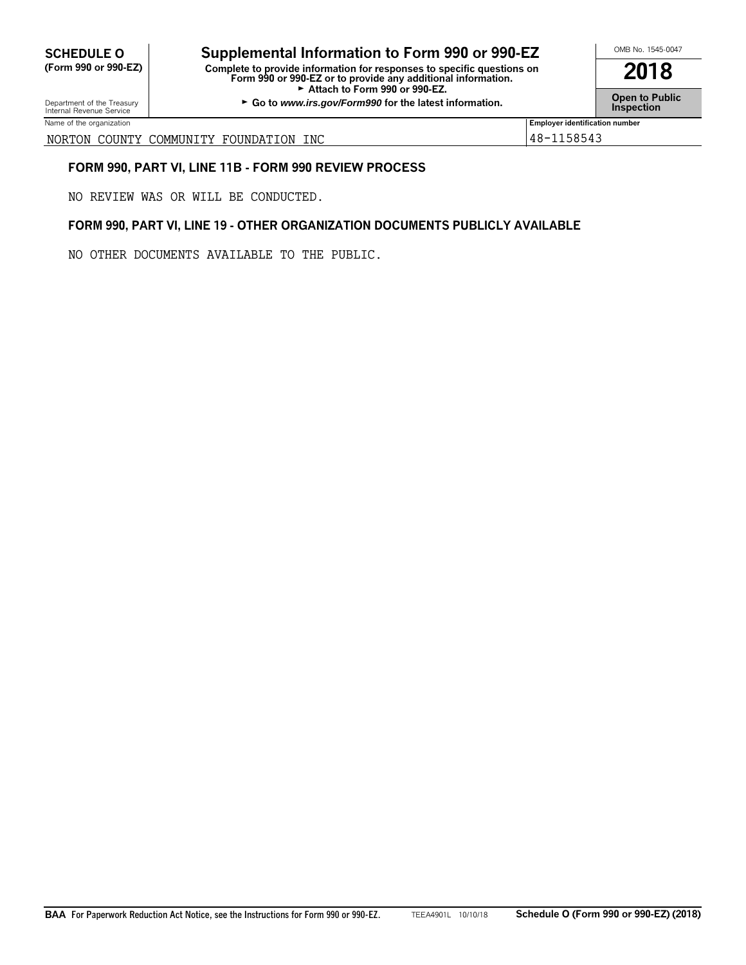### **SCHEDULE O**  Supplemental Information to Form 990 or 990-EZ Allows No. 1545-0047

**(Form 990 or 990-EZ) Complete to provide information for responses to specific questions on Form 990 or 990-EZ or to provide any additional information. 2018** Attach to Form 990 or 990-EZ.

Department of the Treasury **Constant Comment of the Collam Constant Constant Constant Comment Constant Constant<br>Internal Revenue Service <b>Inspection** 

Name of the organization **Employer identification number Employer identification number Employer identification number** 

NORTON COUNTY COMMUNITY FOUNDATION INC 48-1158543

#### **FORM 990, PART VI, LINE 11B - FORM 990 REVIEW PROCESS**

NO REVIEW WAS OR WILL BE CONDUCTED.

#### **FORM 990, PART VI, LINE 19 - OTHER ORGANIZATION DOCUMENTS PUBLICLY AVAILABLE**

NO OTHER DOCUMENTS AVAILABLE TO THE PUBLIC.